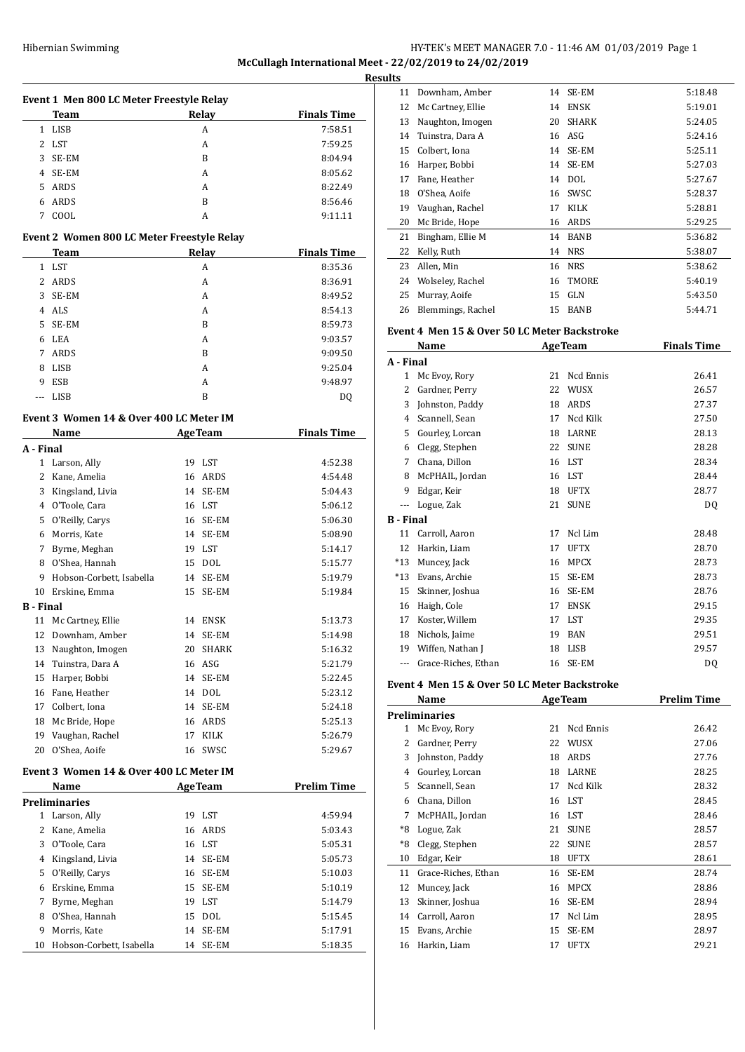# HY-TEK's MEET MANAGER 7.0 - 11:46 AM 01/03/2019 Page 1 **McCullagh International Meet - 22/02/2019 to 24/02/2019**

| Relay<br><b>Finals Time</b><br>Team<br>1 LISB<br>A<br>7:58.51<br>2<br>LST<br>A<br>7:59.25<br>3<br>SE-EM<br>B<br>8:04.94<br>4<br>SE-EM<br>8:05.62<br>A<br>5<br>ARDS<br>8:22.49<br>A<br>ARDS<br>B<br>8:56.46<br>6<br>7<br>COOL<br>9:11.11<br>A<br>Event 2 Women 800 LC Meter Freestyle Relay<br><b>Relay</b><br><b>Finals Time</b><br>Team<br>LST<br>8:35.36<br>1<br>A<br>2<br>ARDS<br>A<br>8:36.91<br>3<br>SE-EM<br>A<br>8:49.52<br>ALS<br>4<br>A<br>8:54.13<br>5<br>SE-EM<br>B<br>8:59.73<br>LEA<br>6<br>A<br>9:03.57<br>7<br>ARDS<br>B<br>9:09.50<br><b>LISB</b><br>9:25.04<br>8<br>A<br>9<br>ESB<br>A<br>9:48.97<br>LISB<br>B<br>---<br>DQ<br>Event 3  Women 14 & Over 400 LC Meter IM<br><b>Finals Time</b><br><b>AgeTeam</b><br>Name<br>A - Final<br>Larson, Ally<br>1<br>19 LST<br>4:52.38<br>2<br>Kane, Amelia<br>ARDS<br>4:54.48<br>16<br>3<br>14 SE-EM<br>Kingsland, Livia<br>5:04.43<br>4 O'Toole, Cara<br>16 LST<br>5:06.12<br>O'Reilly, Carys<br>16 SE-EM<br>5:06.30<br>5<br>Morris, Kate<br>6<br>14<br>SE-EM<br>5:08.90<br>Byrne, Meghan<br>19 LST<br>7<br>5:14.17<br>O'Shea, Hannah<br><b>DOL</b><br>5:15.77<br>8<br>15<br>Hobson-Corbett, Isabella<br>SE-EM<br>9<br>14<br>5:19.79<br>Erskine, Emma<br>10<br>15<br>SE-EM<br>5:19.84<br>B - Final<br>Mc Cartney, Ellie<br>11<br>ENSK<br>5:13.73<br>14<br>12<br>Downham, Amber<br>14 SE-EM<br>5:14.98<br>13 Naughton, Imogen<br>5:16.32<br>20 SHARK<br>Tuinstra, Dara A<br>ASG<br>14<br>16<br>5:21.79<br>SE-EM<br>15<br>Harper, Bobbi<br>14<br>5:22.45<br>16<br>Fane, Heather<br>14 DOL<br>5:23.12<br>17<br>Colbert, Iona<br>14<br>SE-EM<br>5:24.18<br>18<br>Mc Bride, Hope<br>ARDS<br>5:25.13<br>16<br>Vaughan, Rachel<br>19<br>17<br>KILK<br>5:26.79<br>O'Shea, Aoife<br>20<br>SWSC<br>16<br>5:29.67<br>Event 3  Women 14 & Over 400 LC Meter IM<br><b>Prelim Time</b><br>Name<br><b>AgeTeam</b><br>Preliminaries<br>$\mathbf{1}$<br>Larson, Ally<br>LST<br>19<br>4:59.94<br>2<br>Kane, Amelia<br>ARDS<br>16<br>5:03.43<br>3<br>O'Toole, Cara<br>16<br>LST<br>5:05.31<br>$\overline{4}$<br>Kingsland, Livia<br>SE-EM<br>5:05.73<br>14<br>5<br>O'Reilly, Carys<br>SE-EM<br>16<br>5:10.03<br>6<br>Erskine, Emma<br>15<br>SE-EM<br>5:10.19<br>Byrne, Meghan<br>19<br>LST<br>7<br>5:14.79<br>O'Shea, Hannah<br>8<br><b>DOL</b><br>15<br>5:15.45<br>9<br>Morris, Kate<br>14<br>SE-EM<br>5:17.91<br>Hobson-Corbett, Isabella<br>SE-EM<br>10<br>14<br>5:18.35 | Event 1 Men 800 LC Meter Freestyle Relay |  |  |
|---------------------------------------------------------------------------------------------------------------------------------------------------------------------------------------------------------------------------------------------------------------------------------------------------------------------------------------------------------------------------------------------------------------------------------------------------------------------------------------------------------------------------------------------------------------------------------------------------------------------------------------------------------------------------------------------------------------------------------------------------------------------------------------------------------------------------------------------------------------------------------------------------------------------------------------------------------------------------------------------------------------------------------------------------------------------------------------------------------------------------------------------------------------------------------------------------------------------------------------------------------------------------------------------------------------------------------------------------------------------------------------------------------------------------------------------------------------------------------------------------------------------------------------------------------------------------------------------------------------------------------------------------------------------------------------------------------------------------------------------------------------------------------------------------------------------------------------------------------------------------------------------------------------------------------------------------------------------------------------------------------------------------------------------------------------------------------------------------------------------------------------------------------------------------------------------------------------------------------------------------------------------------------------------------------------------------------------------------------------------------------------------------------------------|------------------------------------------|--|--|
|                                                                                                                                                                                                                                                                                                                                                                                                                                                                                                                                                                                                                                                                                                                                                                                                                                                                                                                                                                                                                                                                                                                                                                                                                                                                                                                                                                                                                                                                                                                                                                                                                                                                                                                                                                                                                                                                                                                                                                                                                                                                                                                                                                                                                                                                                                                                                                                                                     |                                          |  |  |
|                                                                                                                                                                                                                                                                                                                                                                                                                                                                                                                                                                                                                                                                                                                                                                                                                                                                                                                                                                                                                                                                                                                                                                                                                                                                                                                                                                                                                                                                                                                                                                                                                                                                                                                                                                                                                                                                                                                                                                                                                                                                                                                                                                                                                                                                                                                                                                                                                     |                                          |  |  |
|                                                                                                                                                                                                                                                                                                                                                                                                                                                                                                                                                                                                                                                                                                                                                                                                                                                                                                                                                                                                                                                                                                                                                                                                                                                                                                                                                                                                                                                                                                                                                                                                                                                                                                                                                                                                                                                                                                                                                                                                                                                                                                                                                                                                                                                                                                                                                                                                                     |                                          |  |  |
|                                                                                                                                                                                                                                                                                                                                                                                                                                                                                                                                                                                                                                                                                                                                                                                                                                                                                                                                                                                                                                                                                                                                                                                                                                                                                                                                                                                                                                                                                                                                                                                                                                                                                                                                                                                                                                                                                                                                                                                                                                                                                                                                                                                                                                                                                                                                                                                                                     |                                          |  |  |
|                                                                                                                                                                                                                                                                                                                                                                                                                                                                                                                                                                                                                                                                                                                                                                                                                                                                                                                                                                                                                                                                                                                                                                                                                                                                                                                                                                                                                                                                                                                                                                                                                                                                                                                                                                                                                                                                                                                                                                                                                                                                                                                                                                                                                                                                                                                                                                                                                     |                                          |  |  |
|                                                                                                                                                                                                                                                                                                                                                                                                                                                                                                                                                                                                                                                                                                                                                                                                                                                                                                                                                                                                                                                                                                                                                                                                                                                                                                                                                                                                                                                                                                                                                                                                                                                                                                                                                                                                                                                                                                                                                                                                                                                                                                                                                                                                                                                                                                                                                                                                                     |                                          |  |  |
|                                                                                                                                                                                                                                                                                                                                                                                                                                                                                                                                                                                                                                                                                                                                                                                                                                                                                                                                                                                                                                                                                                                                                                                                                                                                                                                                                                                                                                                                                                                                                                                                                                                                                                                                                                                                                                                                                                                                                                                                                                                                                                                                                                                                                                                                                                                                                                                                                     |                                          |  |  |
|                                                                                                                                                                                                                                                                                                                                                                                                                                                                                                                                                                                                                                                                                                                                                                                                                                                                                                                                                                                                                                                                                                                                                                                                                                                                                                                                                                                                                                                                                                                                                                                                                                                                                                                                                                                                                                                                                                                                                                                                                                                                                                                                                                                                                                                                                                                                                                                                                     |                                          |  |  |
|                                                                                                                                                                                                                                                                                                                                                                                                                                                                                                                                                                                                                                                                                                                                                                                                                                                                                                                                                                                                                                                                                                                                                                                                                                                                                                                                                                                                                                                                                                                                                                                                                                                                                                                                                                                                                                                                                                                                                                                                                                                                                                                                                                                                                                                                                                                                                                                                                     |                                          |  |  |
|                                                                                                                                                                                                                                                                                                                                                                                                                                                                                                                                                                                                                                                                                                                                                                                                                                                                                                                                                                                                                                                                                                                                                                                                                                                                                                                                                                                                                                                                                                                                                                                                                                                                                                                                                                                                                                                                                                                                                                                                                                                                                                                                                                                                                                                                                                                                                                                                                     |                                          |  |  |
|                                                                                                                                                                                                                                                                                                                                                                                                                                                                                                                                                                                                                                                                                                                                                                                                                                                                                                                                                                                                                                                                                                                                                                                                                                                                                                                                                                                                                                                                                                                                                                                                                                                                                                                                                                                                                                                                                                                                                                                                                                                                                                                                                                                                                                                                                                                                                                                                                     |                                          |  |  |
|                                                                                                                                                                                                                                                                                                                                                                                                                                                                                                                                                                                                                                                                                                                                                                                                                                                                                                                                                                                                                                                                                                                                                                                                                                                                                                                                                                                                                                                                                                                                                                                                                                                                                                                                                                                                                                                                                                                                                                                                                                                                                                                                                                                                                                                                                                                                                                                                                     |                                          |  |  |
|                                                                                                                                                                                                                                                                                                                                                                                                                                                                                                                                                                                                                                                                                                                                                                                                                                                                                                                                                                                                                                                                                                                                                                                                                                                                                                                                                                                                                                                                                                                                                                                                                                                                                                                                                                                                                                                                                                                                                                                                                                                                                                                                                                                                                                                                                                                                                                                                                     |                                          |  |  |
|                                                                                                                                                                                                                                                                                                                                                                                                                                                                                                                                                                                                                                                                                                                                                                                                                                                                                                                                                                                                                                                                                                                                                                                                                                                                                                                                                                                                                                                                                                                                                                                                                                                                                                                                                                                                                                                                                                                                                                                                                                                                                                                                                                                                                                                                                                                                                                                                                     |                                          |  |  |
|                                                                                                                                                                                                                                                                                                                                                                                                                                                                                                                                                                                                                                                                                                                                                                                                                                                                                                                                                                                                                                                                                                                                                                                                                                                                                                                                                                                                                                                                                                                                                                                                                                                                                                                                                                                                                                                                                                                                                                                                                                                                                                                                                                                                                                                                                                                                                                                                                     |                                          |  |  |
|                                                                                                                                                                                                                                                                                                                                                                                                                                                                                                                                                                                                                                                                                                                                                                                                                                                                                                                                                                                                                                                                                                                                                                                                                                                                                                                                                                                                                                                                                                                                                                                                                                                                                                                                                                                                                                                                                                                                                                                                                                                                                                                                                                                                                                                                                                                                                                                                                     |                                          |  |  |
|                                                                                                                                                                                                                                                                                                                                                                                                                                                                                                                                                                                                                                                                                                                                                                                                                                                                                                                                                                                                                                                                                                                                                                                                                                                                                                                                                                                                                                                                                                                                                                                                                                                                                                                                                                                                                                                                                                                                                                                                                                                                                                                                                                                                                                                                                                                                                                                                                     |                                          |  |  |
|                                                                                                                                                                                                                                                                                                                                                                                                                                                                                                                                                                                                                                                                                                                                                                                                                                                                                                                                                                                                                                                                                                                                                                                                                                                                                                                                                                                                                                                                                                                                                                                                                                                                                                                                                                                                                                                                                                                                                                                                                                                                                                                                                                                                                                                                                                                                                                                                                     |                                          |  |  |
|                                                                                                                                                                                                                                                                                                                                                                                                                                                                                                                                                                                                                                                                                                                                                                                                                                                                                                                                                                                                                                                                                                                                                                                                                                                                                                                                                                                                                                                                                                                                                                                                                                                                                                                                                                                                                                                                                                                                                                                                                                                                                                                                                                                                                                                                                                                                                                                                                     |                                          |  |  |
|                                                                                                                                                                                                                                                                                                                                                                                                                                                                                                                                                                                                                                                                                                                                                                                                                                                                                                                                                                                                                                                                                                                                                                                                                                                                                                                                                                                                                                                                                                                                                                                                                                                                                                                                                                                                                                                                                                                                                                                                                                                                                                                                                                                                                                                                                                                                                                                                                     |                                          |  |  |
|                                                                                                                                                                                                                                                                                                                                                                                                                                                                                                                                                                                                                                                                                                                                                                                                                                                                                                                                                                                                                                                                                                                                                                                                                                                                                                                                                                                                                                                                                                                                                                                                                                                                                                                                                                                                                                                                                                                                                                                                                                                                                                                                                                                                                                                                                                                                                                                                                     |                                          |  |  |
|                                                                                                                                                                                                                                                                                                                                                                                                                                                                                                                                                                                                                                                                                                                                                                                                                                                                                                                                                                                                                                                                                                                                                                                                                                                                                                                                                                                                                                                                                                                                                                                                                                                                                                                                                                                                                                                                                                                                                                                                                                                                                                                                                                                                                                                                                                                                                                                                                     |                                          |  |  |
|                                                                                                                                                                                                                                                                                                                                                                                                                                                                                                                                                                                                                                                                                                                                                                                                                                                                                                                                                                                                                                                                                                                                                                                                                                                                                                                                                                                                                                                                                                                                                                                                                                                                                                                                                                                                                                                                                                                                                                                                                                                                                                                                                                                                                                                                                                                                                                                                                     |                                          |  |  |
|                                                                                                                                                                                                                                                                                                                                                                                                                                                                                                                                                                                                                                                                                                                                                                                                                                                                                                                                                                                                                                                                                                                                                                                                                                                                                                                                                                                                                                                                                                                                                                                                                                                                                                                                                                                                                                                                                                                                                                                                                                                                                                                                                                                                                                                                                                                                                                                                                     |                                          |  |  |
|                                                                                                                                                                                                                                                                                                                                                                                                                                                                                                                                                                                                                                                                                                                                                                                                                                                                                                                                                                                                                                                                                                                                                                                                                                                                                                                                                                                                                                                                                                                                                                                                                                                                                                                                                                                                                                                                                                                                                                                                                                                                                                                                                                                                                                                                                                                                                                                                                     |                                          |  |  |
|                                                                                                                                                                                                                                                                                                                                                                                                                                                                                                                                                                                                                                                                                                                                                                                                                                                                                                                                                                                                                                                                                                                                                                                                                                                                                                                                                                                                                                                                                                                                                                                                                                                                                                                                                                                                                                                                                                                                                                                                                                                                                                                                                                                                                                                                                                                                                                                                                     |                                          |  |  |
|                                                                                                                                                                                                                                                                                                                                                                                                                                                                                                                                                                                                                                                                                                                                                                                                                                                                                                                                                                                                                                                                                                                                                                                                                                                                                                                                                                                                                                                                                                                                                                                                                                                                                                                                                                                                                                                                                                                                                                                                                                                                                                                                                                                                                                                                                                                                                                                                                     |                                          |  |  |
|                                                                                                                                                                                                                                                                                                                                                                                                                                                                                                                                                                                                                                                                                                                                                                                                                                                                                                                                                                                                                                                                                                                                                                                                                                                                                                                                                                                                                                                                                                                                                                                                                                                                                                                                                                                                                                                                                                                                                                                                                                                                                                                                                                                                                                                                                                                                                                                                                     |                                          |  |  |
|                                                                                                                                                                                                                                                                                                                                                                                                                                                                                                                                                                                                                                                                                                                                                                                                                                                                                                                                                                                                                                                                                                                                                                                                                                                                                                                                                                                                                                                                                                                                                                                                                                                                                                                                                                                                                                                                                                                                                                                                                                                                                                                                                                                                                                                                                                                                                                                                                     |                                          |  |  |
|                                                                                                                                                                                                                                                                                                                                                                                                                                                                                                                                                                                                                                                                                                                                                                                                                                                                                                                                                                                                                                                                                                                                                                                                                                                                                                                                                                                                                                                                                                                                                                                                                                                                                                                                                                                                                                                                                                                                                                                                                                                                                                                                                                                                                                                                                                                                                                                                                     |                                          |  |  |
|                                                                                                                                                                                                                                                                                                                                                                                                                                                                                                                                                                                                                                                                                                                                                                                                                                                                                                                                                                                                                                                                                                                                                                                                                                                                                                                                                                                                                                                                                                                                                                                                                                                                                                                                                                                                                                                                                                                                                                                                                                                                                                                                                                                                                                                                                                                                                                                                                     |                                          |  |  |
|                                                                                                                                                                                                                                                                                                                                                                                                                                                                                                                                                                                                                                                                                                                                                                                                                                                                                                                                                                                                                                                                                                                                                                                                                                                                                                                                                                                                                                                                                                                                                                                                                                                                                                                                                                                                                                                                                                                                                                                                                                                                                                                                                                                                                                                                                                                                                                                                                     |                                          |  |  |
|                                                                                                                                                                                                                                                                                                                                                                                                                                                                                                                                                                                                                                                                                                                                                                                                                                                                                                                                                                                                                                                                                                                                                                                                                                                                                                                                                                                                                                                                                                                                                                                                                                                                                                                                                                                                                                                                                                                                                                                                                                                                                                                                                                                                                                                                                                                                                                                                                     |                                          |  |  |
|                                                                                                                                                                                                                                                                                                                                                                                                                                                                                                                                                                                                                                                                                                                                                                                                                                                                                                                                                                                                                                                                                                                                                                                                                                                                                                                                                                                                                                                                                                                                                                                                                                                                                                                                                                                                                                                                                                                                                                                                                                                                                                                                                                                                                                                                                                                                                                                                                     |                                          |  |  |
|                                                                                                                                                                                                                                                                                                                                                                                                                                                                                                                                                                                                                                                                                                                                                                                                                                                                                                                                                                                                                                                                                                                                                                                                                                                                                                                                                                                                                                                                                                                                                                                                                                                                                                                                                                                                                                                                                                                                                                                                                                                                                                                                                                                                                                                                                                                                                                                                                     |                                          |  |  |
|                                                                                                                                                                                                                                                                                                                                                                                                                                                                                                                                                                                                                                                                                                                                                                                                                                                                                                                                                                                                                                                                                                                                                                                                                                                                                                                                                                                                                                                                                                                                                                                                                                                                                                                                                                                                                                                                                                                                                                                                                                                                                                                                                                                                                                                                                                                                                                                                                     |                                          |  |  |
|                                                                                                                                                                                                                                                                                                                                                                                                                                                                                                                                                                                                                                                                                                                                                                                                                                                                                                                                                                                                                                                                                                                                                                                                                                                                                                                                                                                                                                                                                                                                                                                                                                                                                                                                                                                                                                                                                                                                                                                                                                                                                                                                                                                                                                                                                                                                                                                                                     |                                          |  |  |
|                                                                                                                                                                                                                                                                                                                                                                                                                                                                                                                                                                                                                                                                                                                                                                                                                                                                                                                                                                                                                                                                                                                                                                                                                                                                                                                                                                                                                                                                                                                                                                                                                                                                                                                                                                                                                                                                                                                                                                                                                                                                                                                                                                                                                                                                                                                                                                                                                     |                                          |  |  |
|                                                                                                                                                                                                                                                                                                                                                                                                                                                                                                                                                                                                                                                                                                                                                                                                                                                                                                                                                                                                                                                                                                                                                                                                                                                                                                                                                                                                                                                                                                                                                                                                                                                                                                                                                                                                                                                                                                                                                                                                                                                                                                                                                                                                                                                                                                                                                                                                                     |                                          |  |  |
|                                                                                                                                                                                                                                                                                                                                                                                                                                                                                                                                                                                                                                                                                                                                                                                                                                                                                                                                                                                                                                                                                                                                                                                                                                                                                                                                                                                                                                                                                                                                                                                                                                                                                                                                                                                                                                                                                                                                                                                                                                                                                                                                                                                                                                                                                                                                                                                                                     |                                          |  |  |
|                                                                                                                                                                                                                                                                                                                                                                                                                                                                                                                                                                                                                                                                                                                                                                                                                                                                                                                                                                                                                                                                                                                                                                                                                                                                                                                                                                                                                                                                                                                                                                                                                                                                                                                                                                                                                                                                                                                                                                                                                                                                                                                                                                                                                                                                                                                                                                                                                     |                                          |  |  |
|                                                                                                                                                                                                                                                                                                                                                                                                                                                                                                                                                                                                                                                                                                                                                                                                                                                                                                                                                                                                                                                                                                                                                                                                                                                                                                                                                                                                                                                                                                                                                                                                                                                                                                                                                                                                                                                                                                                                                                                                                                                                                                                                                                                                                                                                                                                                                                                                                     |                                          |  |  |
|                                                                                                                                                                                                                                                                                                                                                                                                                                                                                                                                                                                                                                                                                                                                                                                                                                                                                                                                                                                                                                                                                                                                                                                                                                                                                                                                                                                                                                                                                                                                                                                                                                                                                                                                                                                                                                                                                                                                                                                                                                                                                                                                                                                                                                                                                                                                                                                                                     |                                          |  |  |
|                                                                                                                                                                                                                                                                                                                                                                                                                                                                                                                                                                                                                                                                                                                                                                                                                                                                                                                                                                                                                                                                                                                                                                                                                                                                                                                                                                                                                                                                                                                                                                                                                                                                                                                                                                                                                                                                                                                                                                                                                                                                                                                                                                                                                                                                                                                                                                                                                     |                                          |  |  |
|                                                                                                                                                                                                                                                                                                                                                                                                                                                                                                                                                                                                                                                                                                                                                                                                                                                                                                                                                                                                                                                                                                                                                                                                                                                                                                                                                                                                                                                                                                                                                                                                                                                                                                                                                                                                                                                                                                                                                                                                                                                                                                                                                                                                                                                                                                                                                                                                                     |                                          |  |  |
|                                                                                                                                                                                                                                                                                                                                                                                                                                                                                                                                                                                                                                                                                                                                                                                                                                                                                                                                                                                                                                                                                                                                                                                                                                                                                                                                                                                                                                                                                                                                                                                                                                                                                                                                                                                                                                                                                                                                                                                                                                                                                                                                                                                                                                                                                                                                                                                                                     |                                          |  |  |
|                                                                                                                                                                                                                                                                                                                                                                                                                                                                                                                                                                                                                                                                                                                                                                                                                                                                                                                                                                                                                                                                                                                                                                                                                                                                                                                                                                                                                                                                                                                                                                                                                                                                                                                                                                                                                                                                                                                                                                                                                                                                                                                                                                                                                                                                                                                                                                                                                     |                                          |  |  |
|                                                                                                                                                                                                                                                                                                                                                                                                                                                                                                                                                                                                                                                                                                                                                                                                                                                                                                                                                                                                                                                                                                                                                                                                                                                                                                                                                                                                                                                                                                                                                                                                                                                                                                                                                                                                                                                                                                                                                                                                                                                                                                                                                                                                                                                                                                                                                                                                                     |                                          |  |  |
|                                                                                                                                                                                                                                                                                                                                                                                                                                                                                                                                                                                                                                                                                                                                                                                                                                                                                                                                                                                                                                                                                                                                                                                                                                                                                                                                                                                                                                                                                                                                                                                                                                                                                                                                                                                                                                                                                                                                                                                                                                                                                                                                                                                                                                                                                                                                                                                                                     |                                          |  |  |
|                                                                                                                                                                                                                                                                                                                                                                                                                                                                                                                                                                                                                                                                                                                                                                                                                                                                                                                                                                                                                                                                                                                                                                                                                                                                                                                                                                                                                                                                                                                                                                                                                                                                                                                                                                                                                                                                                                                                                                                                                                                                                                                                                                                                                                                                                                                                                                                                                     |                                          |  |  |
|                                                                                                                                                                                                                                                                                                                                                                                                                                                                                                                                                                                                                                                                                                                                                                                                                                                                                                                                                                                                                                                                                                                                                                                                                                                                                                                                                                                                                                                                                                                                                                                                                                                                                                                                                                                                                                                                                                                                                                                                                                                                                                                                                                                                                                                                                                                                                                                                                     |                                          |  |  |
|                                                                                                                                                                                                                                                                                                                                                                                                                                                                                                                                                                                                                                                                                                                                                                                                                                                                                                                                                                                                                                                                                                                                                                                                                                                                                                                                                                                                                                                                                                                                                                                                                                                                                                                                                                                                                                                                                                                                                                                                                                                                                                                                                                                                                                                                                                                                                                                                                     |                                          |  |  |
|                                                                                                                                                                                                                                                                                                                                                                                                                                                                                                                                                                                                                                                                                                                                                                                                                                                                                                                                                                                                                                                                                                                                                                                                                                                                                                                                                                                                                                                                                                                                                                                                                                                                                                                                                                                                                                                                                                                                                                                                                                                                                                                                                                                                                                                                                                                                                                                                                     |                                          |  |  |
|                                                                                                                                                                                                                                                                                                                                                                                                                                                                                                                                                                                                                                                                                                                                                                                                                                                                                                                                                                                                                                                                                                                                                                                                                                                                                                                                                                                                                                                                                                                                                                                                                                                                                                                                                                                                                                                                                                                                                                                                                                                                                                                                                                                                                                                                                                                                                                                                                     |                                          |  |  |
|                                                                                                                                                                                                                                                                                                                                                                                                                                                                                                                                                                                                                                                                                                                                                                                                                                                                                                                                                                                                                                                                                                                                                                                                                                                                                                                                                                                                                                                                                                                                                                                                                                                                                                                                                                                                                                                                                                                                                                                                                                                                                                                                                                                                                                                                                                                                                                                                                     |                                          |  |  |
|                                                                                                                                                                                                                                                                                                                                                                                                                                                                                                                                                                                                                                                                                                                                                                                                                                                                                                                                                                                                                                                                                                                                                                                                                                                                                                                                                                                                                                                                                                                                                                                                                                                                                                                                                                                                                                                                                                                                                                                                                                                                                                                                                                                                                                                                                                                                                                                                                     |                                          |  |  |
|                                                                                                                                                                                                                                                                                                                                                                                                                                                                                                                                                                                                                                                                                                                                                                                                                                                                                                                                                                                                                                                                                                                                                                                                                                                                                                                                                                                                                                                                                                                                                                                                                                                                                                                                                                                                                                                                                                                                                                                                                                                                                                                                                                                                                                                                                                                                                                                                                     |                                          |  |  |

| <b>Results</b> |                   |    |              |         |
|----------------|-------------------|----|--------------|---------|
| 11             | Downham, Amber    | 14 | SE-EM        | 5:18.48 |
| 12             | Mc Cartney, Ellie | 14 | <b>ENSK</b>  | 5:19.01 |
| 13             | Naughton, Imogen  | 20 | <b>SHARK</b> | 5:24.05 |
| 14             | Tuinstra, Dara A  |    | 16 ASG       | 5:24.16 |
| 15             | Colbert, Iona     | 14 | SE-EM        | 5:25.11 |
| 16             | Harper, Bobbi     | 14 | SE-EM        | 5:27.03 |
| 17             | Fane, Heather     | 14 | DOL          | 5:27.67 |
| 18             | O'Shea, Aoife     | 16 | SWSC         | 5:28.37 |
| 19             | Vaughan, Rachel   | 17 | KILK         | 5:28.81 |
| 20             | Mc Bride, Hope    |    | 16 ARDS      | 5:29.25 |
| 21             | Bingham, Ellie M  | 14 | <b>BANB</b>  | 5:36.82 |
| 22             | Kelly, Ruth       | 14 | <b>NRS</b>   | 5:38.07 |
| 23             | Allen, Min        | 16 | NRS          | 5:38.62 |
| 24             | Wolseley, Rachel  | 16 | <b>TMORE</b> | 5:40.19 |
| 25             | Murray, Aoife     | 15 | <b>GLN</b>   | 5:43.50 |
| 26             | Blemmings, Rachel | 15 | <b>BANB</b>  | 5:44.71 |
|                |                   |    |              |         |

# **Event 4 Men 15 & Over 50 LC Meter Backstroke**

|           | Name                |    | <b>AgeTeam</b> | <b>Finals Time</b> |
|-----------|---------------------|----|----------------|--------------------|
| A - Final |                     |    |                |                    |
| 1         | Mc Evoy, Rory       | 21 | Ncd Ennis      | 26.41              |
| 2         | Gardner, Perry      | 22 | WUSX           | 26.57              |
| 3         | Johnston, Paddy     | 18 | ARDS           | 27.37              |
| 4         | Scannell, Sean      | 17 | Ncd Kilk       | 27.50              |
| 5         | Gourley, Lorcan     | 18 | LARNE          | 28.13              |
| 6         | Clegg, Stephen      | 22 | <b>SUNE</b>    | 28.28              |
| 7         | Chana, Dillon       | 16 | <b>LST</b>     | 28.34              |
| 8         | McPHAIL, Jordan     | 16 | <b>LST</b>     | 28.44              |
| 9         | Edgar, Keir         | 18 | <b>UFTX</b>    | 28.77              |
| ---       | Logue, Zak          | 21 | <b>SUNE</b>    | DQ                 |
| B - Final |                     |    |                |                    |
| 11        | Carroll, Aaron      | 17 | Ncl Lim        | 28.48              |
| 12        | Harkin, Liam        | 17 | <b>UFTX</b>    | 28.70              |
| $*13$     | Muncey, Jack        | 16 | <b>MPCX</b>    | 28.73              |
| $*13$     | Evans, Archie       | 15 | SE-EM          | 28.73              |
| 15        | Skinner, Joshua     | 16 | SE-EM          | 28.76              |
| 16        | Haigh, Cole         | 17 | <b>ENSK</b>    | 29.15              |
| 17        | Koster, Willem      | 17 | <b>LST</b>     | 29.35              |
| 18        | Nichols, Jaime      | 19 | <b>BAN</b>     | 29.51              |
| 19        | Wiffen, Nathan J    | 18 | LISB           | 29.57              |
| ---       | Grace-Riches, Ethan | 16 | SE-EM          | DQ                 |

#### **Event 4 Men 15 & Over 50 LC Meter Backstroke**

|      | Name                 |    | <b>AgeTeam</b> | <b>Prelim Time</b> |
|------|----------------------|----|----------------|--------------------|
|      | <b>Preliminaries</b> |    |                |                    |
| 1    | Mc Evoy, Rory        | 21 | Ncd Ennis      | 26.42              |
| 2    | Gardner, Perry       | 22 | WUSX           | 27.06              |
| 3    | Johnston, Paddy      | 18 | ARDS           | 27.76              |
| 4    | Gourley, Lorcan      | 18 | LARNE          | 28.25              |
| 5    | Scannell, Sean       | 17 | Ncd Kilk       | 28.32              |
| 6    | Chana, Dillon        | 16 | LST            | 28.45              |
| 7    | McPHAIL, Jordan      | 16 | LST            | 28.46              |
| $*8$ | Logue, Zak           | 21 | <b>SUNE</b>    | 28.57              |
| $*8$ | Clegg, Stephen       | 22 | <b>SUNE</b>    | 28.57              |
| 10   | Edgar, Keir          | 18 | <b>UFTX</b>    | 28.61              |
| 11   | Grace-Riches, Ethan  | 16 | SE-EM          | 28.74              |
| 12   | Muncey, Jack         | 16 | <b>MPCX</b>    | 28.86              |
| 13   | Skinner, Joshua      | 16 | SE-EM          | 28.94              |
| 14   | Carroll, Aaron       | 17 | Ncl Lim        | 28.95              |
| 15   | Evans, Archie        | 15 | SE-EM          | 28.97              |
| 16   | Harkin, Liam         | 17 | <b>UFTX</b>    | 29.21              |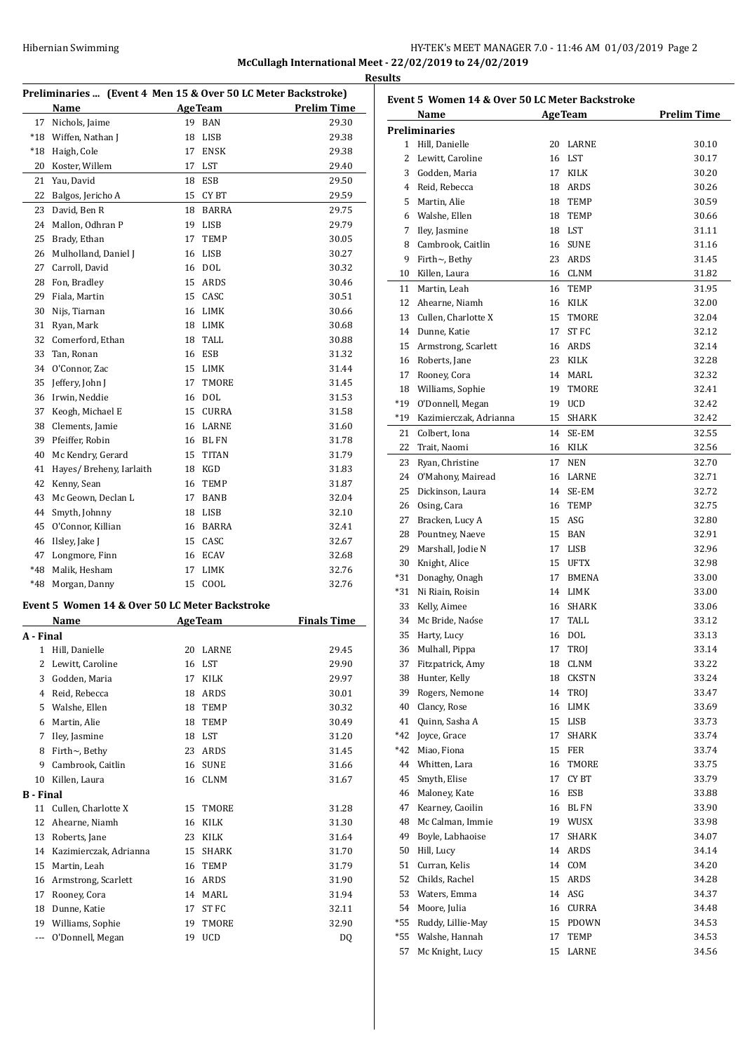# HY-TEK's MEET MANAGER 7.0 - 11:46 AM 01/03/2019 Page 2 **McCullagh International Meet - 22/02/2019 to 24/02/2019 Results**

| Preliminaries  (Event 4 Men 15 & Over 50 LC Meter Backstroke) |                                                |                |                |                    |
|---------------------------------------------------------------|------------------------------------------------|----------------|----------------|--------------------|
|                                                               | Name                                           |                | <b>AgeTeam</b> | <b>Prelim Time</b> |
| 17                                                            | Nichols, Jaime                                 | 19             | <b>BAN</b>     | 29.30              |
| $*18$                                                         | Wiffen, Nathan J                               | 18             | LISB           | 29.38              |
| $*18$                                                         | Haigh, Cole                                    | 17             | <b>ENSK</b>    | 29.38              |
| 20                                                            | Koster, Willem                                 | 17             | LST            | 29.40              |
| 21                                                            | Yau, David                                     | 18             | <b>ESB</b>     | 29.50              |
| 22                                                            | Balgos, Jericho A                              | 15             | <b>CYBT</b>    | 29.59              |
| 23                                                            | David, Ben R                                   | 18             | <b>BARRA</b>   | 29.75              |
| 24                                                            | Mallon, Odhran P                               | 19             | <b>LISB</b>    | 29.79              |
| 25                                                            | Brady, Ethan                                   | 17             | TEMP           | 30.05              |
| 26                                                            | Mulholland, Daniel J                           | 16             | LISB           | 30.27              |
| 27                                                            | Carroll, David                                 | 16             | <b>DOL</b>     | 30.32              |
| 28                                                            | Fon, Bradley                                   | 15             | ARDS           | 30.46              |
| 29                                                            | Fiala, Martin                                  |                | 15 CASC        | 30.51              |
| 30                                                            | Nijs, Tiarnan                                  |                | 16 LIMK        | 30.66              |
| 31                                                            | Ryan, Mark                                     | 18             | LIMK           | 30.68              |
| 32                                                            | Comerford, Ethan                               | 18             | TALL           | 30.88              |
| 33                                                            | Tan, Ronan                                     | 16             | <b>ESB</b>     | 31.32              |
| 34                                                            | O'Connor, Zac                                  | 15             | LIMK           | 31.44              |
| 35                                                            | Jeffery, John J                                | 17             | <b>TMORE</b>   | 31.45              |
| 36                                                            | Irwin, Neddie                                  | 16             | <b>DOL</b>     | 31.53              |
| 37                                                            | Keogh, Michael E                               | 15             | <b>CURRA</b>   | 31.58              |
| 38                                                            | Clements, Jamie                                |                | 16 LARNE       | 31.60              |
| 39                                                            | Pfeiffer, Robin                                | 16             | <b>BL FN</b>   | 31.78              |
| 40                                                            | Mc Kendry, Gerard                              | 15             | <b>TITAN</b>   | 31.79              |
| 41                                                            | Hayes/ Breheny, Iarlaith                       | 18             | KGD            | 31.83              |
| 42                                                            | Kenny, Sean                                    | 16             | TEMP           | 31.87              |
| 43                                                            | Mc Geown, Declan L                             | 17             | BANB           | 32.04              |
| 44                                                            | Smyth, Johnny                                  | 18             | LISB           | 32.10              |
| 45                                                            | O'Connor, Killian                              | 16             | BARRA          | 32.41              |
| 46                                                            | Ilsley, Jake J                                 | 15             | CASC           | 32.67              |
| 47                                                            | Longmore, Finn                                 | 16             | ECAV           | 32.68              |
| *48                                                           | Malik, Hesham                                  | 17             | LIMK           | 32.76              |
| *48                                                           | Morgan, Danny                                  | 15             | COOL           | 32.76              |
|                                                               | Event 5 Women 14 & Over 50 LC Meter Backstroke |                |                |                    |
|                                                               | Name                                           | <b>AgeTeam</b> |                | <b>Finals Time</b> |
| T.L.                                                          | $\overline{a}$                                 |                |                |                    |

|                  | Name                   |    | Age Team     | Finals Time |
|------------------|------------------------|----|--------------|-------------|
| A - Final        |                        |    |              |             |
| 1                | Hill, Danielle         | 20 | LARNE        | 29.45       |
| 2                | Lewitt, Caroline       | 16 | <b>LST</b>   | 29.90       |
| 3                | Godden, Maria          | 17 | <b>KILK</b>  | 29.97       |
| 4                | Reid, Rebecca          | 18 | <b>ARDS</b>  | 30.01       |
| 5                | Walshe, Ellen          | 18 | <b>TEMP</b>  | 30.32       |
| 6                | Martin, Alie           | 18 | <b>TEMP</b>  | 30.49       |
| 7                | Iley, Jasmine          | 18 | <b>LST</b>   | 31.20       |
| 8                | Firth~, Bethy          | 23 | <b>ARDS</b>  | 31.45       |
| 9                | Cambrook, Caitlin      | 16 | <b>SUNE</b>  | 31.66       |
| 10               | Killen, Laura          | 16 | <b>CLNM</b>  | 31.67       |
| <b>B</b> - Final |                        |    |              |             |
| 11               | Cullen, Charlotte X    | 15 | <b>TMORE</b> | 31.28       |
| 12               | Ahearne, Niamh         | 16 | <b>KILK</b>  | 31.30       |
| 13               | Roberts, Jane          | 23 | <b>KILK</b>  | 31.64       |
| 14               | Kazimierczak, Adrianna | 15 | <b>SHARK</b> | 31.70       |
| 15               | Martin, Leah           | 16 | <b>TEMP</b>  | 31.79       |
| 16               | Armstrong, Scarlett    | 16 | <b>ARDS</b>  | 31.90       |
| 17               | Rooney, Cora           | 14 | MARL         | 31.94       |
| 18               | Dunne, Katie           | 17 | ST FC        | 32.11       |
| 19               | Williams, Sophie       | 19 | <b>TMORE</b> | 32.90       |
| ---              | O'Donnell, Megan       | 19 | <b>UCD</b>   | DQ          |
|                  |                        |    |              |             |

|       | Event 5 Women 14 & Over 50 LC Meter Backstroke |    |                |                    |
|-------|------------------------------------------------|----|----------------|--------------------|
|       | Name<br><b>Preliminaries</b>                   |    | <b>AgeTeam</b> | <b>Prelim Time</b> |
|       | 1 Hill, Danielle                               |    | 20 LARNE       | 30.10              |
|       | 2 Lewitt, Caroline                             | 16 | LST            | 30.17              |
|       | 3 Godden, Maria                                | 17 | <b>KILK</b>    | 30.20              |
|       | 4 Reid, Rebecca                                | 18 | ARDS           | 30.26              |
|       | 5 Martin, Alie                                 | 18 | <b>TEMP</b>    | 30.59              |
|       | 6 Walshe, Ellen                                | 18 | <b>TEMP</b>    | 30.66              |
|       | 7 Iley, Jasmine                                | 18 | LST            | 31.11              |
|       | 8 Cambrook, Caitlin                            | 16 | <b>SUNE</b>    | 31.16              |
|       | 9 Firth $\sim$ , Bethy                         | 23 | ARDS           | 31.45              |
|       | 10 Killen, Laura                               |    | 16 CLNM        | 31.82              |
|       | 11 Martin, Leah                                | 16 | TEMP           | 31.95              |
|       | 12 Ahearne, Niamh                              | 16 | KILK           | 32.00              |
|       | 13 Cullen, Charlotte X                         | 15 | TMORE          | 32.04              |
|       | 14 Dunne, Katie                                | 17 | ST FC          | 32.12              |
|       | 15 Armstrong, Scarlett                         |    | 16 ARDS        | 32.14              |
|       |                                                | 23 | KILK           | 32.28              |
|       | 16 Roberts, Jane                               | 14 | MARL           |                    |
|       | 17 Rooney, Cora                                |    |                | 32.32<br>32.41     |
|       | 18 Williams, Sophie                            | 19 | TMORE          |                    |
|       | *19 O'Donnell, Megan                           | 19 | <b>UCD</b>     | 32.42              |
|       | *19 Kazimierczak, Adrianna                     | 15 | SHARK          | 32.42              |
|       | 21 Colbert, Iona                               | 14 | SE-EM          | 32.55              |
| 22    | Trait, Naomi                                   | 16 | KILK           | 32.56              |
| 23    | Ryan, Christine                                | 17 | <b>NEN</b>     | 32.70              |
|       | 24 O'Mahony, Mairead                           | 16 | LARNE          | 32.71              |
|       | 25 Dickinson, Laura                            | 14 | SE-EM          | 32.72              |
|       | 26 Osing, Cara                                 | 16 | <b>TEMP</b>    | 32.75              |
| 27    | Bracken, Lucy A                                | 15 | ASG            | 32.80              |
|       | 28 Pountney, Naeve                             | 15 | BAN            | 32.91              |
| 29    | Marshall, Jodie N                              | 17 | LISB           | 32.96              |
| 30    | Knight, Alice                                  | 15 | <b>UFTX</b>    | 32.98              |
|       | *31 Donaghy, Onagh                             | 17 | BMENA          | 33.00              |
|       | *31 Ni Riain, Roisin                           | 14 | <b>LIMK</b>    | 33.00              |
| 33    | Kelly, Aimee                                   | 16 | <b>SHARK</b>   | 33.06              |
|       | 34 Mc Bride, Naóse                             | 17 | TALL           | 33.12              |
|       | 35 Harty, Lucy                                 | 16 | DOL            | 33.13              |
|       | 36 Mulhall, Pippa                              |    | 17 TROJ        | 33.14              |
| 37    | Fitzpatrick, Amy                               | 18 | CLNM           | 33.22              |
|       | 38 Hunter, Kelly                               | 18 | <b>CKSTN</b>   | 33.24              |
|       | 39 Rogers, Nemone                              | 14 | TROJ           | 33.47              |
| 40    | Clancy, Rose                                   | 16 | LIMK           | 33.69              |
| 41    | Quinn, Sasha A                                 | 15 | LISB           | 33.73              |
|       | *42 Joyce, Grace                               | 17 | SHARK          | 33.74              |
| *42   | Miao, Fiona                                    | 15 | FER            | 33.74              |
|       | 44 Whitten, Lara                               | 16 | TMORE          | 33.75              |
| 45    | Smyth, Elise                                   | 17 | <b>CYBT</b>    | 33.79              |
| 46    | Maloney, Kate                                  | 16 | ESB            | 33.88              |
| 47    | Kearney, Caoilin                               | 16 | BL FN          | 33.90              |
| 48    | Mc Calman, Immie                               | 19 | WUSX           | 33.98              |
|       | 49 Boyle, Labhaoise                            | 17 | SHARK          | 34.07              |
|       | 50 Hill, Lucy                                  | 14 | ARDS           | 34.14              |
| 51    | Curran, Kelis                                  | 14 | COM            | 34.20              |
| 52    | Childs, Rachel                                 | 15 | ARDS           | 34.28              |
|       | 53 Waters, Emma                                | 14 | ASG            | 34.37              |
|       | 54 Moore, Julia                                | 16 | CURRA          | 34.48              |
| *55   | Ruddy, Lillie-May                              | 15 | PDOWN          | 34.53              |
| $*55$ | Walshe, Hannah                                 | 17 | TEMP           | 34.53              |
| 57    | Mc Knight, Lucy                                | 15 | LARNE          | 34.56              |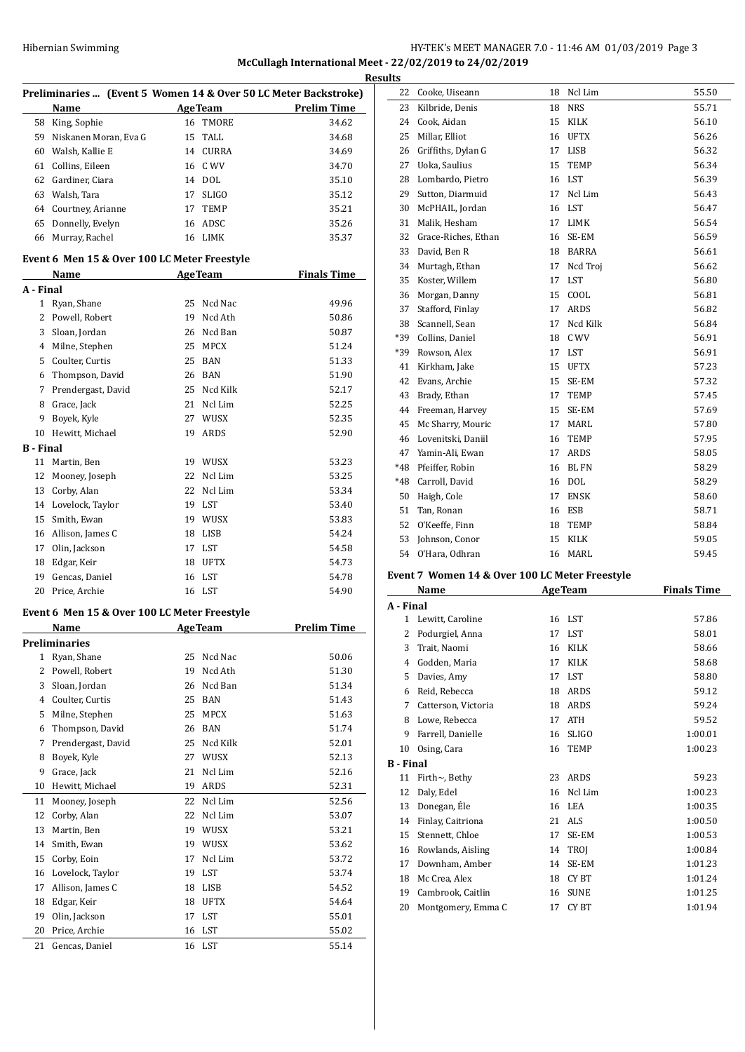# HY-TEK's MEET MANAGER 7.0 - 11:46 AM 01/03/2019 Page 3 **McCullagh International Meet - 22/02/2019 to 24/02/2019**

|              |                                              |                |                | I                                                               |
|--------------|----------------------------------------------|----------------|----------------|-----------------------------------------------------------------|
|              |                                              |                |                | Preliminaries  (Event 5 Women 14 & Over 50 LC Meter Backstroke) |
|              | Name                                         |                | <b>AgeTeam</b> | <b>Prelim Time</b>                                              |
| 58           | King, Sophie                                 | 16             | TMORE          | 34.62                                                           |
| 59           | Niskanen Moran, Eva G                        | 15             | TALL           | 34.68                                                           |
| 60           | Walsh, Kallie E                              |                | 14 CURRA       | 34.69                                                           |
| 61           | Collins, Eileen                              |                | 16 C WV        | 34.70                                                           |
| 62           | Gardiner, Ciara                              |                | 14 DOL         | 35.10                                                           |
| 63           | Walsh, Tara                                  | 17             | <b>SLIGO</b>   | 35.12                                                           |
| 64           | Courtney, Arianne                            | 17             | TEMP           | 35.21                                                           |
| 65           | Donnelly, Evelyn                             |                | 16 ADSC        | 35.26                                                           |
| 66           | Murray, Rachel                               |                | 16 LIMK        | 35.37                                                           |
|              |                                              |                |                |                                                                 |
|              | Event 6 Men 15 & Over 100 LC Meter Freestyle |                |                |                                                                 |
|              | Name                                         |                | AgeTeam        | <b>Finals Time</b>                                              |
| A - Final    |                                              |                |                |                                                                 |
| 1            | Ryan, Shane                                  | 25             | Ncd Nac        | 49.96                                                           |
| 2            | Powell, Robert                               | 19             | Ncd Ath        | 50.86                                                           |
| 3            | Sloan, Jordan                                | 26             | Ncd Ban        | 50.87                                                           |
| 4            | Milne, Stephen                               | 25             | MPCX           | 51.24                                                           |
| 5            | Coulter, Curtis                              | 25             | <b>BAN</b>     | 51.33                                                           |
| 6            | Thompson, David                              | 26             | BAN            | 51.90                                                           |
| 7            | Prendergast, David                           | 25             | Ncd Kilk       | 52.17                                                           |
| 8            | Grace, Jack                                  | 21             | Ncl Lim        | 52.25                                                           |
| 9            | Boyek, Kyle                                  |                | 27 WUSX        | 52.35                                                           |
| 10           | Hewitt, Michael                              | 19             | ARDS           | 52.90                                                           |
| B - Final    |                                              |                |                |                                                                 |
| 11           | Martin, Ben                                  | 19             | WUSX           | 53.23                                                           |
| 12           | Mooney, Joseph                               | 22             | Ncl Lim        | 53.25                                                           |
| 13           | Corby, Alan                                  | 22             | Ncl Lim        | 53.34                                                           |
| 14           | Lovelock, Taylor                             |                | 19 LST         | 53.40                                                           |
| 15           | Smith, Ewan                                  | 19             | WUSX           | 53.83                                                           |
| 16           | Allison, James C                             | 18             | LISB           | 54.24                                                           |
| 17           | Olin, Jackson                                | 17             | LST            | 54.58                                                           |
| 18           | Edgar, Keir                                  | 18             | UFTX           | 54.73                                                           |
| 19           | Gencas, Daniel                               | 16             | LST            | 54.78                                                           |
| 20           | Price, Archie                                | 16             | LST            | 54.90                                                           |
|              |                                              |                |                |                                                                 |
|              | Event 6 Men 15 & Over 100 LC Meter Freestyle |                |                |                                                                 |
|              | Name                                         | <b>AgeTeam</b> |                | <b>Prelim Time</b>                                              |
|              | <b>Preliminaries</b>                         |                |                |                                                                 |
| $\mathbf{1}$ | Ryan, Shane                                  | 25             | Ncd Nac        | 50.06                                                           |
| 2            | Powell, Robert                               | 19             | Ncd Ath        | 51.30                                                           |
| 3            | Sloan, Jordan                                | 26             | Ncd Ban        | 51.34                                                           |
| 4            | Coulter, Curtis                              | 25             | <b>BAN</b>     | 51.43                                                           |
| 5            | Milne, Stephen                               | 25             | MPCX           | 51.63                                                           |
| 6            | Thompson, David                              | 26             | BAN            | 51.74                                                           |
| 7            | Prendergast, David                           | 25             | Ncd Kilk       | 52.01                                                           |
| 8            | Boyek, Kyle                                  | 27             | WUSX           | 52.13                                                           |
| 9            | Grace, Jack                                  | 21             | Ncl Lim        | 52.16                                                           |
| 10           | Hewitt, Michael                              | 19             | ARDS           | 52.31                                                           |
| 11           | Mooney, Joseph                               | 22             | Ncl Lim        | 52.56                                                           |
| 12           | Corby, Alan                                  | 22             | Ncl Lim        | 53.07                                                           |
| 13           | Martin, Ben                                  | 19             | WUSX           | 53.21                                                           |
| 14           | Smith, Ewan                                  | 19             | WUSX           | 53.62                                                           |
| 15           | Corby, Eoin                                  | 17             | Ncl Lim        | 53.72                                                           |
| 16           | Lovelock, Taylor                             | 19             | LST            | 53.74                                                           |
| 17           | Allison, James C                             | 18             | LISB           | 54.52                                                           |
| 18           | Edgar, Keir                                  | 18             | <b>UFTX</b>    | 54.64                                                           |
| 19           | Olin, Jackson                                | 17             | LST            | 55.01                                                           |
| 20           | Price, Archie                                | 16             | LST            | 55.02                                                           |
| 21           | Gencas, Daniel                               | 16             | LST            | 55.14                                                           |

| 22 | Cooke, Uiseann                                 | 18 | Ncl Lim        | 55.50              |
|----|------------------------------------------------|----|----------------|--------------------|
| 23 | Kilbride, Denis                                |    | 18 NRS         | 55.71              |
| 24 | Cook, Aidan                                    |    | 15 KILK        | 56.10              |
| 25 | Millar, Elliot                                 |    | 16 UFTX        | 56.26              |
|    | 26 Griffiths, Dylan G                          |    | 17 LISB        | 56.32              |
|    | 27 Uoka, Saulius                               |    | 15 TEMP        | 56.34              |
|    | 28 Lombardo, Pietro                            |    | 16 LST         | 56.39              |
|    | 29 Sutton, Diarmuid                            |    | 17 Ncl Lim     | 56.43              |
|    | 30 McPHAIL, Jordan                             |    | 16 LST         | 56.47              |
| 31 | Malik, Hesham                                  |    | 17 LIMK        | 56.54              |
|    | 32 Grace-Riches, Ethan                         |    | 16 SE-EM       | 56.59              |
| 33 | David, Ben R                                   |    | 18 BARRA       | 56.61              |
|    | 34 Murtagh, Ethan                              |    | 17 Ncd Troj    | 56.62              |
| 35 | Koster, Willem                                 |    | 17 LST         | 56.80              |
|    | 36 Morgan, Danny                               |    | 15 COOL        | 56.81              |
|    | 37 Stafford, Finlay                            |    | 17 ARDS        | 56.82              |
|    | 38 Scannell, Sean                              |    | 17 Ncd Kilk    | 56.84              |
|    | *39 Collins, Daniel                            |    | 18 C WV        | 56.91              |
|    | *39 Rowson, Alex                               |    | 17 LST         | 56.91              |
|    | 41 Kirkham, Jake                               |    | 15 UFTX        | 57.23              |
|    | 42 Evans, Archie                               |    | 15 SE-EM       | 57.32              |
|    | 43 Brady, Ethan                                |    | 17 TEMP        | 57.45              |
|    | 44 Freeman, Harvey                             |    | 15 SE-EM       | 57.69              |
| 45 | Mc Sharry, Mouric                              |    | 17 MARL        | 57.80              |
|    | 46 Lovenitski, Daniil                          |    | 16 TEMP        | 57.95              |
|    | 47 Yamin-Ali, Ewan                             |    | 17 ARDS        | 58.05              |
|    | *48 Pfeiffer. Robin                            |    | 16 BL FN       | 58.29              |
|    | *48 Carroll, David                             |    | 16 DOL         | 58.29              |
| 50 | Haigh, Cole                                    |    | 17 ENSK        | 58.60              |
| 51 | Tan, Ronan                                     |    | 16 ESB         | 58.71              |
| 52 | O'Keeffe, Finn                                 |    | 18 TEMP        | 58.84              |
| 53 | Johnson, Conor                                 |    | 15 KILK        | 59.05              |
|    | 54 O'Hara, Odhran                              |    | 16 MARL        | 59.45              |
|    | Event 7 Women 14 & Over 100 LC Meter Freestyle |    |                |                    |
|    | Name                                           |    | <b>AgeTeam</b> | <b>Finals Time</b> |

|                  | маше                 |    | де геаш      | гицаны типе |
|------------------|----------------------|----|--------------|-------------|
| A - Final        |                      |    |              |             |
| 1                | Lewitt, Caroline     | 16 | LST          | 57.86       |
| 2                | Podurgiel, Anna      | 17 | LST          | 58.01       |
| 3                | Trait, Naomi         | 16 | <b>KILK</b>  | 58.66       |
| 4                | Godden, Maria        | 17 | <b>KILK</b>  | 58.68       |
| 5                | Davies, Amy          | 17 | <b>LST</b>   | 58.80       |
| 6                | Reid, Rebecca        | 18 | ARDS         | 59.12       |
| 7                | Catterson, Victoria  | 18 | ARDS         | 59.24       |
| 8                | Lowe, Rebecca        | 17 | <b>ATH</b>   | 59.52       |
| 9                | Farrell, Danielle    | 16 | <b>SLIGO</b> | 1:00.01     |
| 10               | Osing, Cara          | 16 | <b>TEMP</b>  | 1:00.23     |
| <b>B</b> - Final |                      |    |              |             |
| 11               | Firth $\sim$ , Bethy | 23 | ARDS         | 59.23       |
| 12               | Daly, Edel           | 16 | Ncl Lim      | 1:00.23     |
| 13               | Donegan, Éle         | 16 | LEA          | 1:00.35     |
| 14               | Finlay, Caitriona    | 21 | ALS          | 1:00.50     |
| 15               | Stennett, Chloe      | 17 | SE-EM        | 1:00.53     |
| 16               | Rowlands, Aisling    | 14 | TROJ         | 1:00.84     |
| 17               | Downham, Amber       | 14 | SE-EM        | 1:01.23     |
| 18               | Mc Crea, Alex        | 18 | CY BT        | 1:01.24     |
| 19               | Cambrook, Caitlin    | 16 | <b>SUNE</b>  | 1:01.25     |
| 20               | Montgomery, Emma C   | 17 | <b>CYBT</b>  | 1:01.94     |
|                  |                      |    |              |             |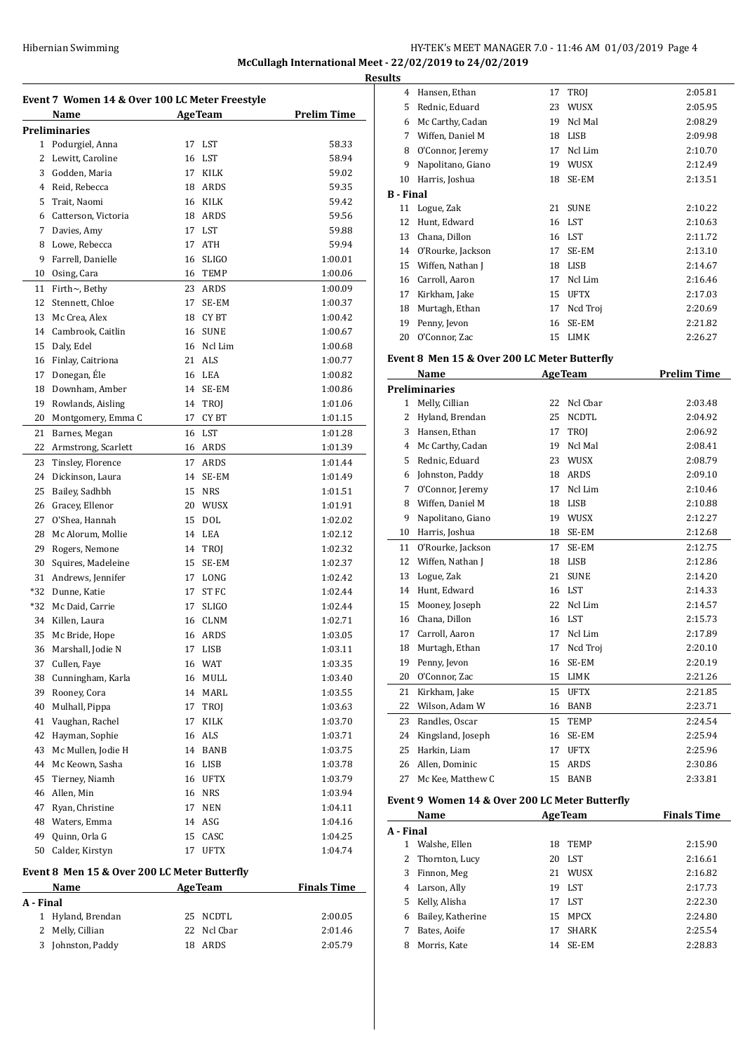#### Hibernian Swimming **HY-TEK's MEET MANAGER 7.0 - 11:46 AM 01/03/2019** Page 4 **McCullagh International Meet - 22/02/2019 to 24/02/2019 Results**

**Event 7 Women 14 & Over 100 LC Meter Freestyle Name Age Team Prelim Time Preliminaries** Podurgiel, Anna 17 LST 58.33 2 Lewitt. Caroline 16 LST 58.94 Godden, Maria 17 KILK 59.02 Reid, Rebecca 18 ARDS 59.35 Trait, Naomi 16 KILK 59.42 Catterson, Victoria 18 ARDS 59.56 7 Davies, Amy 17 LST 59.88 8 Lowe, Rebecca **17 ATH** 59.94 Farrell, Danielle 16 SLIGO 1:00.01 Osing, Cara 16 TEMP 1:00.06 Firth~, Bethy 23 ARDS 1:00.09 Stennett, Chloe 17 SE-EM 1:00.37 13 Mc Crea, Alex 18 CY BT 1:00.42 Cambrook, Caitlin 16 SUNE 1:00.67 15 Daly, Edel 16 Ncl Lim 1:00.68 Finlay, Caitriona 21 ALS 1:00.77 17 Donegan, Éle 16 LEA 1:00.82 Downham, Amber 14 SE-EM 1:00.86 19 Rowlands, Aisling 14 TROJ 1:01.06 20 Montgomery, Emma C 17 CY BT 1:01.15 21 Barnes, Megan 16 LST 1:01.28 22 Armstrong, Scarlett 16 ARDS 1:01.39 23 Tinsley, Florence 17 ARDS 1:01.44 24 Dickinson, Laura 14 SE-EM 1:01.49 Bailey, Sadhbh 15 NRS 1:01.51 Gracey, Ellenor 20 WUSX 1:01.91 O'Shea, Hannah 15 DOL 1:02.02 28 Mc Alorum, Mollie 14 LEA 1:02.12 29 Rogers, Nemone 14 TROJ 1:02.32 Squires, Madeleine 15 SE-EM 1:02.37 31 Andrews, Jennifer 17 LONG 1:02.42 \*32 Dunne, Katie 17 ST FC 1:02.44 \*32 Mc Daid, Carrie 17 SLIGO 1:02.44 34 Killen, Laura 16 CLNM 1:02.71 Mc Bride, Hope 16 ARDS 1:03.05 36 Marshall, Jodie N 17 LISB 1:03.11 Cullen, Faye 16 WAT 1:03.35 Cunningham, Karla 16 MULL 1:03.40 39 Rooney, Cora 14 MARL 1:03.55 Mulhall, Pippa 17 TROJ 1:03.63 Vaughan, Rachel 17 KILK 1:03.70 Hayman, Sophie 16 ALS 1:03.71 43 Mc Mullen, Jodie H 14 BANB 1:03.75 Mc Keown, Sasha 16 LISB 1:03.78 Tierney, Niamh 16 UFTX 1:03.79 46 Allen, Min 16 NRS 1:03.94 47 Ryan, Christine 17 NEN 1:04.11 Waters, Emma 14 ASG 1:04.16 Quinn, Orla G 15 CASC 1:04.25 Calder, Kirstyn 17 UFTX 1:04.74 **Event 8 Men 15 & Over 200 LC Meter Butterfly Name Age Team Finals Time**  $\overline{a}$ **A - Final**

| Name    |                   | Age Team    | <b>Finals Time</b> |  |
|---------|-------------------|-------------|--------------------|--|
| - Final |                   |             |                    |  |
|         | 1 Hyland, Brendan | 25 NCDTL    | 2:00.05            |  |
|         | 2 Melly, Cillian  | 22 Ncl Cbar | 2:01.46            |  |
|         | 3 Johnston, Paddy | 18 ARDS     | 2:05.79            |  |
|         |                   |             |                    |  |

| .         |                   |    |             |         |
|-----------|-------------------|----|-------------|---------|
| 4         | Hansen, Ethan     | 17 | <b>TROI</b> | 2:05.81 |
| 5         | Rednic, Eduard    | 23 | WUSX        | 2:05.95 |
| 6         | Mc Carthy, Cadan  | 19 | Ncl Mal     | 2:08.29 |
| 7         | Wiffen, Daniel M  | 18 | <b>LISB</b> | 2:09.98 |
| 8         | O'Connor, Jeremy  | 17 | Ncl Lim     | 2:10.70 |
| 9         | Napolitano, Giano | 19 | WUSX        | 2:12.49 |
| 10        | Harris, Joshua    | 18 | SE-EM       | 2:13.51 |
| B - Final |                   |    |             |         |
| 11        | Logue, Zak        | 21 | <b>SUNE</b> | 2:10.22 |
| 12        | Hunt, Edward      | 16 | LST         | 2:10.63 |
| 13        | Chana, Dillon     | 16 | LST         | 2:11.72 |
| 14        | O'Rourke, Jackson | 17 | SE-EM       | 2:13.10 |
| 15        | Wiffen, Nathan J  | 18 | LISB        | 2:14.67 |
| 16        | Carroll, Aaron    | 17 | Ncl Lim     | 2:16.46 |
| 17        | Kirkham, Jake     | 15 | <b>UFTX</b> | 2:17.03 |
| 18        | Murtagh, Ethan    | 17 | Ncd Troj    | 2:20.69 |
| 19        | Penny, Jevon      | 16 | SE-EM       | 2:21.82 |
| 20        | O'Connor, Zac     | 15 | <b>LIMK</b> | 2:26.27 |

#### **Event 8 Men 15 & Over 200 LC Meter Butterfly**

|                | Name                 | <b>AgeTeam</b> |              | <b>Prelim Time</b> |
|----------------|----------------------|----------------|--------------|--------------------|
|                | <b>Preliminaries</b> |                |              |                    |
| $\mathbf{1}$   | Melly, Cillian       | 22             | Ncl Char     | 2:03.48            |
| 2              | Hyland, Brendan      | 25             | <b>NCDTL</b> | 2:04.92            |
| 3              | Hansen, Ethan        | 17             | <b>TROI</b>  | 2:06.92            |
| $\overline{4}$ | Mc Carthy, Cadan     | 19             | Ncl Mal      | 2:08.41            |
| 5              | Rednic, Eduard       | 23             | WUSX         | 2:08.79            |
| 6              | Johnston, Paddy      | 18             | ARDS         | 2:09.10            |
| 7              | O'Connor, Jeremy     | 17             | Ncl Lim      | 2:10.46            |
| 8              | Wiffen, Daniel M     | 18             | <b>LISB</b>  | 2:10.88            |
| 9              | Napolitano, Giano    | 19             | WUSX         | 2:12.27            |
| 10             | Harris, Joshua       | 18             | SE-EM        | 2:12.68            |
| 11             | O'Rourke, Jackson    | 17             | SE-EM        | 2:12.75            |
| 12             | Wiffen, Nathan J     | 18             | <b>LISB</b>  | 2:12.86            |
| 13             | Logue, Zak           | 21             | <b>SUNE</b>  | 2:14.20            |
| 14             | Hunt, Edward         | 16             | <b>LST</b>   | 2:14.33            |
| 15             | Mooney, Joseph       | 22             | Ncl Lim      | 2:14.57            |
| 16             | Chana, Dillon        | 16             | <b>LST</b>   | 2:15.73            |
| 17             | Carroll, Aaron       | 17             | Ncl Lim      | 2:17.89            |
| 18             | Murtagh, Ethan       | 17             | Ncd Troi     | 2:20.10            |
| 19             | Penny, Jevon         | 16             | SE-EM        | 2:20.19            |
| 20             | O'Connor, Zac        | 15             | LIMK         | 2:21.26            |
| 21             | Kirkham, Jake        | 15             | <b>UFTX</b>  | 2:21.85            |
| 22             | Wilson, Adam W       | 16             | <b>BANB</b>  | 2:23.71            |
| 23             | Randles, Oscar       | 15             | <b>TEMP</b>  | 2:24.54            |
| 24             | Kingsland, Joseph    | 16             | SE-EM        | 2:25.94            |
| 25             | Harkin, Liam         | 17             | <b>UFTX</b>  | 2:25.96            |
| 26             | Allen, Dominic       | 15             | ARDS         | 2:30.86            |
| 27             | Mc Kee, Matthew C    | 15             | <b>BANB</b>  | 2:33.81            |

#### **Event 9 Women 14 & Over 200 LC Meter Butterfly**

|           | Name              | <b>AgeTeam</b> |              | <b>Finals Time</b> |
|-----------|-------------------|----------------|--------------|--------------------|
| A - Final |                   |                |              |                    |
|           | Walshe, Ellen     | 18             | <b>TEMP</b>  | 2:15.90            |
|           | 2 Thornton, Lucy  | 20             | LST          | 2:16.61            |
| 3         | Finnon, Meg       | 21             | WUSX         | 2:16.82            |
| 4         | Larson, Ally      | 19             | LST          | 2:17.73            |
| 5         | Kelly, Alisha     |                | 17 LST       | 2:22.30            |
| 6         | Bailey, Katherine | 15             | <b>MPCX</b>  | 2:24.80            |
|           | Bates, Aoife      | 17             | <b>SHARK</b> | 2:25.54            |
| 8         | Morris, Kate      | 14             | SE-EM        | 2:28.83            |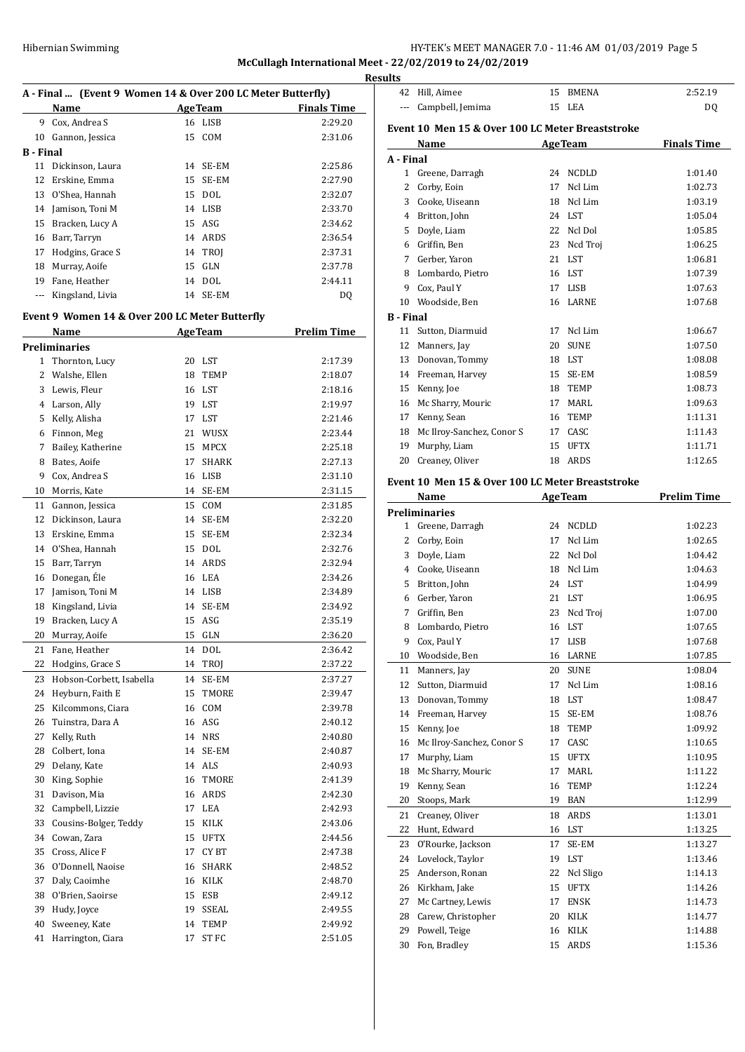**McCullagh International Meet - 22/02/2019 to 24/02/2019**

| A - Final  (Event 9 Women 14 & Over 200 LC Meter Butterfly) |                                                |    |                |                    |  |
|-------------------------------------------------------------|------------------------------------------------|----|----------------|--------------------|--|
|                                                             | Name                                           |    | <b>AgeTeam</b> | <b>Finals Time</b> |  |
| 9                                                           | Cox, Andrea S                                  |    | 16 LISB        | 2:29.20            |  |
| 10                                                          | Gannon, Jessica                                | 15 | COM            | 2:31.06            |  |
| <b>B</b> - Final                                            |                                                |    |                |                    |  |
| 11                                                          | Dickinson, Laura                               | 14 | SE-EM          | 2:25.86            |  |
| 12                                                          | Erskine, Emma                                  | 15 | SE-EM          | 2:27.90            |  |
| 13                                                          | O'Shea, Hannah                                 | 15 | <b>DOL</b>     | 2:32.07            |  |
| 14                                                          | Jamison, Toni M                                |    | 14 LISB        | 2:33.70            |  |
| 15                                                          | Bracken, Lucy A                                |    | 15 ASG         | 2:34.62            |  |
| 16                                                          | Barr, Tarryn                                   |    | 14 ARDS        | 2:36.54            |  |
| 17                                                          | Hodgins, Grace S                               |    | 14 TROI        | 2:37.31            |  |
| 18                                                          | Murray, Aoife                                  | 15 | GLN            | 2:37.78            |  |
| 19                                                          | Fane, Heather                                  |    | 14 DOL         | 2:44.11            |  |
|                                                             | Kingsland, Livia                               | 14 | SE-EM          | DO.                |  |
|                                                             | Event 9 Women 14 & Over 200 LC Meter Butterfly |    |                |                    |  |
|                                                             | Name                                           |    | <b>AgeTeam</b> | <b>Prelim Time</b> |  |
|                                                             | <b>December 1999</b> - Andrew 1999             |    |                |                    |  |

|    | Preliminaries            |    |              |         |
|----|--------------------------|----|--------------|---------|
| 1  | Thornton, Lucy           |    | 20 LST       | 2:17.39 |
| 2  | Walshe, Ellen            | 18 | TEMP         | 2:18.07 |
| 3  | Lewis, Fleur             | 16 | LST          | 2:18.16 |
| 4  | Larson, Ally             | 19 | LST          | 2:19.97 |
| 5  | Kelly, Alisha            | 17 | LST          | 2:21.46 |
| 6  | Finnon, Meg              | 21 | <b>WUSX</b>  | 2:23.44 |
| 7  | Bailey, Katherine        | 15 | <b>MPCX</b>  | 2:25.18 |
| 8  | Bates, Aoife             | 17 | <b>SHARK</b> | 2:27.13 |
| 9  | Cox, Andrea S            | 16 | <b>LISB</b>  | 2:31.10 |
| 10 | Morris, Kate             | 14 | SE-EM        | 2:31.15 |
| 11 | Gannon, Jessica          | 15 | COM          | 2:31.85 |
| 12 | Dickinson, Laura         | 14 | SE-EM        | 2:32.20 |
| 13 | Erskine, Emma            | 15 | SE-EM        | 2:32.34 |
| 14 | O'Shea, Hannah           | 15 | <b>DOL</b>   | 2:32.76 |
| 15 | Barr, Tarryn             | 14 | <b>ARDS</b>  | 2:32.94 |
| 16 | Donegan, Éle             | 16 | LEA          | 2:34.26 |
| 17 | Jamison, Toni M          |    | 14 LISB      | 2:34.89 |
| 18 | Kingsland, Livia         | 14 | SE-EM        | 2:34.92 |
| 19 | Bracken, Lucy A          | 15 | ASG          | 2:35.19 |
| 20 | Murray, Aoife            | 15 | <b>GLN</b>   | 2:36.20 |
| 21 | Fane, Heather            | 14 | <b>DOL</b>   | 2:36.42 |
| 22 | Hodgins, Grace S         | 14 | TROJ         | 2:37.22 |
| 23 | Hobson-Corbett, Isabella | 14 | SE-EM        | 2:37.27 |
| 24 | Heyburn, Faith E         | 15 | TMORE        | 2:39.47 |
| 25 | Kilcommons, Ciara        | 16 | COM          | 2:39.78 |
| 26 | Tuinstra, Dara A         |    | 16 ASG       | 2:40.12 |
| 27 | Kelly, Ruth              |    | 14 NRS       | 2:40.80 |
| 28 | Colbert, Iona            | 14 | SE-EM        | 2:40.87 |
| 29 | Delany, Kate             | 14 | <b>ALS</b>   | 2:40.93 |
| 30 | King, Sophie             | 16 | TMORE        | 2:41.39 |
| 31 | Davison, Mia             |    | 16 ARDS      | 2:42.30 |
| 32 | Campbell, Lizzie         | 17 | LEA          | 2:42.93 |
| 33 | Cousins-Bolger, Teddy    | 15 | KILK         | 2:43.06 |
| 34 | Cowan, Zara              | 15 | <b>UFTX</b>  | 2:44.56 |
| 35 | Cross, Alice F           | 17 | CY BT        | 2:47.38 |
| 36 | O'Donnell, Naoise        | 16 | <b>SHARK</b> | 2:48.52 |
| 37 | Daly, Caoimhe            |    | 16 KILK      | 2:48.70 |
| 38 | O'Brien, Saoirse         | 15 | <b>ESB</b>   | 2:49.12 |
| 39 | Hudy, Joyce              | 19 | SSEAL        | 2:49.55 |
| 40 | Sweeney, Kate            | 14 | <b>TEMP</b>  | 2:49.92 |
| 41 | Harrington, Ciara        | 17 | <b>ST FC</b> | 2:51.05 |

| <b>Results</b>   |                                                          |          |                |                                                                                                                                                                              |
|------------------|----------------------------------------------------------|----------|----------------|------------------------------------------------------------------------------------------------------------------------------------------------------------------------------|
|                  | 42 Hill, Aimee                                           |          | 15 BMENA       | 2:52.19                                                                                                                                                                      |
| ---              | Campbell, Jemima                                         |          | 15 LEA         | DQ                                                                                                                                                                           |
|                  | Event 10 Men 15 & Over 100 LC Meter Breaststroke         |          |                |                                                                                                                                                                              |
|                  | Name                                                     |          | <b>AgeTeam</b> | <b>Finals Time</b>                                                                                                                                                           |
| A - Final        |                                                          |          |                |                                                                                                                                                                              |
|                  | 1 Greene, Darragh                                        |          | 24 NCDLD       | 1:01.40                                                                                                                                                                      |
|                  | 2 Corby, Eoin                                            | 17       | Ncl Lim        | 1:02.73                                                                                                                                                                      |
|                  | 3 Cooke, Uiseann                                         |          | 18 Ncl Lim     | 1:03.19                                                                                                                                                                      |
|                  | 4 Britton, John                                          |          | 24 LST         | 1:05.04                                                                                                                                                                      |
|                  | 5 Doyle, Liam                                            |          | 22 Ncl Dol     | 1:05.85                                                                                                                                                                      |
|                  | 6 Griffin, Ben                                           |          | 23 Ncd Troj    | 1:06.25                                                                                                                                                                      |
|                  | 7 Gerber, Yaron                                          |          | 21 LST         | 1:06.81                                                                                                                                                                      |
|                  | 8 Lombardo, Pietro                                       |          | 16 LST         | 1:07.39                                                                                                                                                                      |
|                  | 9 Cox, Paul Y                                            |          | 17 LISB        | 1:07.63                                                                                                                                                                      |
|                  | 10 Woodside, Ben                                         |          | 16 LARNE       | 1:07.68                                                                                                                                                                      |
| <b>B</b> - Final |                                                          |          |                |                                                                                                                                                                              |
|                  | 11 Sutton, Diarmuid                                      |          | 17 Ncl Lim     | 1:06.67                                                                                                                                                                      |
|                  | 12 Manners, Jay                                          | 20       | <b>SUNE</b>    | 1:07.50                                                                                                                                                                      |
|                  | 13 Donovan, Tommy                                        |          | 18 LST         | 1:08.08                                                                                                                                                                      |
|                  | 14 Freeman, Harvey                                       |          | 15 SE-EM       | 1:08.59                                                                                                                                                                      |
|                  | 15 Kenny, Joe                                            |          | 18 TEMP        | 1:08.73                                                                                                                                                                      |
|                  | 16 Mc Sharry, Mouric                                     |          | 17 MARL        | 1:09.63                                                                                                                                                                      |
|                  | 17 Kenny, Sean                                           |          | 16 TEMP        | 1:11.31                                                                                                                                                                      |
|                  | 18 Mc Ilroy-Sanchez, Conor S                             |          | 17 CASC        | 1:11.43                                                                                                                                                                      |
| 19               | Murphy, Liam                                             |          | 15 UFTX        | 1:11.71                                                                                                                                                                      |
| 20               | Creaney, Oliver                                          |          | 18 ARDS        | 1:12.65                                                                                                                                                                      |
|                  |                                                          |          |                |                                                                                                                                                                              |
|                  | Event 10 Men 15 & Over 100 LC Meter Breaststroke<br>Name |          | <b>AgeTeam</b> | <b>Prelim Time</b>                                                                                                                                                           |
|                  | <b>Preliminaries</b>                                     |          |                |                                                                                                                                                                              |
|                  | 1 Greene, Darragh                                        |          | 24 NCDLD       | 1:02.23                                                                                                                                                                      |
|                  | 2 Corby, Eoin                                            | 17       | Ncl Lim        | 1:02.65                                                                                                                                                                      |
|                  | 3 Doyle, Liam                                            |          | 22 Ncl Dol     | 1:04.42                                                                                                                                                                      |
|                  | 4 Cooke, Uiseann                                         |          | 18 Ncl Lim     | 1:04.63                                                                                                                                                                      |
|                  | 5 Britton, John                                          |          | 24 LST         | 1:04.99                                                                                                                                                                      |
|                  | 6 Gerber, Yaron                                          |          |                |                                                                                                                                                                              |
|                  |                                                          |          |                |                                                                                                                                                                              |
|                  |                                                          |          | 21 LST         |                                                                                                                                                                              |
| 7                | Griffin, Ben                                             | 23       | Ncd Troj       |                                                                                                                                                                              |
| 8                | Lombardo, Pietro                                         |          | 16 LST         |                                                                                                                                                                              |
| 9                | Cox, Paul Y                                              | 17       | LISB           |                                                                                                                                                                              |
| 10               | Woodside, Ben                                            | 16       | LARNE          |                                                                                                                                                                              |
| 11               | Manners, Jay                                             | 20       | <b>SUNE</b>    |                                                                                                                                                                              |
| 12               | Sutton, Diarmuid                                         | 17       | Ncl Lim        |                                                                                                                                                                              |
| 13               | Donovan, Tommy                                           | 18       | LST            |                                                                                                                                                                              |
| 14               | Freeman, Harvey                                          | 15       | SE-EM          |                                                                                                                                                                              |
| 15               | Kenny, Joe                                               | 18       | TEMP           |                                                                                                                                                                              |
| 16               | Mc Ilroy-Sanchez, Conor S                                | 17       | CASC           |                                                                                                                                                                              |
| 17               | Murphy, Liam                                             | 15       | <b>UFTX</b>    |                                                                                                                                                                              |
| 18               | Mc Sharry, Mouric                                        | 17       | MARL           |                                                                                                                                                                              |
| 19               | Kenny, Sean                                              | 16       | TEMP           |                                                                                                                                                                              |
| 20               | Stoops, Mark                                             | 19       | BAN            |                                                                                                                                                                              |
| 21               | Creaney, Oliver                                          | 18       | ARDS           | 1:06.95<br>1:07.00<br>1:07.65<br>1:07.68<br>1:07.85<br>1:08.04<br>1:08.16<br>1:08.47<br>1:08.76<br>1:09.92<br>1:10.65<br>1:10.95<br>1:11.22<br>1:12.24<br>1:12.99<br>1:13.01 |
| 22               | Hunt, Edward                                             | 16       | LST            | 1:13.25                                                                                                                                                                      |
| 23<br>24         | O'Rourke, Jackson<br>Lovelock, Taylor                    | 17<br>19 | SE-EM<br>LST   | 1:13.27<br>1:13.46                                                                                                                                                           |

25 Anderson, Ronan 22 Ncl Sligo 1:14.13 Kirkham, Jake 15 UFTX 1:14.26 27 Mc Cartney, Lewis 17 ENSK 1:14.73 28 Carew, Christopher 20 KILK 1:14.77 29 Powell, Teige 16 KILK 1:14.88 Fon, Bradley 15 ARDS 1:15.36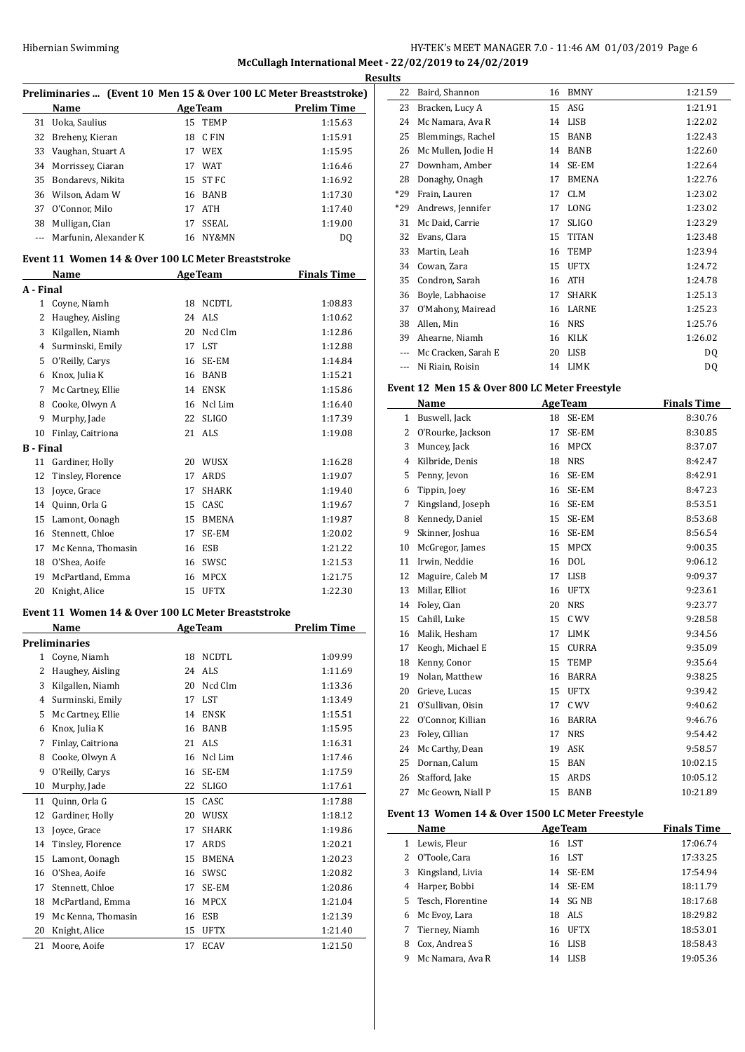# HY-TEK's MEET MANAGER 7.0 - 11:46 AM 01/03/2019 Page 6 **McCullagh International Meet - 22/02/2019 to 24/02/2019**

|                  | Preliminaries  (Event 10 Men 15 & Over 100 LC Meter Breaststroke) |    |                             |                                       |   |
|------------------|-------------------------------------------------------------------|----|-----------------------------|---------------------------------------|---|
|                  | Name                                                              |    |                             | <b>Example 2 Age Team</b> Prelim Time |   |
|                  | 31 Uoka, Saulius                                                  |    | 15 TEMP                     | 1:15.63                               |   |
|                  | 32 Breheny, Kieran                                                |    | 18 CFIN                     | 1:15.91                               |   |
|                  | 33 Vaughan, Stuart A                                              |    | 17 WEX                      | 1:15.95                               |   |
|                  | 34 Morrissey, Ciaran                                              |    | 17 WAT                      | 1:16.46                               |   |
|                  | 35 Bondarevs, Nikita                                              |    | 15 ST FC                    | 1:16.92                               |   |
|                  | 36 Wilson, Adam W                                                 |    | 16 BANB                     | 1:17.30                               |   |
|                  | 37 O'Connor, Milo                                                 |    | 17 ATH                      | 1:17.40                               |   |
|                  | 38 Mulligan, Cian                                                 |    | 17 SSEAL                    | 1:19.00                               |   |
|                  | --- Marfunin, Alexander K                                         |    | 16 NY&MN                    | DQ                                    |   |
|                  | Event 11 Women 14 & Over 100 LC Meter Breaststroke                |    |                             |                                       |   |
|                  | Name                                                              |    | <b>Example 2.1 Age Team</b> | <b>Finals Time</b>                    |   |
| A - Final        |                                                                   |    |                             |                                       |   |
|                  | 1 Coyne, Niamh                                                    |    | 18 NCDTL                    | 1:08.83                               |   |
|                  | 2 Haughey, Aisling                                                |    | 24 ALS                      | 1:10.62                               |   |
|                  | 3 Kilgallen, Niamh                                                |    | 20 Ncd Clm                  | 1:12.86                               |   |
|                  | 4 Surminski, Emily                                                |    | 17 LST                      | 1:12.88                               |   |
|                  | 5 O'Reilly, Carys                                                 |    | 16 SE-EM                    | 1:14.84                               |   |
|                  | 6 Knox, Julia K                                                   |    | 16 BANB                     | 1:15.21                               |   |
|                  | 7 Mc Cartney, Ellie                                               |    | 14 ENSK                     | 1:15.86                               | ь |
|                  | 8 Cooke, Olwyn A                                                  |    | 16 Ncl Lim                  | 1:16.40                               |   |
|                  | 9 Murphy, Jade                                                    |    | 22 SLIGO                    | 1:17.39                               |   |
|                  | 10 Finlay, Caitriona                                              |    | 21 ALS                      | 1:19.08                               |   |
| <b>B</b> - Final |                                                                   |    |                             |                                       |   |
| 11               | Gardiner, Holly                                                   |    | 20 WUSX                     | 1:16.28                               |   |
| 12               | Tinsley, Florence                                                 |    | 17 ARDS                     | 1:19.07                               |   |
| 13               | Joyce, Grace                                                      |    | 17 SHARK                    | 1:19.40                               |   |
|                  | 14 Quinn, Orla G                                                  |    | 15 CASC                     | 1:19.67                               |   |
|                  | 15 Lamont, Oonagh                                                 |    | 15 BMENA                    | 1:19.87                               |   |
|                  | 16 Stennett, Chloe                                                |    | 17 SE-EM                    | 1:20.02                               |   |
|                  | 17 Mc Kenna, Thomasin                                             |    | 16 ESB                      | 1:21.22                               |   |
|                  | 18 O'Shea, Aoife                                                  |    | 16 SWSC                     | 1:21.53                               |   |
|                  | 19 McPartland, Emma                                               |    | 16 MPCX                     | 1:21.75                               |   |
|                  | 20 Knight, Alice                                                  |    | 15 UFTX                     | 1:22.30                               |   |
|                  | Event 11 Women 14 & Over 100 LC Meter Breaststroke                |    |                             |                                       |   |
|                  | <b>Name</b>                                                       |    | <b>AgeTeam</b>              | <b>Prelim Time</b>                    |   |
|                  | <b>Preliminaries</b>                                              |    |                             |                                       |   |
| $\mathbf{1}$     | Coyne, Niamh                                                      | 18 | NCDTL                       | 1:09.99                               |   |
| 2                | Haughey, Aisling                                                  |    | 24 ALS                      | 1:11.69                               |   |
| 3                | Kilgallen, Niamh                                                  | 20 | Ncd Clm                     | 1:13.36                               |   |
| 4                | Surminski, Emily                                                  | 17 | LST                         | 1:13.49                               |   |
| 5                | Mc Cartney, Ellie                                                 |    | 14 ENSK                     | 1:15.51                               |   |
| 6                | Knox, Julia K                                                     |    | 16 BANB                     | 1:15.95                               |   |
| 7                | Finlay, Caitriona                                                 |    | 21 ALS                      | 1:16.31                               |   |
| 8                | Cooke, Olwyn A                                                    | 16 | Ncl Lim                     | 1:17.46                               |   |
| 9                | O'Reilly, Carys                                                   | 16 | SE-EM                       | 1:17.59                               |   |
| 10               | Murphy, Jade                                                      | 22 | SLIGO                       | 1:17.61                               |   |
| 11               | Quinn, Orla G                                                     | 15 | CASC                        | 1:17.88                               |   |
| 12               | Gardiner, Holly                                                   | 20 | WUSX                        | 1:18.12                               | ю |
| 13               | Joyce, Grace                                                      | 17 | SHARK                       | 1:19.86                               |   |
|                  |                                                                   |    |                             |                                       |   |
| 14               | Tinsley, Florence                                                 | 17 | ARDS                        | 1:20.21                               |   |
| 15               | Lamont, Oonagh                                                    | 15 | BMENA                       | 1:20.23                               |   |
| 16               | O'Shea, Aoife                                                     |    | 16 SWSC                     | 1:20.82                               |   |
| 17               | Stennett, Chloe                                                   | 17 | SE-EM                       | 1:20.86                               |   |
| 18               | McPartland, Emma                                                  |    | 16 MPCX                     | 1:21.04                               |   |
| 19               | Mc Kenna, Thomasin                                                |    | 16 ESB                      | 1:21.39                               |   |
| 20               | Knight, Alice                                                     | 15 | UFTX                        | 1:21.40                               |   |
| 21               | Moore, Aoife                                                      | 17 | ECAV                        | 1:21.50                               |   |

| ults  |                     |    |              |         |
|-------|---------------------|----|--------------|---------|
| 22    | Baird, Shannon      | 16 | <b>BMNY</b>  | 1:21.59 |
| 23    | Bracken, Lucy A     | 15 | ASG          | 1:21.91 |
| 24    | Mc Namara, Ava R    | 14 | LISB         | 1:22.02 |
| 25    | Blemmings, Rachel   | 15 | <b>BANB</b>  | 1:22.43 |
| 26    | Mc Mullen, Jodie H  | 14 | <b>BANB</b>  | 1:22.60 |
| 27    | Downham, Amber      | 14 | SE-EM        | 1:22.64 |
| 28    | Donaghy, Onagh      | 17 | <b>BMENA</b> | 1:22.76 |
| $*29$ | Frain, Lauren       | 17 | <b>CLM</b>   | 1:23.02 |
| $*29$ | Andrews, Jennifer   | 17 | LONG         | 1:23.02 |
| 31    | Mc Daid, Carrie     | 17 | <b>SLIGO</b> | 1:23.29 |
| 32    | Evans, Clara        | 15 | <b>TITAN</b> | 1:23.48 |
| 33    | Martin, Leah        | 16 | <b>TEMP</b>  | 1:23.94 |
| 34    | Cowan, Zara         | 15 | <b>UFTX</b>  | 1:24.72 |
| 35    | Condron, Sarah      | 16 | <b>ATH</b>   | 1:24.78 |
| 36    | Boyle, Labhaoise    | 17 | <b>SHARK</b> | 1:25.13 |
| 37    | O'Mahony, Mairead   | 16 | LARNE        | 1:25.23 |
| 38    | Allen, Min          | 16 | <b>NRS</b>   | 1:25.76 |
| 39    | Ahearne, Niamh      | 16 | KILK         | 1:26.02 |
| ---   | Mc Cracken, Sarah E | 20 | LISB         | DQ      |
| $---$ | Ni Riain, Roisin    | 14 | LIMK         | DQ      |

#### **Event 12 Men 15 & Over 800 LC Meter Freestyle**

|                | Name              | <b>AgeTeam</b> |              | <b>Finals Time</b> |
|----------------|-------------------|----------------|--------------|--------------------|
| 1              | Buswell, Jack     | 18             | SE-EM        | 8:30.76            |
| 2              | O'Rourke, Jackson | 17             | SE-EM        | 8:30.85            |
| 3              | Muncey, Jack      | 16             | <b>MPCX</b>  | 8:37.07            |
| $\overline{4}$ | Kilbride, Denis   | 18             | <b>NRS</b>   | 8:42.47            |
| 5              | Penny, Jevon      | 16             | SE-EM        | 8:42.91            |
| 6              | Tippin, Joey      | 16             | SE-EM        | 8:47.23            |
| 7              | Kingsland, Joseph | 16             | SE-EM        | 8:53.51            |
| 8              | Kennedy, Daniel   | 15             | SE-EM        | 8:53.68            |
| 9              | Skinner, Joshua   | 16             | SE-EM        | 8:56.54            |
| 10             | McGregor, James   | 15             | <b>MPCX</b>  | 9:00.35            |
| 11             | Irwin, Neddie     | 16             | <b>DOL</b>   | 9:06.12            |
| 12             | Maguire, Caleb M  | 17             | <b>LISB</b>  | 9:09.37            |
| 13             | Millar, Elliot    | 16             | <b>UFTX</b>  | 9:23.61            |
| 14             | Foley, Cian       | 20             | <b>NRS</b>   | 9:23.77            |
| 15             | Cahill, Luke      | 15             | C WV         | 9:28.58            |
| 16             | Malik, Hesham     | 17             | <b>LIMK</b>  | 9:34.56            |
| 17             | Keogh, Michael E  | 15             | <b>CURRA</b> | 9:35.09            |
| 18             | Kenny, Conor      | 15             | <b>TEMP</b>  | 9:35.64            |
| 19             | Nolan, Matthew    | 16             | <b>BARRA</b> | 9:38.25            |
| 20             | Grieve, Lucas     | 15             | <b>UFTX</b>  | 9:39.42            |
| 21             | O'Sullivan, Oisin | 17             | C WV         | 9:40.62            |
| 22             | O'Connor, Killian | 16             | <b>BARRA</b> | 9:46.76            |
| 23             | Foley, Cillian    | 17             | <b>NRS</b>   | 9:54.42            |
| 24             | Mc Carthy, Dean   | 19             | ASK          | 9:58.57            |
| 25             | Dornan, Calum     | 15             | <b>BAN</b>   | 10:02.15           |
| 26             | Stafford, Jake    | 15             | <b>ARDS</b>  | 10:05.12           |
| 27             | Mc Geown, Niall P | 15             | <b>BANB</b>  | 10:21.89           |

#### **Event 13 Women 14 & Over 1500 LC Meter Freestyle**

|    | Name              | <b>AgeTeam</b>    | <b>Finals Time</b> |
|----|-------------------|-------------------|--------------------|
| 1  | Lewis, Fleur      | 16 LST            | 17:06.74           |
| 2  | O'Toole, Cara     | 16 LST            | 17:33.25           |
| 3  | Kingsland, Livia  | 14 SE-EM          | 17:54.94           |
| 4  | Harper, Bobbi     | 14 SE-EM          | 18:11.79           |
| 5. | Tesch, Florentine | 14 SG NB          | 18:17.68           |
| 6  | Mc Evoy, Lara     | ALS<br>18         | 18:29.82           |
|    | 7 Tierney, Niamh  | <b>UFTX</b><br>16 | 18:53.01           |
| 8  | Cox, Andrea S     | 16 LISB           | 18:58.43           |
| 9  | Mc Namara, Ava R  | LISB<br>14        | 19:05.36           |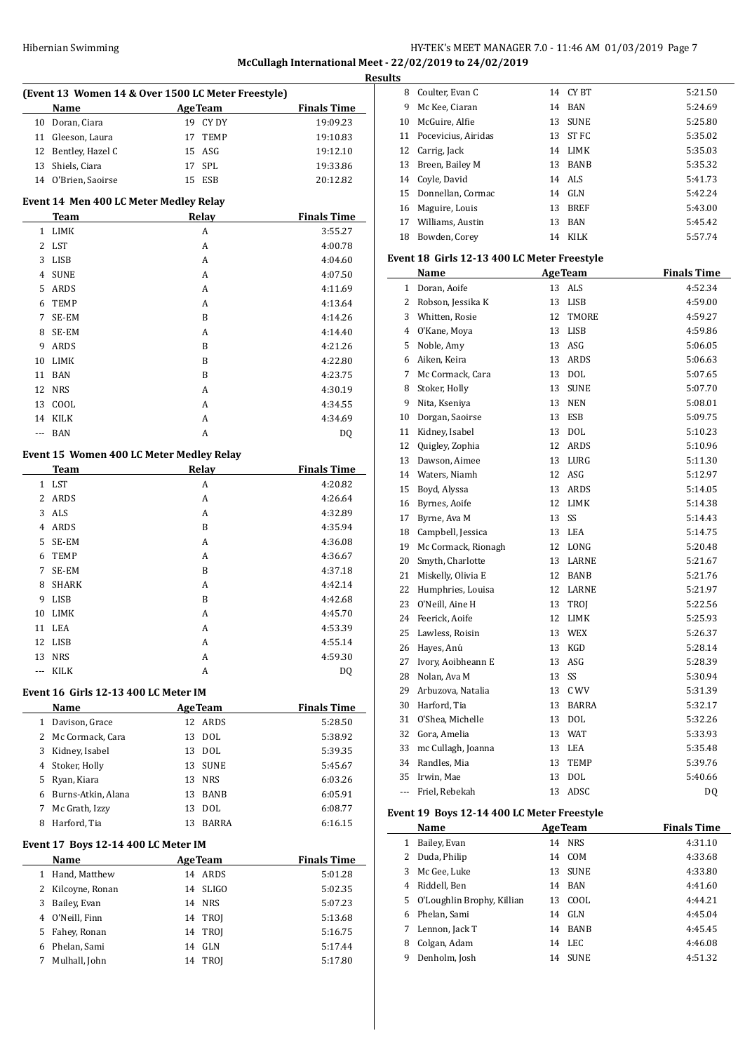# Hibernian Swimming HY-TEK's MEET MANAGER 7.0 - 11:46 AM 01/03/2019 Page 7 **McCullagh International Meet - 22/02/2019 to 24/02/2019**

|     |                                          |                                                    |                    | <b>Results</b> |
|-----|------------------------------------------|----------------------------------------------------|--------------------|----------------|
|     |                                          | (Event 13 Women 14 & Over 1500 LC Meter Freestyle) |                    | ξ              |
|     | Name                                     | <b>Example 2.1 Age Team</b>                        | <b>Finals Time</b> | Ç              |
|     | 10 Doran, Ciara                          | 19 CY DY                                           | 19:09.23           | 10             |
|     | 11 Gleeson, Laura                        | 17 TEMP                                            | 19:10.83           | 11             |
|     | 12 Bentley, Hazel C                      | 15 ASG                                             | 19:12.10           | 12             |
|     | 13 Shiels, Ciara                         | 17 SPL                                             | 19:33.86           | 13             |
|     | 14 O'Brien, Saoirse                      | 15 ESB                                             | 20:12.82           | 14             |
|     | Event 14 Men 400 LC Meter Medley Relay   |                                                    |                    | 15             |
|     | Team                                     | Relay                                              | <b>Finals Time</b> | 16             |
|     | 1 LIMK                                   | А                                                  | 3:55.27            | 17             |
|     | 2 LST                                    | А                                                  | 4:00.78            | 18             |
|     | 3 LISB                                   | А                                                  | 4:04.60            | Ever           |
| 4   | <b>SUNE</b>                              | A                                                  | 4:07.50            |                |
|     | 5 ARDS                                   | A                                                  | 4:11.69            |                |
| 6   | TEMP                                     | A                                                  | 4:13.64            |                |
| 7   | SE-EM                                    | B                                                  | 4:14.26            |                |
| 8   | SE-EM                                    | А                                                  | 4:14.40            |                |
| 9   | ARDS                                     | B                                                  | 4:21.26            |                |
| 10  | LIMK                                     | B                                                  | 4:22.80            |                |
|     | 11 BAN                                   | B                                                  | 4:23.75            |                |
|     | 12 NRS                                   | A                                                  | 4:30.19            | ξ              |
|     | 13 COOL                                  | A                                                  | 4:34.55            | S              |
|     | 14 KILK                                  | А                                                  | 4:34.69            | 10             |
| --- | BAN                                      | A                                                  | DQ                 | 11             |
|     |                                          |                                                    |                    | 12             |
|     | Event 15 Women 400 LC Meter Medley Relay |                                                    |                    | 13             |
|     | Team                                     | Relay                                              | <b>Finals Time</b> | 14             |
|     | 1 LST                                    | A                                                  | 4:20.82            | 15             |
|     | 2 ARDS                                   | А                                                  | 4:26.64            | 16             |
|     | 3 ALS                                    | A                                                  | 4:32.89            | 17             |
|     | 4 ARDS                                   | B                                                  | 4:35.94            | 18             |
| 5   | SE-EM                                    | A                                                  | 4:36.08            | 19             |
| 6   | <b>TEMP</b>                              | A                                                  | 4:36.67            | 2(             |
| 7   | SE-EM                                    | B                                                  | 4:37.18            | 21             |
| 8   | SHARK                                    | A                                                  | 4:42.14            | 22             |
| 9   | LISB                                     | B                                                  | 4:42.68            | 23             |
| 10  | <b>LIMK</b>                              | A                                                  | 4:45.70            | 24             |
| 11  | LEA                                      | А                                                  | 4:53.39            | 25             |
|     | 12 LISB                                  | A                                                  | 4:55.14            | 26             |
|     | 13 NRS                                   | A                                                  | 4:59.30            | $^{27}$        |
| --- | KILK                                     | A                                                  | DQ                 | 28             |
|     | Event 16 Girls 12-13 400 LC Meter IM     |                                                    |                    | 29             |
|     | Name                                     | <b>AgeTeam</b>                                     | <b>Finals Time</b> | 30             |
|     | 1 Davison, Grace                         | 12 ARDS                                            | 5:28.50            | 31             |
|     | 2 Mc Cormack, Cara                       | 13 DOL                                             | 5:38.92            | 32             |
|     | 3 Kidney, Isabel                         | 13 DOL                                             | 5:39.35            | 33             |
|     | 4 Stoker, Holly                          | 13 SUNE                                            | 5:45.67            | 34             |
|     | 5 Ryan, Kiara                            | 13 NRS                                             | 6:03.26            | 35             |
|     | 6 Burns-Atkin, Alana                     | 13 BANB                                            | 6:05.91            | ۰.             |
| 7   | Mc Grath, Izzy                           | 13 DOL                                             | 6:08.77            | Ever           |
|     | 8 Harford, Tia                           | 13 BARRA                                           | 6:16.15            |                |
|     |                                          |                                                    |                    |                |
|     | Event 17 Boys 12-14 400 LC Meter IM      |                                                    |                    |                |
|     | Name                                     | <b>AgeTeam</b>                                     | <b>Finals Time</b> |                |
|     | 1 Hand, Matthew                          | 14 ARDS                                            | 5:01.28            |                |
|     | 2 Kilcoyne, Ronan                        | 14 SLIGO                                           | 5:02.35            | Ę              |
|     | 3 Bailey, Evan                           | 14 NRS                                             | 5:07.23            |                |
|     | 4 O'Neill, Finn                          | 14 TROJ                                            | 5:13.68            | t              |
|     | 5 Fahey, Ronan                           | 14 TROJ                                            | 5:16.75            |                |
|     | 6 Phelan, Sami                           | 14 GLN                                             | 5:17.44            | $\mathsf{C}$   |
| 7   | Mulhall, John                            | 14 TROJ                                            | 5:17.80            |                |
|     |                                          |                                                    |                    |                |

| 8   | Coulter, Evan C                             |    | 14 CYBT        | 5:21.50            |
|-----|---------------------------------------------|----|----------------|--------------------|
| 9   | Mc Kee, Ciaran                              |    | 14 BAN         | 5:24.69            |
| 10  | McGuire, Alfie                              | 13 | <b>SUNE</b>    | 5:25.80            |
| 11  | Pocevicius, Airidas                         | 13 | ST FC          | 5:35.02            |
| 12  | Carrig, Jack                                |    | 14 LIMK        | 5:35.03            |
| 13  | Breen, Bailey M                             | 13 | <b>BANB</b>    | 5:35.32            |
| 14  | Coyle, David                                | 14 | ALS            | 5:41.73            |
| 15  | Donnellan, Cormac                           | 14 | GLN            | 5:42.24            |
| 16  | Maguire, Louis                              | 13 | <b>BREF</b>    | 5:43.00            |
| 17  | Williams, Austin                            | 13 | <b>BAN</b>     | 5:45.42            |
| 18  | Bowden, Corey                               |    | 14 KILK        | 5:57.74            |
|     |                                             |    |                |                    |
|     | Event 18 Girls 12-13 400 LC Meter Freestyle |    |                |                    |
|     | Name                                        |    | <b>AgeTeam</b> | <b>Finals Time</b> |
|     | 1 Doran, Aoife                              |    | 13 ALS         | 4:52.34            |
| 2   | Robson, Jessika K                           | 13 | LISB           | 4:59.00            |
| 3   | Whitten, Rosie                              | 12 | TMORE          | 4:59.27            |
| 4   | O'Kane, Moya                                | 13 | LISB           | 4:59.86            |
| 5   | Noble, Amy                                  |    | 13 ASG         | 5:06.05            |
| 6   | Aiken, Keira                                | 13 | ARDS           | 5:06.63            |
| 7   | Mc Cormack, Cara                            | 13 | <b>DOL</b>     | 5:07.65            |
| 8   | Stoker, Holly                               | 13 | <b>SUNE</b>    | 5:07.70            |
| 9   | Nita, Kseniya                               | 13 | NEN            | 5:08.01            |
| 10  | Dorgan, Saoirse                             | 13 | ESB            | 5:09.75            |
| 11  | Kidney, Isabel                              | 13 | DOL            | 5:10.23            |
| 12  | Quigley, Zophia                             | 12 | ARDS           | 5:10.96            |
| 13  | Dawson, Aimee                               |    | 13 LURG        | 5:11.30            |
| 14  | Waters, Niamh                               |    | 12 ASG         | 5:12.97            |
| 15  | Boyd, Alyssa                                | 13 | ARDS           | 5:14.05            |
| 16  | Byrnes, Aoife                               | 12 | LIMK           | 5:14.38            |
| 17  | Byrne, Ava M                                | 13 | SS             | 5:14.43            |
| 18  | Campbell, Jessica                           |    | 13 LEA         | 5:14.75            |
| 19  | Mc Cormack, Rionagh                         | 12 | LONG           | 5:20.48            |
| 20  | Smyth, Charlotte                            | 13 | LARNE          | 5:21.67            |
| 21  | Miskelly, Olivia E                          | 12 | <b>BANB</b>    | 5:21.76            |
| 22  | Humphries, Louisa                           |    | 12 LARNE       | 5:21.97            |
| 23  | O'Neill, Aine H                             | 13 | TROJ           | 5:22.56            |
| 24  | Feerick, Aoife                              |    | 12 LIMK        | 5:25.93            |
| 25  | Lawless, Roisin                             |    | 13 WEX         | 5:26.37            |
|     | 26 Hayes, Anú                               |    | 13 KGD         | 5:28.14            |
| 27  | Ivory, Aoibheann E                          |    | 13 ASG         | 5:28.39            |
| 28  | Nolan, Ava M                                | 13 | SS             | 5:30.94            |
| 29  | Arbuzova, Natalia                           | 13 | C WV           | 5:31.39            |
|     | 30 Harford, Tia                             | 13 | BARRA          | 5:32.17            |
|     | 31 O'Shea, Michelle                         | 13 | DOL            | 5:32.26            |
| 32  | Gora, Amelia                                |    | 13 WAT         | 5:33.93            |
| 33  | mc Cullagh, Joanna                          |    | 13 LEA         | 5:35.48            |
| 34  | Randles, Mia                                | 13 | TEMP           | 5:39.76            |
| 35  | Irwin, Mae                                  | 13 | <b>DOL</b>     | 5:40.66            |
| --- | Friel, Rebekah                              | 13 | ADSC           | DQ                 |
|     | Event 19 Boys 12-14 400 LC Meter Freestyle  |    |                |                    |
|     | Name                                        |    | <b>AgeTeam</b> | <b>Finals Time</b> |
|     | 1 Bailey, Evan                              |    | 14 NRS         | 4:31.10            |
| 2   | Duda, Philip                                | 14 | COM            | 4:33.68            |
| 3   | Mc Gee, Luke                                | 13 | <b>SUNE</b>    | 4:33.80            |
| 4   | Riddell, Ben                                | 14 | BAN            | 4:41.60            |
| 5   | O'Loughlin Brophy, Killian                  | 13 | COOL           | 4:44.21            |
| 6   | Phelan, Sami                                | 14 | GLN            | 4:45.04            |
| 7   | Lennon, Jack T                              | 14 | BANB           | 4:45.45            |
| 8   | Colgan, Adam                                | 14 | LEC            | 4:46.08            |
| 9   | Denholm, Josh                               | 14 | <b>SUNE</b>    | 4:51.32            |
|     |                                             |    |                |                    |
|     |                                             |    |                |                    |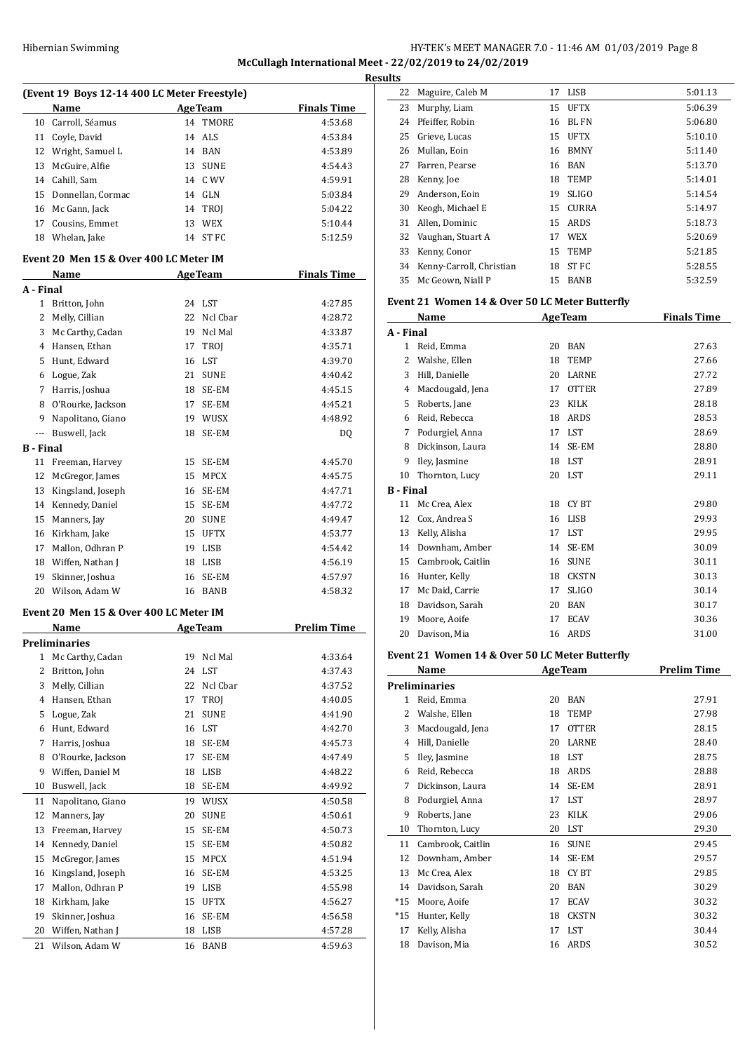# HY-TEK's MEET MANAGER 7.0 - 11:46 AM 01/03/2019 Page 8 **McCullagh International Meet - 22/02/2019 to 24/02/2019 Results**

|                           | (Event 19 Boys 12-14 400 LC Meter Freestyle) |    |                |                    |  |  |
|---------------------------|----------------------------------------------|----|----------------|--------------------|--|--|
|                           | Name                                         |    | <b>AgeTeam</b> | <b>Finals Time</b> |  |  |
| 10                        | Carroll, Séamus                              |    | 14 TMORE       | 4:53.68            |  |  |
| 11                        | Coyle, David                                 | 14 | ALS            | 4:53.84            |  |  |
| 12                        | Wright, Samuel L                             |    | 14 BAN         | 4:53.89            |  |  |
| 13                        | McGuire, Alfie                               | 13 | <b>SUNE</b>    | 4:54.43            |  |  |
| 14                        | Cahill, Sam                                  |    | 14 C WV        | 4:59.91            |  |  |
| 15                        | Donnellan, Cormac                            |    | 14 GLN         | 5:03.84            |  |  |
| 16                        | Mc Gann, Jack                                |    | 14 TROJ        | 5:04.22            |  |  |
| 17                        | Cousins, Emmet                               | 13 | WEX            | 5:10.44            |  |  |
| 18                        | Whelan, Jake                                 |    | 14 ST FC       | 5:12.59            |  |  |
|                           | Event 20  Men 15 & Over 400 LC Meter IM      |    |                |                    |  |  |
|                           | Name                                         |    | <b>AgeTeam</b> | <b>Finals Time</b> |  |  |
| A - Final<br>$\mathbf{1}$ |                                              |    |                |                    |  |  |
|                           | Britton, John                                |    | 24 LST         | 4:27.85            |  |  |
| 2                         | Melly, Cillian                               | 22 | Ncl Cbar       | 4:28.72            |  |  |
| 3                         | Mc Carthy, Cadan                             | 19 | Ncl Mal        | 4:33.87            |  |  |
| 4                         | Hansen, Ethan                                | 17 | <b>TROI</b>    | 4:35.71            |  |  |
| 5                         | Hunt, Edward                                 | 16 | LST            | 4:39.70            |  |  |
| 6                         | Logue, Zak                                   | 21 | SUNE           | 4:40.42            |  |  |
| 7                         | Harris, Joshua                               | 18 | SE-EM          | 4:45.15            |  |  |
| 8                         | O'Rourke, Jackson                            | 17 | SE-EM          | 4:45.21            |  |  |
| 9                         | Napolitano, Giano                            | 19 | WUSX           | 4:48.92            |  |  |
| ---                       | Buswell, Jack                                | 18 | SE-EM          | DQ                 |  |  |
| B - Final                 |                                              |    |                |                    |  |  |
| 11                        | Freeman, Harvey                              | 15 | SE-EM          | 4:45.70            |  |  |
| 12                        | McGregor, James                              | 15 | MPCX           | 4:45.75            |  |  |
| 13                        | Kingsland, Joseph                            | 16 | SE-EM          | 4:47.71            |  |  |
| 14                        | Kennedy, Daniel                              | 15 | SE-EM          | 4:47.72            |  |  |
| 15                        | Manners, Jay                                 | 20 | <b>SUNE</b>    | 4:49.47            |  |  |
| 16                        | Kirkham, Jake                                | 15 | <b>UFTX</b>    | 4:53.77            |  |  |
| 17                        | Mallon, Odhran P                             |    | 19 LISB        | 4:54.42            |  |  |
| 18                        | Wiffen, Nathan J                             | 18 | LISB           | 4:56.19            |  |  |
| 19                        | Skinner, Joshua                              | 16 | SE-EM          | 4:57.97            |  |  |
| 20                        | Wilson, Adam W                               | 16 | BANB           | 4:58.32            |  |  |
|                           | Event 20 Men 15 & Over 400 LC Meter IM       |    |                |                    |  |  |
|                           | Name                                         |    | <b>AgeTeam</b> | <b>Prelim Time</b> |  |  |
|                           | Preliminaries                                |    |                |                    |  |  |
| $\mathbf{1}$              | Mc Carthy, Cadan                             | 19 | Ncl Mal        | 4:33.64            |  |  |
| 2                         | Britton, John                                | 24 | LST            | 4:37.43            |  |  |
| 3                         | Melly, Cillian                               | 22 | Ncl Cbar       | 4:37.52            |  |  |
| 4                         | Hansen, Ethan                                | 17 | TROJ           | 4:40.05            |  |  |
| 5                         | Logue, Zak                                   | 21 | <b>SUNE</b>    | 4:41.90            |  |  |
| 6                         | Hunt, Edward                                 | 16 | LST            | 4:42.70            |  |  |
| 7                         | Harris, Joshua                               | 18 | SE-EM          | 4:45.73            |  |  |
| 8                         | O'Rourke, Jackson                            | 17 | SE-EM          | 4:47.49            |  |  |
| 9                         | Wiffen, Daniel M                             | 18 | LISB           | 4:48.22            |  |  |
| 10                        | Buswell, Jack                                | 18 | SE-EM          | 4:49.92            |  |  |
| 11                        | Napolitano, Giano                            | 19 | WUSX           | 4:50.58            |  |  |
| 12                        | Manners, Jay                                 | 20 | <b>SUNE</b>    | 4:50.61            |  |  |
| 13                        | Freeman, Harvey                              | 15 | SE-EM          | 4:50.73            |  |  |
| 14                        | Kennedy, Daniel                              | 15 | SE-EM          | 4:50.82            |  |  |
| 15                        | McGregor, James                              | 15 | MPCX           | 4:51.94            |  |  |
| 16                        | Kingsland, Joseph                            | 16 | SE-EM          | 4:53.25            |  |  |
| 17                        | Mallon, Odhran P                             | 19 | LISB           | 4:55.98            |  |  |
| 18                        | Kirkham, Jake                                | 15 | <b>UFTX</b>    | 4:56.27            |  |  |
| 19                        | Skinner, Joshua                              | 16 | SE-EM          | 4:56.58            |  |  |
| 20                        | Wiffen, Nathan J                             | 18 | LISB           | 4:57.28            |  |  |
| 21                        | Wilson, Adam W                               | 16 | BANB           | 4:59.63            |  |  |
|                           |                                              |    |                |                    |  |  |

| ultə |                          |    |              |         |
|------|--------------------------|----|--------------|---------|
| 22   | Maguire, Caleb M         | 17 | LISB         | 5:01.13 |
| 23   | Murphy, Liam             | 15 | <b>UFTX</b>  | 5:06.39 |
| 24   | Pfeiffer. Robin          | 16 | BL FN        | 5:06.80 |
| 25   | Grieve, Lucas            | 15 | <b>UFTX</b>  | 5:10.10 |
| 26   | Mullan, Eoin             |    | 16 BMNY      | 5:11.40 |
| 27   | Farren, Pearse           | 16 | BAN          | 5:13.70 |
| 28   | Kenny, Joe               |    | 18 TEMP      | 5:14.01 |
| 29   | Anderson, Eoin           | 19 | <b>SLIGO</b> | 5:14.54 |
| 30   | Keogh, Michael E         | 15 | CURRA        | 5:14.97 |
| 31   | Allen, Dominic           | 15 | ARDS         | 5:18.73 |
|      | 32 Vaughan, Stuart A     | 17 | WEX          | 5:20.69 |
| 33   | Kenny, Conor             | 15 | <b>TEMP</b>  | 5:21.85 |
| 34   | Kenny-Carroll, Christian | 18 | ST FC        | 5:28.55 |
| 35   | Mc Geown, Niall P        | 15 | <b>BANB</b>  | 5:32.59 |
|      |                          |    |              |         |

#### **Event 21 Women 14 & Over 50 LC Meter Butterfly**

|           | Name              |    | <b>AgeTeam</b> | <b>Finals Time</b> |  |  |
|-----------|-------------------|----|----------------|--------------------|--|--|
| A - Final |                   |    |                |                    |  |  |
| 1         | Reid, Emma        | 20 | <b>BAN</b>     | 27.63              |  |  |
| 2         | Walshe, Ellen     | 18 | <b>TEMP</b>    | 27.66              |  |  |
| 3         | Hill, Danielle    | 20 | LARNE          | 27.72              |  |  |
| 4         | Macdougald, Jena  | 17 | <b>OTTER</b>   | 27.89              |  |  |
| 5         | Roberts, Jane     | 23 | <b>KILK</b>    | 28.18              |  |  |
| 6         | Reid, Rebecca     | 18 | <b>ARDS</b>    | 28.53              |  |  |
| 7         | Podurgiel, Anna   | 17 | <b>LST</b>     | 28.69              |  |  |
| 8         | Dickinson, Laura  | 14 | SE-EM          | 28.80              |  |  |
| 9         | Iley, Jasmine     | 18 | <b>LST</b>     | 28.91              |  |  |
| 10        | Thornton, Lucy    | 20 | <b>LST</b>     | 29.11              |  |  |
| B - Final |                   |    |                |                    |  |  |
| 11        | Mc Crea, Alex     | 18 | CY BT          | 29.80              |  |  |
| 12        | Cox, Andrea S     | 16 | <b>LISB</b>    | 29.93              |  |  |
| 13        | Kelly, Alisha     | 17 | <b>LST</b>     | 29.95              |  |  |
| 14        | Downham, Amber    | 14 | SE-EM          | 30.09              |  |  |
| 15        | Cambrook, Caitlin | 16 | <b>SUNE</b>    | 30.11              |  |  |
| 16        | Hunter, Kelly     | 18 | <b>CKSTN</b>   | 30.13              |  |  |
| 17        | Mc Daid, Carrie   | 17 | <b>SLIGO</b>   | 30.14              |  |  |
| 18        | Davidson, Sarah   | 20 | <b>BAN</b>     | 30.17              |  |  |
| 19        | Moore, Aoife      | 17 | <b>ECAV</b>    | 30.36              |  |  |
| 20        | Davison, Mia      | 16 | <b>ARDS</b>    | 31.00              |  |  |
|           |                   |    |                |                    |  |  |

#### **Event 21 Women 14 & Over 50 LC Meter Butterfly**

|       | Name                 |    | <b>AgeTeam</b> | <b>Prelim Time</b> |
|-------|----------------------|----|----------------|--------------------|
|       | <b>Preliminaries</b> |    |                |                    |
| 1.    | Reid, Emma           | 20 | <b>BAN</b>     | 27.91              |
| 2     | Walshe, Ellen        | 18 | TEMP           | 27.98              |
| 3     | Macdougald, Jena     | 17 | <b>OTTER</b>   | 28.15              |
| 4     | Hill, Danielle       | 20 | LARNE          | 28.40              |
| 5     | Iley, Jasmine        | 18 | <b>LST</b>     | 28.75              |
| 6     | Reid, Rebecca        | 18 | ARDS           | 28.88              |
| 7     | Dickinson, Laura     | 14 | SE-EM          | 28.91              |
| 8     | Podurgiel, Anna      | 17 | LST            | 28.97              |
| 9     | Roberts, Jane        | 23 | KILK           | 29.06              |
| 10    | Thornton, Lucy       | 20 | LST            | 29.30              |
| 11    | Cambrook, Caitlin    | 16 | <b>SUNE</b>    | 29.45              |
| 12    | Downham, Amber       | 14 | SE-EM          | 29.57              |
| 13    | Mc Crea, Alex        | 18 | CY BT          | 29.85              |
| 14    | Davidson, Sarah      | 20 | <b>BAN</b>     | 30.29              |
| $*15$ | Moore, Aoife         | 17 | <b>ECAV</b>    | 30.32              |
| $*15$ | Hunter, Kelly        | 18 | <b>CKSTN</b>   | 30.32              |
| 17    | Kelly, Alisha        | 17 | LST            | 30.44              |
| 18    | Davison, Mia         | 16 | ARDS           | 30.52              |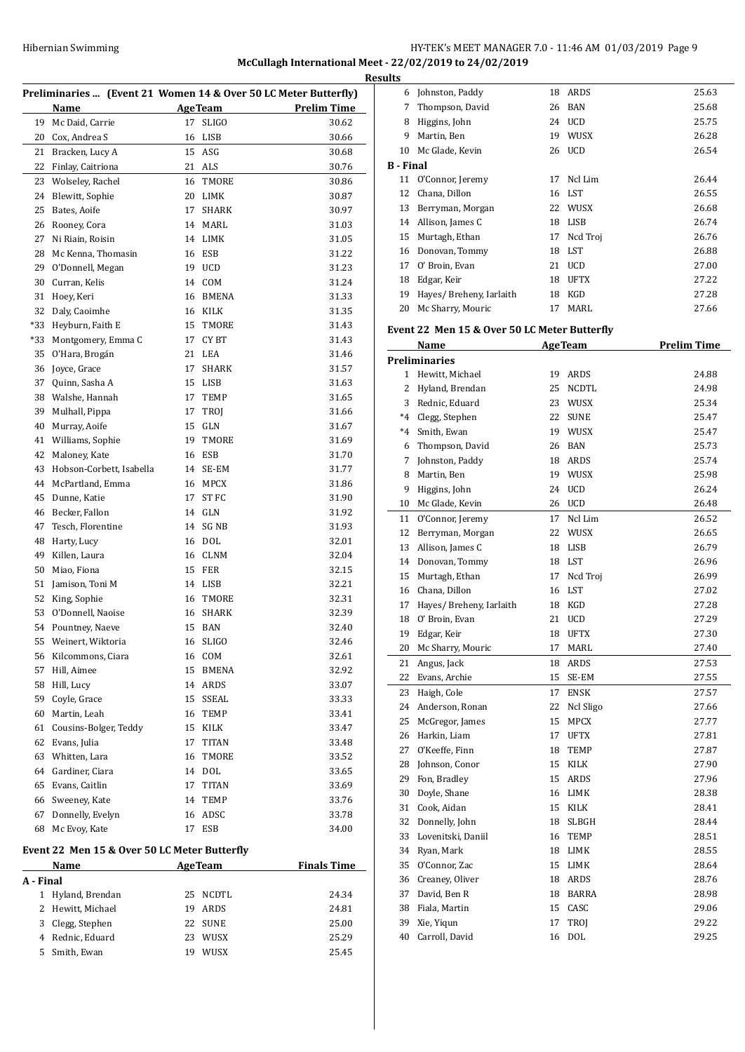# HY-TEK's MEET MANAGER 7.0 - 11:46 AM 01/03/2019 Page 9 **McCullagh International Meet - 22/02/2019 to 24/02/2019 Results**

| Preliminaries  (Event 21 Women 14 & Over 50 LC Meter Butterfly) |                                              |    |                |                    |
|-----------------------------------------------------------------|----------------------------------------------|----|----------------|--------------------|
|                                                                 | Name                                         |    | <b>AgeTeam</b> | <b>Prelim Time</b> |
| 19                                                              | Mc Daid, Carrie                              | 17 | <b>SLIGO</b>   | 30.62              |
| 20                                                              | Cox, Andrea S                                | 16 | LISB           | 30.66              |
| 21                                                              | Bracken, Lucy A                              | 15 | ASG            | 30.68              |
| 22                                                              | Finlay, Caitriona                            | 21 | ALS            | 30.76              |
| 23                                                              | Wolseley, Rachel                             | 16 | <b>TMORE</b>   | 30.86              |
| 24                                                              | Blewitt, Sophie                              | 20 | LIMK           | 30.87              |
| 25                                                              | Bates, Aoife                                 | 17 | SHARK          | 30.97              |
| 26                                                              | Rooney, Cora                                 | 14 | MARL           | 31.03              |
| 27                                                              | Ni Riain, Roisin                             | 14 | LIMK           | 31.05              |
| 28                                                              | Mc Kenna, Thomasin                           | 16 | ESB            | 31.22              |
| 29                                                              | O'Donnell, Megan                             |    | 19 UCD         | 31.23              |
| 30                                                              | Curran, Kelis                                |    | 14 COM         | 31.24              |
| 31                                                              | Hoey, Keri                                   | 16 | BMENA          | 31.33              |
| 32                                                              | Daly, Caoimhe                                | 16 | KILK           | 31.35              |
| *33                                                             | Heyburn, Faith E                             | 15 | <b>TMORE</b>   | 31.43              |
| *33                                                             | Montgomery, Emma C                           | 17 | CY BT          | 31.43              |
| 35                                                              | O'Hara, Brogán                               | 21 | LEA            | 31.46              |
| 36                                                              | Joyce, Grace                                 | 17 | <b>SHARK</b>   | 31.57              |
| 37                                                              | Quinn, Sasha A                               | 15 | LISB           | 31.63              |
| 38                                                              | Walshe, Hannah                               | 17 | TEMP           | 31.65              |
| 39                                                              | Mulhall, Pippa                               | 17 | TROJ           | 31.66              |
| 40                                                              | Murray, Aoife                                | 15 | GLN            | 31.67              |
| 41                                                              | Williams, Sophie                             | 19 | TMORE          | 31.69              |
| 42                                                              | Maloney, Kate                                | 16 | ESB            | 31.70              |
| 43                                                              | Hobson-Corbett, Isabella                     | 14 | SE-EM          | 31.77              |
| 44                                                              | McPartland, Emma                             | 16 | <b>MPCX</b>    | 31.86              |
| 45                                                              | Dunne, Katie                                 | 17 | ST FC          | 31.90              |
| 46                                                              | Becker, Fallon                               | 14 | GLN            | 31.92              |
| 47                                                              | Tesch, Florentine                            | 14 | SG NB          | 31.93              |
| 48                                                              | Harty, Lucy                                  | 16 | <b>DOL</b>     | 32.01              |
| 49                                                              | Killen, Laura                                | 16 | <b>CLNM</b>    | 32.04              |
| 50                                                              | Miao, Fiona                                  | 15 | <b>FER</b>     | 32.15              |
| 51                                                              | Jamison, Toni M                              | 14 | LISB           | 32.21              |
| 52                                                              | King, Sophie                                 | 16 | TMORE          | 32.31              |
| 53                                                              | O'Donnell, Naoise                            | 16 | <b>SHARK</b>   | 32.39              |
| 54                                                              | Pountney, Naeve                              |    | 15 BAN         | 32.40              |
|                                                                 | 55 Weinert, Wiktoria                         |    | 16 SLIGO       | 32.46              |
|                                                                 | 56 Kilcommons, Ciara                         |    | 16 COM         | 32.61              |
| 57                                                              | Hill, Aimee                                  | 15 | <b>BMENA</b>   | 32.92              |
| 58                                                              | Hill, Lucy                                   |    | 14 ARDS        | 33.07              |
| 59                                                              | Coyle, Grace                                 | 15 | <b>SSEAL</b>   | 33.33              |
| 60                                                              | Martin, Leah                                 | 16 | TEMP           | 33.41              |
| 61                                                              | Cousins-Bolger, Teddy                        |    | 15 KILK        | 33.47              |
| 62                                                              | Evans, Julia                                 | 17 | <b>TITAN</b>   | 33.48              |
| 63                                                              | Whitten, Lara                                | 16 | TMORE          | 33.52              |
| 64                                                              | Gardiner, Ciara                              | 14 | <b>DOL</b>     | 33.65              |
| 65                                                              | Evans, Caitlin                               | 17 | <b>TITAN</b>   | 33.69              |
| 66                                                              | Sweeney, Kate                                | 14 | TEMP           | 33.76              |
| 67                                                              | Donnelly, Evelyn                             | 16 | ADSC           | 33.78              |
| 68                                                              | Mc Evoy, Kate                                | 17 | ESB            | 34.00              |
|                                                                 | Event 22 Men 15 & Over 50 LC Meter Butterfly |    |                |                    |
|                                                                 | Name                                         |    | <b>AgeTeam</b> | <b>Finals Time</b> |
| A - Final                                                       |                                              |    |                |                    |
| $\mathbf{1}$                                                    | Hyland, Brendan                              | 25 | NCDTL          | 24.34              |
| 2                                                               | Hewitt, Michael                              | 19 | ARDS           | 24.81              |
| 3                                                               | Clegg, Stephen                               | 22 | <b>SUNE</b>    | 25.00              |
| 4                                                               | Rednic, Eduard                               | 23 | WUSX           | 25.29              |

Smith, Ewan 19 WUSX 25.45

| uıts             |                          |    |             |       |
|------------------|--------------------------|----|-------------|-------|
| 6                | Johnston, Paddy          | 18 | ARDS        | 25.63 |
| 7                | Thompson, David          | 26 | BAN         | 25.68 |
| 8                | Higgins, John            | 24 | UCD         | 25.75 |
| 9                | Martin, Ben              | 19 | <b>WUSX</b> | 26.28 |
| 10               | Mc Glade, Kevin          | 26 | <b>UCD</b>  | 26.54 |
| <b>B</b> - Final |                          |    |             |       |
| 11               | O'Connor, Jeremy         | 17 | Ncl Lim     | 26.44 |
| 12               | Chana, Dillon            |    | 16 LST      | 26.55 |
| 13               | Berryman, Morgan         | 22 | WUSX        | 26.68 |
| 14               | Allison, James C         | 18 | LISB        | 26.74 |
| 15               | Murtagh, Ethan           | 17 | Ncd Troj    | 26.76 |
| 16               | Donovan, Tommy           | 18 | LST         | 26.88 |
| 17               | O' Broin, Evan           | 21 | <b>UCD</b>  | 27.00 |
| 18               | Edgar, Keir              | 18 | <b>UFTX</b> | 27.22 |
| 19               | Hayes/ Breheny, Iarlaith | 18 | KGD         | 27.28 |
| 20               | Mc Sharry, Mouric        | 17 | MARI.       | 27.66 |
|                  |                          |    |             |       |

#### **Event 22 Men 15 & Over 50 LC Meter Butterfly**

|      | Name                     | <b>AgeTeam</b> |              | <b>Prelim Time</b> |
|------|--------------------------|----------------|--------------|--------------------|
|      | <b>Preliminaries</b>     |                |              |                    |
| 1    | Hewitt, Michael          | 19             | ARDS         | 24.88              |
| 2    | Hyland, Brendan          | 25             | <b>NCDTL</b> | 24.98              |
| 3    | Rednic, Eduard           | 23             | <b>WUSX</b>  | 25.34              |
| $*4$ | Clegg, Stephen           | 22             | <b>SUNE</b>  | 25.47              |
| $*4$ | Smith, Ewan              | 19             | <b>WUSX</b>  | 25.47              |
| 6    | Thompson, David          | 26             | <b>BAN</b>   | 25.73              |
| 7    | Johnston, Paddy          | 18             | ARDS         | 25.74              |
| 8    | Martin, Ben              | 19             | WUSX         | 25.98              |
| 9    | Higgins, John            | 24             | <b>UCD</b>   | 26.24              |
| 10   | Mc Glade, Kevin          | 26             | <b>UCD</b>   | 26.48              |
| 11   | O'Connor, Jeremy         | 17             | Ncl Lim      | 26.52              |
| 12   | Berryman, Morgan         | 22             | WUSX         | 26.65              |
| 13   | Allison, James C         | 18             | <b>LISB</b>  | 26.79              |
| 14   | Donovan, Tommy           |                | 18 LST       | 26.96              |
| 15   | Murtagh, Ethan           | 17             | Ncd Troj     | 26.99              |
|      | 16 Chana, Dillon         | 16             | LST          | 27.02              |
| 17   | Hayes/ Breheny, Iarlaith | 18             | <b>KGD</b>   | 27.28              |
| 18   | O' Broin, Evan           | 21             | <b>UCD</b>   | 27.29              |
| 19   | Edgar, Keir              | 18             | <b>UFTX</b>  | 27.30              |
| 20   | Mc Sharry, Mouric        | 17             | MARL         | 27.40              |
| 21   | Angus, Jack              | 18             | ARDS         | 27.53              |
| 22   | Evans, Archie            | 15             | SE-EM        | 27.55              |
| 23   | Haigh, Cole              | 17             | <b>ENSK</b>  | 27.57              |
| 24   | Anderson, Ronan          | 22             | Ncl Sligo    | 27.66              |
| 25   | McGregor, James          | 15             | <b>MPCX</b>  | 27.77              |
| 26   | Harkin, Liam             | 17             | <b>UFTX</b>  | 27.81              |
| 27   | O'Keeffe, Finn           | 18             | <b>TEMP</b>  | 27.87              |
| 28   | Johnson, Conor           | 15             | <b>KILK</b>  | 27.90              |
| 29   | Fon, Bradley             | 15             | ARDS         | 27.96              |
| 30   | Doyle, Shane             |                | 16 LIMK      | 28.38              |
| 31   | Cook, Aidan              | 15             | KILK         | 28.41              |
| 32   | Donnelly, John           | 18             | SLBGH        | 28.44              |
| 33   | Lovenitski, Daniil       | 16             | <b>TEMP</b>  | 28.51              |
| 34   | Ryan, Mark               |                | 18 LIMK      | 28.55              |
| 35   | O'Connor, Zac            | 15             | <b>LIMK</b>  | 28.64              |
| 36   | Creaney, Oliver          | 18             | ARDS         | 28.76              |
| 37   | David, Ben R             | 18             | <b>BARRA</b> | 28.98              |
| 38   | Fiala, Martin            | 15             | CASC         | 29.06              |
| 39   | Xie, Yiqun               | 17             | TROJ         | 29.22              |
| 40   | Carroll, David           | 16             | <b>DOL</b>   | 29.25              |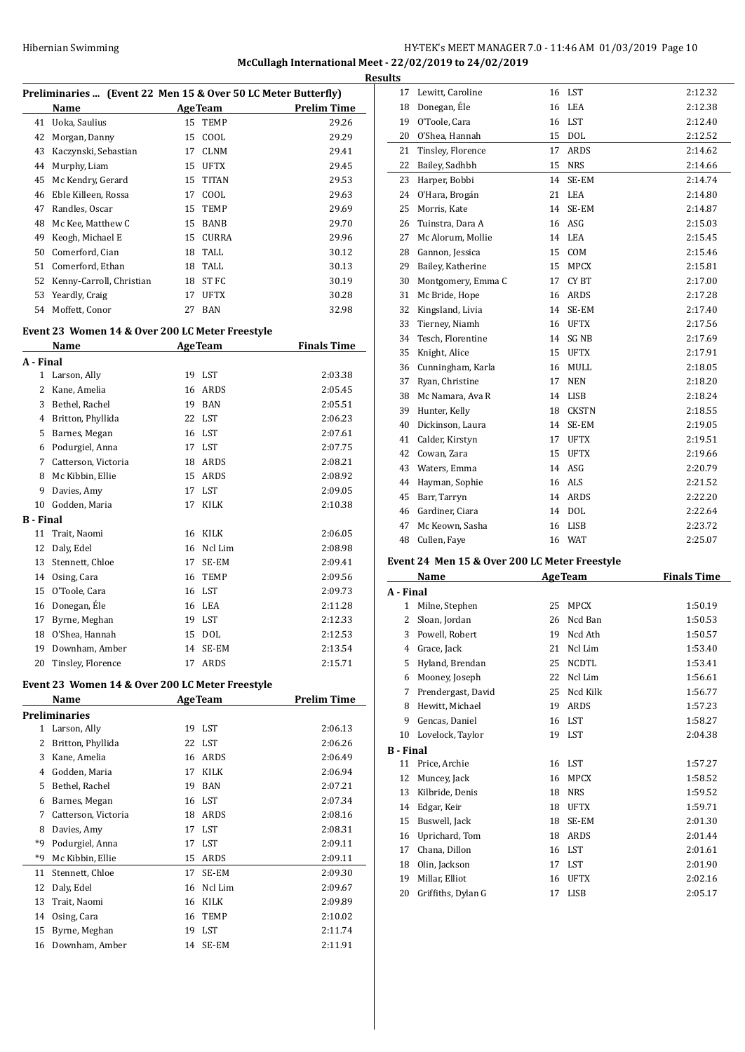### HY-TEK's MEET MANAGER 7.0 - 11:46 AM 01/03/2019 Page 10 **McCullagh International Meet - 22/02/2019 to 24/02/2019 Results**

|    | Preliminaries  (Event 22 Men 15 & Over 50 LC Meter Butterfly) |    |                |                    |  |  |
|----|---------------------------------------------------------------|----|----------------|--------------------|--|--|
|    | Name                                                          |    | <b>AgeTeam</b> | <b>Prelim Time</b> |  |  |
| 41 | Uoka, Saulius                                                 |    | 15 TEMP        | 29.26              |  |  |
| 42 | Morgan, Danny                                                 | 15 | COOL           | 29.29              |  |  |
| 43 | Kaczynski, Sebastian                                          | 17 | <b>CLNM</b>    | 29.41              |  |  |
| 44 | Murphy, Liam                                                  | 15 | <b>UFTX</b>    | 29.45              |  |  |
| 45 | Mc Kendry, Gerard                                             | 15 | <b>TITAN</b>   | 29.53              |  |  |
| 46 | Eble Killeen, Rossa                                           | 17 | COOL           | 29.63              |  |  |
| 47 | Randles, Oscar                                                | 15 | <b>TEMP</b>    | 29.69              |  |  |
| 48 | Mc Kee, Matthew C                                             | 15 | <b>BANB</b>    | 29.70              |  |  |
| 49 | Keogh, Michael E                                              | 15 | <b>CURRA</b>   | 29.96              |  |  |
| 50 | Comerford, Cian                                               | 18 | TALL           | 30.12              |  |  |
| 51 | Comerford, Ethan                                              | 18 | TALL           | 30.13              |  |  |
| 52 | Kenny-Carroll, Christian                                      | 18 | ST FC          | 30.19              |  |  |
| 53 | Yeardly, Craig                                                | 17 | <b>UFTX</b>    | 30.28              |  |  |
| 54 | Moffett, Conor                                                | 27 | <b>BAN</b>     | 32.98              |  |  |
|    |                                                               |    |                |                    |  |  |

# **Event 23 Women 14 & Over 200 LC Meter Freestyle**

|              | <b>Name</b>         |    | <b>AgeTeam</b> | <b>Finals Time</b> |  |
|--------------|---------------------|----|----------------|--------------------|--|
| A - Final    |                     |    |                |                    |  |
| $\mathbf{1}$ | Larson, Ally        | 19 | LST            | 2:03.38            |  |
| 2            | Kane, Amelia        | 16 | <b>ARDS</b>    | 2:05.45            |  |
| 3            | Bethel, Rachel      | 19 | <b>BAN</b>     | 2:05.51            |  |
| 4            | Britton, Phyllida   | 22 | LST            | 2:06.23            |  |
| 5            | Barnes, Megan       | 16 | <b>LST</b>     | 2:07.61            |  |
| 6            | Podurgiel, Anna     | 17 | <b>LST</b>     | 2:07.75            |  |
| 7            | Catterson, Victoria | 18 | ARDS           | 2:08.21            |  |
| 8            | Mc Kibbin, Ellie    | 15 | <b>ARDS</b>    | 2:08.92            |  |
| 9            | Davies, Amy         | 17 | <b>LST</b>     | 2:09.05            |  |
| 10           | Godden, Maria       | 17 | KILK           | 2:10.38            |  |
| B - Final    |                     |    |                |                    |  |
| 11           | Trait, Naomi        | 16 | <b>KILK</b>    | 2:06.05            |  |
| 12           | Daly, Edel          | 16 | Ncl Lim        | 2:08.98            |  |
| 13           | Stennett, Chloe     | 17 | SE-EM          | 2:09.41            |  |
| 14           | Osing, Cara         | 16 | <b>TEMP</b>    | 2:09.56            |  |
| 15           | O'Toole, Cara       | 16 | <b>LST</b>     | 2:09.73            |  |
| 16           | Donegan, Éle        | 16 | LEA            | 2:11.28            |  |
| 17           | Byrne, Meghan       | 19 | <b>LST</b>     | 2:12.33            |  |
| 18           | O'Shea, Hannah      | 15 | <b>DOL</b>     | 2:12.53            |  |
| 19           | Downham, Amber      | 14 | SE-EM          | 2:13.54            |  |
| 20           | Tinsley, Florence   | 17 | <b>ARDS</b>    | 2:15.71            |  |

#### **Event 23 Women 14 & Over 200 LC Meter Freestyle**

|    | Name                 |    | <b>AgeTeam</b> | <b>Prelim Time</b> |
|----|----------------------|----|----------------|--------------------|
|    | <b>Preliminaries</b> |    |                |                    |
| 1  | Larson, Ally         |    | 19 LST         | 2:06.13            |
| 2  | Britton, Phyllida    |    | 22 LST         | 2:06.26            |
| 3  | Kane, Amelia         | 16 | ARDS           | 2:06.49            |
| 4  | Godden, Maria        | 17 | <b>KILK</b>    | 2:06.94            |
| 5  | Bethel, Rachel       | 19 | <b>BAN</b>     | 2:07.21            |
| 6  | Barnes, Megan        | 16 | LST            | 2:07.34            |
| 7  | Catterson, Victoria  | 18 | ARDS           | 2:08.16            |
| 8  | Davies, Amy          | 17 | LST            | 2:08.31            |
| *9 | Podurgiel, Anna      | 17 | LST            | 2:09.11            |
| *9 | Mc Kibbin, Ellie     | 15 | ARDS           | 2:09.11            |
| 11 | Stennett, Chloe      | 17 | SE-EM          | 2:09.30            |
| 12 | Daly, Edel           | 16 | Ncl Lim        | 2:09.67            |
| 13 | Trait, Naomi         | 16 | <b>KILK</b>    | 2:09.89            |
| 14 | Osing, Cara          | 16 | <b>TEMP</b>    | 2:10.02            |
| 15 | Byrne, Meghan        | 19 | LST            | 2:11.74            |
| 16 | Downham, Amber       | 14 | SE-EM          | 2:11.91            |

| นเเร |                    |    |              |         |
|------|--------------------|----|--------------|---------|
| 17   | Lewitt, Caroline   | 16 | LST          | 2:12.32 |
| 18   | Donegan, Éle       | 16 | <b>LEA</b>   | 2:12.38 |
| 19   | O'Toole, Cara      | 16 | <b>LST</b>   | 2:12.40 |
| 20   | O'Shea, Hannah     | 15 | <b>DOL</b>   | 2:12.52 |
| 21   | Tinsley, Florence  | 17 | <b>ARDS</b>  | 2:14.62 |
| 22   | Bailey, Sadhbh     | 15 | <b>NRS</b>   | 2:14.66 |
| 23   | Harper, Bobbi      | 14 | SE-EM        | 2:14.74 |
| 24   | O'Hara, Brogán     | 21 | <b>LEA</b>   | 2:14.80 |
| 25   | Morris, Kate       | 14 | SE-EM        | 2:14.87 |
| 26   | Tuinstra, Dara A   | 16 | ASG          | 2:15.03 |
| 27   | Mc Alorum, Mollie  | 14 | <b>LEA</b>   | 2:15.45 |
| 28   | Gannon, Jessica    | 15 | COM          | 2:15.46 |
| 29   | Bailey, Katherine  | 15 | <b>MPCX</b>  | 2:15.81 |
| 30   | Montgomery, Emma C | 17 | CY BT        | 2:17.00 |
| 31   | Mc Bride, Hope     | 16 | ARDS         | 2:17.28 |
| 32   | Kingsland, Livia   | 14 | SE-EM        | 2:17.40 |
| 33   | Tierney, Niamh     | 16 | <b>UFTX</b>  | 2:17.56 |
| 34   | Tesch, Florentine  | 14 | <b>SG NB</b> | 2:17.69 |
| 35   | Knight, Alice      | 15 | <b>UFTX</b>  | 2:17.91 |
| 36   | Cunningham, Karla  | 16 | <b>MULL</b>  | 2:18.05 |
| 37   | Ryan, Christine    | 17 | <b>NEN</b>   | 2:18.20 |
| 38   | Mc Namara, Ava R   | 14 | <b>LISB</b>  | 2:18.24 |
| 39   | Hunter, Kelly      | 18 | <b>CKSTN</b> | 2:18.55 |
| 40   | Dickinson, Laura   | 14 | SE-EM        | 2:19.05 |
| 41   | Calder, Kirstyn    | 17 | <b>UFTX</b>  | 2:19.51 |
| 42   | Cowan, Zara        | 15 | <b>UFTX</b>  | 2:19.66 |
| 43   | Waters, Emma       | 14 | ASG          | 2:20.79 |
| 44   | Hayman, Sophie     | 16 | <b>ALS</b>   | 2:21.52 |
| 45   | Barr, Tarryn       | 14 | ARDS         | 2:22.20 |
| 46   | Gardiner, Ciara    | 14 | <b>DOL</b>   | 2:22.64 |
| 47   | Mc Keown, Sasha    | 16 | <b>LISB</b>  | 2:23.72 |
| 48   | Cullen, Faye       | 16 | <b>WAT</b>   | 2:25.07 |

#### **Event 24 Men 15 & Over 200 LC Meter Freestyle**

|                  | Name               |    | <b>AgeTeam</b> | <b>Finals Time</b> |
|------------------|--------------------|----|----------------|--------------------|
| A - Final        |                    |    |                |                    |
| 1                | Milne, Stephen     | 25 | <b>MPCX</b>    | 1:50.19            |
| 2                | Sloan, Jordan      | 26 | Ncd Ban        | 1:50.53            |
| 3                | Powell, Robert     | 19 | Ncd Ath        | 1:50.57            |
| 4                | Grace, Jack        | 21 | Ncl Lim        | 1:53.40            |
| 5                | Hyland, Brendan    | 25 | <b>NCDTL</b>   | 1:53.41            |
| 6                | Mooney, Joseph     | 22 | Ncl Lim        | 1:56.61            |
| 7                | Prendergast, David | 25 | Ncd Kilk       | 1:56.77            |
| 8                | Hewitt, Michael    | 19 | <b>ARDS</b>    | 1:57.23            |
| 9                | Gencas, Daniel     | 16 | LST            | 1:58.27            |
| 10               | Lovelock, Taylor   | 19 | LST            | 2:04.38            |
| <b>B</b> - Final |                    |    |                |                    |
| 11               | Price, Archie      |    | 16 LST         | 1:57.27            |
| 12               | Muncey, Jack       | 16 | <b>MPCX</b>    | 1:58.52            |
| 13               | Kilbride, Denis    | 18 | <b>NRS</b>     | 1:59.52            |
| 14               | Edgar, Keir        | 18 | <b>UFTX</b>    | 1:59.71            |
| 15               | Buswell, Jack      | 18 | SE-EM          | 2:01.30            |
| 16               | Uprichard, Tom     | 18 | <b>ARDS</b>    | 2:01.44            |
| 17               | Chana, Dillon      | 16 | LST            | 2:01.61            |
| 18               | Olin, Jackson      | 17 | LST            | 2:01.90            |
| 19               | Millar, Elliot     | 16 | <b>UFTX</b>    | 2:02.16            |
| 20               | Griffiths, Dylan G | 17 | <b>LISB</b>    | 2:05.17            |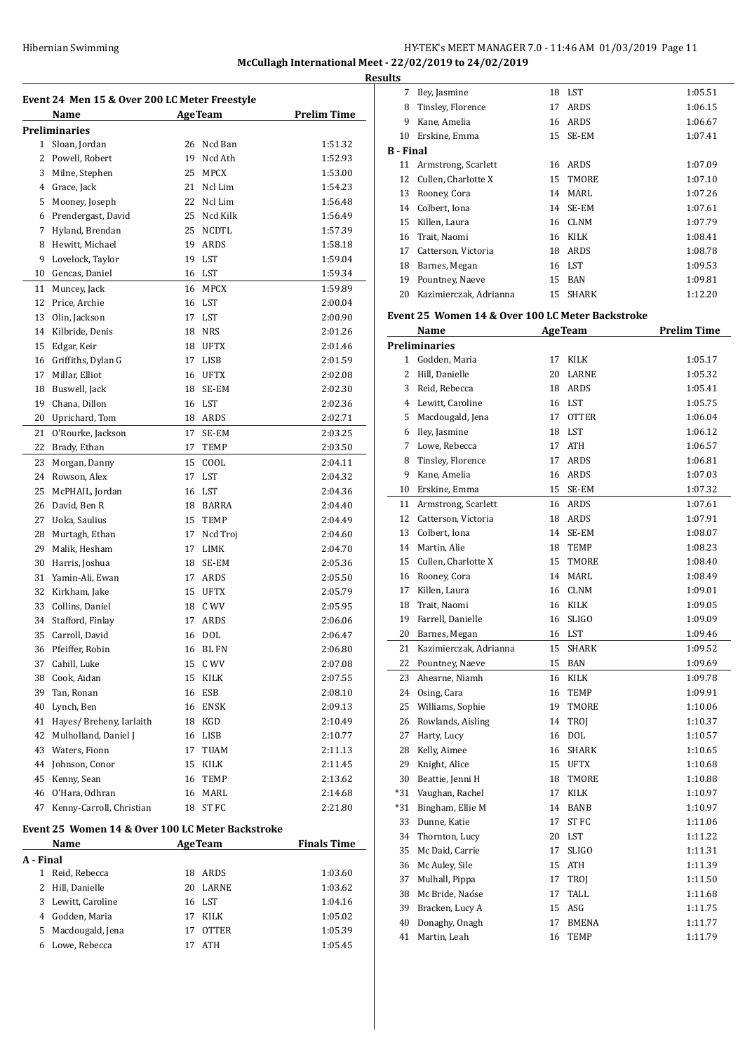# Hibernian Swimming **HY-TEK's MEET MANAGER 7.0 - 11:46 AM 01/03/2019** Page 11 **McCullagh International Meet - 22/02/2019 to 24/02/2019**

**Results**

| Event 24 Men 15 & Over 200 LC Meter Freestyle |                                              |    |              |         |  |  |  |  |
|-----------------------------------------------|----------------------------------------------|----|--------------|---------|--|--|--|--|
|                                               | <b>AgeTeam</b><br><b>Prelim Time</b><br>Name |    |              |         |  |  |  |  |
|                                               | Preliminaries                                |    |              |         |  |  |  |  |
| 1                                             | Sloan, Jordan                                | 26 | Ncd Ban      | 1:51.32 |  |  |  |  |
| 2                                             | Powell, Robert                               | 19 | Ncd Ath      | 1:52.93 |  |  |  |  |
| 3                                             | Milne, Stephen                               | 25 | <b>MPCX</b>  | 1:53.00 |  |  |  |  |
| 4                                             | Grace, Jack                                  | 21 | Ncl Lim      | 1:54.23 |  |  |  |  |
| 5                                             | Mooney, Joseph                               | 22 | Ncl Lim      | 1:56.48 |  |  |  |  |
| 6                                             | Prendergast, David                           | 25 | Ncd Kilk     | 1:56.49 |  |  |  |  |
| 7                                             | Hyland, Brendan                              | 25 | <b>NCDTL</b> | 1:57.39 |  |  |  |  |
| 8                                             | Hewitt, Michael                              | 19 | ARDS         | 1:58.18 |  |  |  |  |
| 9                                             | Lovelock, Taylor                             | 19 | LST          | 1:59.04 |  |  |  |  |
| 10                                            | Gencas, Daniel                               | 16 | LST          | 1:59.34 |  |  |  |  |
| 11                                            | Muncey, Jack                                 | 16 | MPCX         | 1:59.89 |  |  |  |  |
| 12                                            | Price, Archie                                | 16 | LST          | 2:00.04 |  |  |  |  |
| 13                                            | Olin, Jackson                                | 17 | LST          | 2:00.90 |  |  |  |  |
| 14                                            | Kilbride, Denis                              | 18 | <b>NRS</b>   | 2:01.26 |  |  |  |  |
| 15                                            | Edgar, Keir                                  | 18 | <b>UFTX</b>  | 2:01.46 |  |  |  |  |
| 16                                            | Griffiths, Dylan G                           | 17 | LISB         | 2:01.59 |  |  |  |  |
| 17                                            | Millar, Elliot                               | 16 | UFTX         | 2:02.08 |  |  |  |  |
| 18                                            | Buswell, Jack                                | 18 | SE-EM        | 2:02.30 |  |  |  |  |
| 19                                            | Chana, Dillon                                | 16 | LST          | 2:02.36 |  |  |  |  |
| 20                                            | Uprichard, Tom                               | 18 | ARDS         | 2:02.71 |  |  |  |  |
| 21                                            | O'Rourke, Jackson                            | 17 | SE-EM        | 2:03.25 |  |  |  |  |
| 22                                            | Brady, Ethan                                 | 17 | TEMP         | 2:03.50 |  |  |  |  |
| 23                                            | Morgan, Danny                                | 15 | COOL         | 2:04.11 |  |  |  |  |
| 24                                            | Rowson, Alex                                 | 17 | LST          | 2:04.32 |  |  |  |  |
| 25                                            | McPHAIL, Jordan                              | 16 | LST          | 2:04.36 |  |  |  |  |
| 26                                            | David, Ben R                                 | 18 | BARRA        | 2:04.40 |  |  |  |  |
| 27                                            | Uoka, Saulius                                | 15 | TEMP         | 2:04.49 |  |  |  |  |
| 28                                            | Murtagh, Ethan                               | 17 | Ncd Troj     | 2:04.60 |  |  |  |  |
| 29                                            | Malik, Hesham                                | 17 | LIMK         | 2:04.70 |  |  |  |  |
| 30                                            | Harris, Joshua                               | 18 | SE-EM        | 2:05.36 |  |  |  |  |
| 31                                            | Yamin-Ali, Ewan                              | 17 | ARDS         | 2:05.50 |  |  |  |  |
| 32                                            | Kirkham, Jake                                | 15 | <b>UFTX</b>  | 2:05.79 |  |  |  |  |
| 33                                            | Collins, Daniel                              | 18 | C WV         | 2:05.95 |  |  |  |  |
| 34                                            | Stafford, Finlay                             | 17 | ARDS         | 2:06.06 |  |  |  |  |
| 35                                            | Carroll, David                               | 16 | <b>DOL</b>   | 2:06.47 |  |  |  |  |
| 36                                            | Pfeiffer, Robin                              | 16 | <b>BLFN</b>  | 2:06.80 |  |  |  |  |
| 37                                            | Cahill, Luke                                 | 15 | C WV         | 2:07.08 |  |  |  |  |
| 38                                            | Cook, Aidan                                  | 15 | KILK         | 2:07.55 |  |  |  |  |
| 39                                            | Tan, Ronan                                   | 16 | <b>ESB</b>   | 2:08.10 |  |  |  |  |
| 40                                            | Lynch, Ben                                   | 16 | ENSK         | 2:09.13 |  |  |  |  |
| 41                                            | Hayes/ Breheny, Iarlaith                     | 18 | KGD          | 2:10.49 |  |  |  |  |
| 42                                            | Mulholland, Daniel J                         | 16 | LISB         | 2:10.77 |  |  |  |  |
| 43                                            | Waters, Fionn                                | 17 | TUAM         | 2:11.13 |  |  |  |  |
| 44                                            | Johnson, Conor                               | 15 | KILK         | 2:11.45 |  |  |  |  |
| 45                                            | Kenny, Sean                                  | 16 | TEMP         | 2:13.62 |  |  |  |  |
| 46                                            | O'Hara, Odhran                               | 16 | MARL         | 2:14.68 |  |  |  |  |
| 47                                            | Kenny-Carroll, Christian                     | 18 | ST FC        | 2:21.80 |  |  |  |  |
|                                               |                                              |    |              |         |  |  |  |  |

### **Event 25 Women 14 & Over 100 LC Meter Backstroke**

|           | <b>Name</b><br><b>AgeTeam</b> |    |              | <b>Finals Time</b> |
|-----------|-------------------------------|----|--------------|--------------------|
| A - Final |                               |    |              |                    |
| 1         | Reid, Rebecca                 | 18 | ARDS         | 1:03.60            |
|           | 2 Hill, Danielle              | 20 | LARNE        | 1:03.62            |
|           | 3 Lewitt, Caroline            |    | 16 LST       | 1:04.16            |
| 4         | Godden, Maria                 | 17 | <b>KILK</b>  | 1:05.02            |
|           | 5 Macdougald, Jena            | 17 | <b>OTTER</b> | 1:05.39            |
|           | Lowe, Rebecca                 |    | ATH          | 1:05.45            |

| Iley, Jasmine             | 18 |              | 1:05.51                                          |
|---------------------------|----|--------------|--------------------------------------------------|
| Tinsley, Florence         | 17 | ARDS         | 1:06.15                                          |
| Kane, Amelia              | 16 | ARDS         | 1:06.67                                          |
| Erskine, Emma             | 15 |              | 1:07.41                                          |
| <b>B</b> - Final          |    |              |                                                  |
| Armstrong, Scarlett<br>11 | 16 | ARDS         | 1:07.09                                          |
| Cullen, Charlotte X       |    |              | 1:07.10                                          |
| Rooney, Cora              | 14 | MARL         | 1:07.26                                          |
| Colbert, Iona             | 14 |              | 1:07.61                                          |
| Killen, Laura             | 16 |              | 1:07.79                                          |
| Trait, Naomi              | 16 | KILK         | 1:08.41                                          |
| Catterson, Victoria       | 18 | ARDS         | 1:08.78                                          |
| Barnes, Megan             | 16 |              | 1:09.53                                          |
| Pountney, Naeve           | 15 | BAN          | 1:09.81                                          |
| Kazimierczak, Adrianna    | 15 | <b>SHARK</b> | 1:12.20                                          |
|                           |    |              | LST<br>SE-EM<br>15 TMORE<br>SE-EM<br>CLNM<br>LST |

#### **Event 25 Women 14 & Over 100 LC Meter Backstroke**

|       | <b>Name</b>            |    | <b>AgeTeam</b> | <b>Prelim Time</b> |
|-------|------------------------|----|----------------|--------------------|
|       | <b>Preliminaries</b>   |    |                |                    |
|       | 1 Godden, Maria        | 17 | KILK           | 1:05.17            |
|       | 2 Hill. Danielle       |    | 20 LARNE       | 1:05.32            |
| 3     | Reid, Rebecca          |    | 18 ARDS        | 1:05.41            |
|       | 4 Lewitt, Caroline     |    | 16 LST         | 1:05.75            |
| 5     | Macdougald, Jena       | 17 | <b>OTTER</b>   | 1:06.04            |
| 6     | Ilev, Jasmine          | 18 | <b>LST</b>     | 1:06.12            |
| 7     | Lowe, Rebecca          |    | 17 ATH         | 1:06.57            |
| 8     | Tinsley, Florence      | 17 | ARDS           | 1:06.81            |
| 9     | Kane, Amelia           |    | 16 ARDS        | 1:07.03            |
| 10    | Erskine, Emma          | 15 | SE-EM          | 1:07.32            |
| 11    | Armstrong, Scarlett    |    | 16 ARDS        | 1:07.61            |
| 12    | Catterson, Victoria    |    | 18 ARDS        | 1:07.91            |
| 13    | Colbert, Iona          | 14 | SE-EM          | 1:08.07            |
|       | 14 Martin, Alie        | 18 | <b>TEMP</b>    | 1:08.23            |
| 15    | Cullen, Charlotte X    | 15 | TMORE          | 1:08.40            |
|       | 16 Rooney, Cora        | 14 | <b>MARL</b>    | 1:08.49            |
|       | 17 Killen, Laura       |    | 16 CLNM        | 1:09.01            |
| 18    | Trait, Naomi           |    | 16 KILK        | 1:09.05            |
| 19    | Farrell, Danielle      | 16 | <b>SLIGO</b>   | 1:09.09            |
| 20    | Barnes, Megan          |    | 16 LST         | 1:09.46            |
| 21    | Kazimierczak, Adrianna | 15 | <b>SHARK</b>   | 1:09.52            |
| 22    | Pountney, Naeve        |    | 15 BAN         | 1:09.69            |
| 23    | Ahearne, Niamh         |    | 16 KILK        | 1:09.78            |
| 24    | Osing, Cara            | 16 | TEMP           | 1:09.91            |
| 25    | Williams, Sophie       | 19 | TMORE          | 1:10.06            |
| 26    | Rowlands, Aisling      | 14 | TROJ           | 1:10.37            |
| 27    | Harty, Lucy            | 16 | <b>DOL</b>     | 1:10.57            |
| 28    | Kelly, Aimee           | 16 | <b>SHARK</b>   | 1:10.65            |
|       | 29 Knight, Alice       | 15 | <b>UFTX</b>    | 1:10.68            |
| 30    | Beattie, Jenni H       | 18 | <b>TMORE</b>   | 1:10.88            |
| $*31$ | Vaughan, Rachel        | 17 | <b>KILK</b>    | 1:10.97            |
| $*31$ | Bingham, Ellie M       |    | 14 BANB        | 1:10.97            |
| 33    | Dunne, Katie           | 17 | <b>ST FC</b>   | 1:11.06            |
| 34    | Thornton, Lucy         |    | 20 LST         | 1:11.22            |
| 35    | Mc Daid, Carrie        | 17 | <b>SLIGO</b>   | 1:11.31            |
| 36    | Mc Auley, Sile         |    | 15 ATH         | 1:11.39            |
| 37    | Mulhall, Pippa         | 17 | <b>TROI</b>    | 1:11.50            |
| 38    | Mc Bride, Naóse        | 17 | TALL           | 1:11.68            |
| 39    | Bracken, Lucy A        |    | 15 ASG         | 1:11.75            |
| 40    | Donaghy, Onagh         | 17 | <b>BMENA</b>   | 1:11.77            |
| 41    | Martin, Leah           | 16 | <b>TEMP</b>    | 1:11.79            |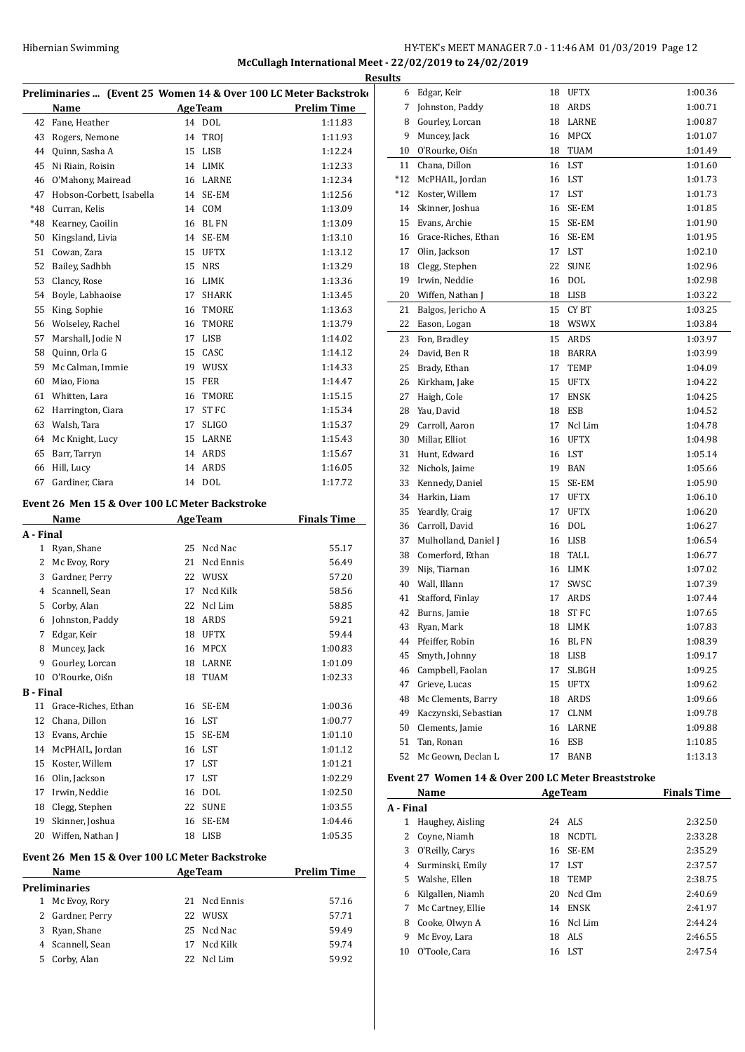# Hibernian Swimming HY-TEK's MEET MANAGER 7.0 - 11:46 AM 01/03/2019 Page 12 **McCullagh International Meet - 22/02/2019 to 24/02/2019**

|                  | <u>ке</u><br>Preliminaries  (Event 25 Women 14 & Over 100 LC Meter Backstroko |    |                |                    |  |
|------------------|-------------------------------------------------------------------------------|----|----------------|--------------------|--|
|                  |                                                                               |    |                |                    |  |
|                  | Name                                                                          |    | <b>AgeTeam</b> | <b>Prelim Time</b> |  |
|                  | 42 Fane, Heather                                                              |    | 14 DOL         | 1:11.83            |  |
|                  | 43 Rogers, Nemone                                                             |    | 14 TROJ        | 1:11.93            |  |
|                  | 44 Quinn, Sasha A                                                             |    | 15 LISB        | 1:12.24            |  |
|                  | 45 Ni Riain, Roisin                                                           |    | 14 LIMK        | 1:12.33            |  |
|                  | 46 O'Mahony, Mairead                                                          |    | 16 LARNE       | 1:12.34            |  |
|                  | 47 Hobson-Corbett, Isabella                                                   |    | 14 SE-EM       | 1:12.56            |  |
| *48              | Curran, Kelis                                                                 |    | 14 COM         | 1:13.09            |  |
|                  | *48 Kearney, Caoilin                                                          |    | 16 BL FN       | 1:13.09            |  |
| 50               | Kingsland, Livia                                                              |    | 14 SE-EM       | 1:13.10            |  |
|                  | 51 Cowan, Zara                                                                | 15 | UFTX           | 1:13.12            |  |
|                  | 52 Bailey, Sadhbh                                                             |    | 15 NRS         | 1:13.29            |  |
|                  | 53 Clancy, Rose                                                               |    | 16 LIMK        | 1:13.36            |  |
|                  | 54 Boyle, Labhaoise                                                           | 17 | SHARK          | 1:13.45            |  |
| 55               | King, Sophie                                                                  | 16 | TMORE          | 1:13.63            |  |
|                  | 56 Wolseley, Rachel                                                           | 16 | TMORE          | 1:13.79            |  |
|                  | 57 Marshall, Jodie N                                                          |    | 17 LISB        | 1:14.02            |  |
|                  | 58 Quinn, Orla G                                                              |    | 15 CASC        | 1:14.12            |  |
|                  | 59 Mc Calman, Immie                                                           |    | 19 WUSX        | 1:14.33            |  |
| 60               | Miao, Fiona                                                                   |    | 15 FER         | 1:14.47            |  |
|                  | 61 Whitten, Lara                                                              |    | 16 TMORE       | 1:15.15            |  |
|                  | 62 Harrington, Ciara                                                          |    | 17 ST FC       | 1:15.34            |  |
|                  | 63 Walsh, Tara                                                                | 17 | <b>SLIGO</b>   | 1:15.37            |  |
|                  | 64 Mc Knight, Lucy                                                            |    | 15 LARNE       | 1:15.43            |  |
|                  | 65 Barr, Tarryn                                                               |    | 14 ARDS        | 1:15.67            |  |
| 66               | Hill, Lucy                                                                    |    | 14 ARDS        | 1:16.05            |  |
| 67               | Gardiner, Ciara                                                               |    | 14 DOL         | 1:17.72            |  |
|                  |                                                                               |    |                |                    |  |
|                  | Event 26 Men 15 & Over 100 LC Meter Backstroke                                |    |                |                    |  |
|                  | Name                                                                          |    | <b>AgeTeam</b> | <b>Finals Time</b> |  |
|                  |                                                                               |    |                |                    |  |
| A - Final        |                                                                               |    |                |                    |  |
|                  | 1 Ryan, Shane                                                                 |    | 25 Ncd Nac     | 55.17              |  |
|                  | 2 Mc Evoy, Rory                                                               |    | 21 Ncd Ennis   | 56.49              |  |
|                  | 3 Gardner, Perry                                                              |    | 22 WUSX        | 57.20              |  |
|                  | 4 Scannell, Sean                                                              |    | 17 Ncd Kilk    | 58.56              |  |
| 5.               | Corby, Alan                                                                   | 22 | Ncl Lim        | 58.85              |  |
|                  |                                                                               | 18 | ARDS           | 59.21              |  |
| 7                | 6 Johnston, Paddy                                                             | 18 |                |                    |  |
|                  | Edgar, Keir                                                                   |    | <b>UFTX</b>    | 59.44              |  |
| 8                | Muncey, Jack                                                                  | 16 | <b>MPCX</b>    | 1:00.83            |  |
|                  | 9 Gourley, Lorcan                                                             | 18 | LARNE          | 1:01.09            |  |
| 10               | O'Rourke, Oiśn                                                                | 18 | TUAM           | 1:02.33            |  |
| <b>B</b> - Final |                                                                               |    |                |                    |  |
|                  | 11 Grace-Riches, Ethan                                                        | 16 | SE-EM          | 1:00.36            |  |
| 12               | Chana, Dillon                                                                 |    | 16 LST         | 1:00.77            |  |
|                  | 13 Evans, Archie                                                              |    | 15 SE-EM       | 1:01.10            |  |
|                  | 14 McPHAIL, Jordan                                                            |    | 16 LST         | 1:01.12            |  |
|                  | 15 Koster, Willem                                                             |    | 17 LST         | 1:01.21            |  |
|                  | 16 Olin, Jackson                                                              |    | 17 LST         | 1:02.29            |  |
|                  | 17 Irwin, Neddie                                                              |    | 16 DOL         | 1:02.50            |  |
|                  | 18 Clegg, Stephen                                                             |    | 22 SUNE        | 1:03.55            |  |
| 19               | Skinner, Joshua                                                               | 16 | SE-EM          | 1:04.46            |  |
| 20               | Wiffen, Nathan J                                                              | 18 | LISB           | 1:05.35            |  |
|                  | Event 26 Men 15 & Over 100 LC Meter Backstroke                                |    |                |                    |  |
|                  | Name                                                                          |    | <b>AgeTeam</b> | <b>Prelim Time</b> |  |
|                  | <b>Preliminaries</b>                                                          |    |                |                    |  |
|                  | 1 Mc Evoy, Rory                                                               | 21 | Ncd Ennis      | 57.16              |  |
|                  | 2 Gardner, Perry                                                              |    | 22 WUSX        | 57.71              |  |
|                  | 3 Ryan, Shane                                                                 |    | 25 Ncd Nac     | 59.49              |  |
|                  | 4 Scannell, Sean                                                              | 17 | Ncd Kilk       | 59.74              |  |

| <b>Results</b> |                                                    |    |                |                    |
|----------------|----------------------------------------------------|----|----------------|--------------------|
|                | 6 Edgar, Keir                                      |    | 18 UFTX        | 1:00.36            |
| 7              | Johnston, Paddy                                    | 18 | ARDS           | 1:00.71            |
| 8              | Gourley, Lorcan                                    |    | 18 LARNE       | 1:00.87            |
| 9              | Muncey, Jack                                       | 16 | <b>MPCX</b>    | 1:01.07            |
| 10             | O'Rourke, Oiśn                                     | 18 | <b>TUAM</b>    | 1:01.49            |
| 11             | Chana, Dillon                                      |    | 16 LST         | 1:01.60            |
| *12            | McPHAIL, Jordan                                    |    | 16 LST         | 1:01.73            |
| $*12$          | Koster, Willem                                     | 17 | LST            | 1:01.73            |
| 14             | Skinner, Joshua                                    | 16 | SE-EM          | 1:01.85            |
| 15             | Evans, Archie                                      | 15 | SE-EM          | 1:01.90            |
| 16             | Grace-Riches, Ethan                                | 16 | SE-EM          | 1:01.95            |
| 17             | Olin, Jackson                                      |    | 17 LST         | 1:02.10            |
| 18             | Clegg, Stephen                                     | 22 | <b>SUNE</b>    | 1:02.96            |
| 19             | Irwin, Neddie                                      | 16 | <b>DOL</b>     | 1:02.98            |
| 20             | Wiffen, Nathan J                                   | 18 | LISB           | 1:03.22            |
| 21             | Balgos, Jericho A                                  | 15 | CY BT          | 1:03.25            |
| 22             | Eason, Logan                                       |    | 18 WSWX        | 1:03.84            |
| 23             | Fon, Bradley                                       | 15 | ARDS           | 1:03.97            |
| 24             | David, Ben R                                       | 18 | <b>BARRA</b>   | 1:03.99            |
| 25             | Brady, Ethan                                       | 17 | <b>TEMP</b>    | 1:04.09            |
| 26             | Kirkham, Jake                                      | 15 | <b>UFTX</b>    | 1:04.22            |
| 27             | Haigh, Cole                                        | 17 | <b>ENSK</b>    | 1:04.25            |
| 28             | Yau, David                                         | 18 | ESB            | 1:04.52            |
| 29             | Carroll, Aaron                                     | 17 | Ncl Lim        | 1:04.78            |
| 30             | Millar, Elliot                                     | 16 | <b>UFTX</b>    | 1:04.98            |
| 31             | Hunt, Edward                                       |    | 16 LST         | 1:05.14            |
| 32             | Nichols, Jaime                                     | 19 | BAN            | 1:05.66            |
| 33             | Kennedy, Daniel                                    | 15 | SE-EM          | 1:05.90            |
| 34             | Harkin, Liam                                       | 17 | <b>UFTX</b>    | 1:06.10            |
| 35             | Yeardly, Craig                                     | 17 | UFTX           | 1:06.20            |
| 36             | Carroll, David                                     | 16 | <b>DOL</b>     | 1:06.27            |
| 37             | Mulholland, Daniel J                               |    | 16 LISB        | 1:06.54            |
| 38             | Comerford, Ethan                                   | 18 | TALL           | 1:06.77            |
| 39             | Nijs, Tiarnan                                      |    | 16 LIMK        | 1:07.02            |
| 40             | Wall, Illann                                       | 17 | SWSC           | 1:07.39            |
| 41             | Stafford, Finlay                                   | 17 | ARDS           | 1:07.44            |
| 42             | Burns, Jamie                                       | 18 | <b>STFC</b>    | 1:07.65            |
| 43             | Ryan, Mark                                         | 18 | LIMK           | 1:07.83            |
|                | 44 Pfeiffer, Robin                                 |    | 16 BL FN       | 1:08.39            |
| 45             | Smyth, Johnny                                      |    | 18 LISB        | 1:09.17            |
|                | 46 Campbell, Faolan                                |    | 17 SLBGH       | 1:09.25            |
|                | 47 Grieve, Lucas                                   |    | 15 UFTX        | 1:09.62            |
|                | 48 Mc Clements, Barry                              |    | 18 ARDS        | 1:09.66            |
|                | 49 Kaczynski, Sebastian                            |    | 17 CLNM        | 1:09.78            |
|                | 50 Clements, Jamie                                 |    | 16 LARNE       | 1:09.88            |
|                | 51 Tan, Ronan                                      |    | 16 ESB         | 1:10.85            |
| 52             | Mc Geown, Declan L                                 | 17 | BANB           | 1:13.13            |
|                |                                                    |    |                |                    |
|                | Event 27 Women 14 & Over 200 LC Meter Breaststroke |    |                |                    |
|                | Name                                               |    | <b>AgeTeam</b> | <b>Finals Time</b> |
| A - Final      |                                                    |    |                |                    |
| $\mathbf{1}$   | Haughey, Aisling                                   |    | 24 ALS         | 2:32.50            |
|                | 2 Coyne, Niamh                                     |    | 18 NCDTL       | 2:33.28            |
|                | 3 O'Reilly, Carys                                  |    | 16 SE-EM       | 2:35.29            |

 Surminski, Emily 17 LST 2:37.57 Walshe, Ellen 18 TEMP 2:38.75 Kilgallen, Niamh 20 Ncd Clm 2:40.69 7 Mc Cartney, Ellie 14 ENSK 2:41.97 Cooke, Olwyn A 16 Ncl Lim 2:44.24 Mc Evoy, Lara 18 ALS 2:46.55 O'Toole, Cara 16 LST 2:47.54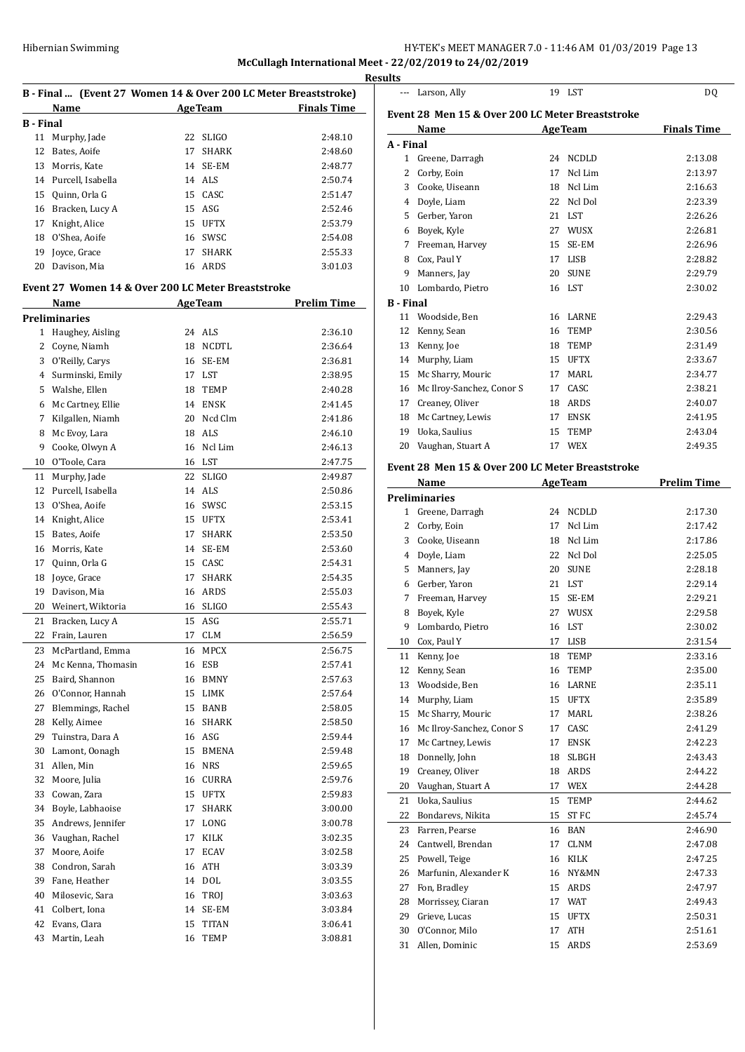# HY-TEK's MEET MANAGER 7.0 - 11:46 AM 01/03/2019 Page 13

**McCullagh International Meet - 22/02/2019 to 24/02/2019**

|                        |                                                                 |    |                              |                                                                                                                                                                                                | <b>Results</b> |
|------------------------|-----------------------------------------------------------------|----|------------------------------|------------------------------------------------------------------------------------------------------------------------------------------------------------------------------------------------|----------------|
|                        | B - Final  (Event 27 Women 14 & Over 200 LC Meter Breaststroke) |    |                              |                                                                                                                                                                                                |                |
|                        | Name                                                            |    |                              | <b>Example 2 Age Team Property Property Property Property Property Property Property Property Property Property Property Property Property Property Property Property Property Property Pr</b> | Eve            |
| <b>B</b> - Final<br>11 | Murphy, Jade                                                    |    | 22 SLIGO                     | 2:48.10                                                                                                                                                                                        |                |
| 12                     | Bates, Aoife                                                    | 17 | SHARK                        | 2:48.60                                                                                                                                                                                        | $A - I$        |
| 13                     | Morris, Kate                                                    |    | 14 SE-EM                     | 2:48.77                                                                                                                                                                                        |                |
|                        | 14 Purcell, Isabella                                            |    | 14 ALS                       | 2:50.74                                                                                                                                                                                        |                |
| 15                     | Quinn, Orla G                                                   |    | 15 CASC                      | 2:51.47                                                                                                                                                                                        |                |
|                        | 16 Bracken, Lucy A                                              |    | 15 ASG                       | 2:52.46                                                                                                                                                                                        |                |
| 17                     | Knight, Alice                                                   |    | 15 UFTX                      | 2:53.79                                                                                                                                                                                        |                |
|                        | 18 O'Shea, Aoife                                                |    | 16 SWSC                      | 2:54.08                                                                                                                                                                                        |                |
| 19                     | Joyce, Grace                                                    |    | 17 SHARK                     | 2:55.33                                                                                                                                                                                        |                |
| 20                     | Davison, Mia                                                    |    | 16 ARDS                      | 3:01.03                                                                                                                                                                                        |                |
|                        | Event 27 Women 14 & Over 200 LC Meter Breaststroke              |    |                              |                                                                                                                                                                                                |                |
|                        | Name                                                            |    | <b>Example 2018 Age Team</b> | <b>Prelim Time</b>                                                                                                                                                                             | $B -$          |
|                        | <b>Preliminaries</b>                                            |    |                              |                                                                                                                                                                                                |                |
|                        | 1 Haughey, Aisling                                              |    | 24 ALS                       | 2:36.10                                                                                                                                                                                        |                |
|                        | 2 Coyne, Niamh                                                  |    | 18 NCDTL                     | 2:36.64                                                                                                                                                                                        |                |
|                        | 3 O'Reilly, Carys                                               |    | 16 SE-EM                     | 2:36.81                                                                                                                                                                                        |                |
| 4                      | Surminski, Emily                                                |    | 17 LST                       | 2:38.95                                                                                                                                                                                        |                |
|                        | 5 Walshe, Ellen                                                 |    | 18 TEMP                      | 2:40.28                                                                                                                                                                                        |                |
|                        | 6 Mc Cartney, Ellie                                             |    | 14 ENSK                      | 2:41.45                                                                                                                                                                                        |                |
| 7                      | Kilgallen, Niamh                                                |    | 20 Ncd Clm                   | 2:41.86                                                                                                                                                                                        |                |
| 8                      | Mc Evoy, Lara                                                   |    | 18 ALS                       | 2:46.10                                                                                                                                                                                        |                |
| 9                      | Cooke, Olwyn A                                                  |    | 16 Ncl Lim                   | 2:46.13                                                                                                                                                                                        |                |
| 10                     | O'Toole, Cara                                                   |    | 16 LST                       | 2:47.75                                                                                                                                                                                        |                |
| 11                     | Murphy, Jade                                                    |    | 22 SLIGO                     | 2:49.87                                                                                                                                                                                        | Eve            |
|                        | 12 Purcell, Isabella                                            |    | 14 ALS                       | 2:50.86                                                                                                                                                                                        |                |
|                        | 13 O'Shea, Aoife                                                |    | 16 SWSC                      | 2:53.15                                                                                                                                                                                        | Pre            |
|                        | 14 Knight, Alice                                                |    | 15 UFTX                      | 2:53.41                                                                                                                                                                                        |                |
| 15                     | Bates, Aoife                                                    |    | 17 SHARK                     | 2:53.50                                                                                                                                                                                        |                |
| 16                     | Morris, Kate                                                    |    | 14 SE-EM                     | 2:53.60                                                                                                                                                                                        |                |
| 17                     | Quinn, Orla G                                                   |    | 15 CASC                      | 2:54.31                                                                                                                                                                                        |                |
| 18                     | Joyce, Grace                                                    | 17 | SHARK                        | 2:54.35                                                                                                                                                                                        |                |
| 19                     | Davison, Mia                                                    |    | 16 ARDS                      | 2:55.03                                                                                                                                                                                        |                |
| 20                     | Weinert, Wiktoria                                               |    | 16 SLIGO                     | 2:55.43                                                                                                                                                                                        |                |
| 21                     | Bracken, Lucy A                                                 |    | 15 ASG                       | 2:55.71                                                                                                                                                                                        |                |
| 22                     | Frain, Lauren                                                   | 17 | <b>CLM</b>                   | 2:56.59                                                                                                                                                                                        |                |
| 23                     | McPartland, Emma                                                | 16 | MPCX                         | 2:56.75                                                                                                                                                                                        |                |
| 24                     | Mc Kenna, Thomasin                                              |    | 16 ESB                       | 2:57.41                                                                                                                                                                                        |                |
| 25                     | Baird, Shannon                                                  |    | 16 BMNY                      | 2:57.63                                                                                                                                                                                        |                |
|                        | 26 O'Connor, Hannah                                             |    | 15 LIMK                      | 2:57.64                                                                                                                                                                                        |                |
| 27                     | Blemmings, Rachel                                               |    | 15 BANB                      | 2:58.05                                                                                                                                                                                        |                |
| 28                     | Kelly, Aimee                                                    |    | 16 SHARK                     | 2:58.50                                                                                                                                                                                        |                |
| 29                     | Tuinstra, Dara A                                                |    | 16 ASG                       | 2:59.44                                                                                                                                                                                        |                |
| 30                     | Lamont, Oonagh                                                  |    | 15 BMENA                     | 2:59.48                                                                                                                                                                                        |                |
| 31                     | Allen, Min                                                      |    | 16 NRS                       | 2:59.65                                                                                                                                                                                        |                |
| 32                     | Moore, Julia                                                    |    | 16 CURRA                     | 2:59.76                                                                                                                                                                                        |                |
| 33                     | Cowan, Zara                                                     |    | 15 UFTX                      | 2:59.83                                                                                                                                                                                        |                |
| 34                     | Boyle, Labhaoise                                                | 17 | SHARK                        | 3:00.00                                                                                                                                                                                        |                |
| 35                     | Andrews, Jennifer                                               | 17 | LONG                         | 3:00.78                                                                                                                                                                                        |                |
|                        |                                                                 | 17 |                              |                                                                                                                                                                                                |                |
| 36                     | Vaughan, Rachel                                                 |    | KILK                         | 3:02.35                                                                                                                                                                                        |                |
| 37                     | Moore, Aoife                                                    | 17 | ECAV                         | 3:02.58                                                                                                                                                                                        |                |
|                        | 38 Condron, Sarah                                               | 16 | ATH                          | 3:03.39                                                                                                                                                                                        |                |
| 39                     | Fane, Heather                                                   |    | 14 DOL                       | 3:03.55                                                                                                                                                                                        |                |
| 40                     | Milosevic, Sara                                                 |    | 16 TROJ                      | 3:03.63                                                                                                                                                                                        |                |
| 41                     | Colbert, Iona                                                   | 14 | $\text{SE-EM}$               | 3:03.84                                                                                                                                                                                        |                |
| 42                     | Evans, Clara                                                    |    | 15 TITAN                     | 3:06.41                                                                                                                                                                                        |                |
| 43                     | Martin, Leah                                                    | 16 | TEMP                         | 3:08.81                                                                                                                                                                                        |                |

|                  | --- Larson, Ally                                 |    | 19 LST         | DQ                 |
|------------------|--------------------------------------------------|----|----------------|--------------------|
|                  | Event 28 Men 15 & Over 200 LC Meter Breaststroke |    |                |                    |
|                  | Name                                             |    | <b>AgeTeam</b> | <b>Finals Time</b> |
| A - Final        |                                                  |    |                |                    |
|                  | 1 Greene, Darragh                                |    | 24 NCDLD       | 2:13.08            |
|                  | 2 Corby, Eoin                                    | 17 | Ncl Lim        | 2:13.97            |
|                  | 3 Cooke, Uiseann                                 |    | 18 Ncl Lim     | 2:16.63            |
|                  | 4 Doyle, Liam                                    |    | 22 Ncl Dol     | 2:23.39            |
|                  | 5 Gerber, Yaron                                  |    | 21 LST         | 2:26.26            |
|                  | 6 Boyek, Kyle                                    |    | 27 WUSX        | 2:26.81            |
| 7                | Freeman, Harvey                                  |    | 15 SE-EM       | 2:26.96            |
|                  | 8 Cox, Paul Y                                    |    | 17 LISB        | 2:28.82            |
|                  | 9 Manners, Jay                                   |    | 20 SUNE        | 2:29.79            |
|                  | 10 Lombardo, Pietro                              |    | 16 LST         | 2:30.02            |
| <b>B</b> - Final |                                                  |    |                |                    |
|                  | 11 Woodside, Ben                                 |    | 16 LARNE       | 2:29.43            |
|                  | 12 Kenny, Sean                                   |    | 16 TEMP        | 2:30.56            |
|                  | 13 Kenny, Joe                                    |    | 18 TEMP        | 2:31.49            |
|                  | 14 Murphy, Liam                                  |    | 15 UFTX        | 2:33.67            |
|                  | 15 Mc Sharry, Mouric                             |    | 17 MARL        | 2:34.77            |
|                  | 16 Mc Ilroy-Sanchez, Conor S                     |    | 17 CASC        | 2:38.21            |
|                  | 17 Creaney, Oliver                               |    | 18 ARDS        | 2:40.07            |
|                  | 18 Mc Cartney, Lewis                             |    | 17 ENSK        | 2:41.95            |
|                  | 19 Uoka, Saulius                                 | 15 | <b>TEMP</b>    | 2:43.04            |
|                  | 20 Vaughan, Stuart A                             |    | 17 WEX         | 2:49.35            |
|                  | Event 28 Men 15 & Over 200 LC Meter Breaststroke |    |                |                    |
|                  | Name                                             |    | <b>AgeTeam</b> | <b>Prelim Time</b> |
|                  | <b>Preliminaries</b>                             |    |                |                    |
|                  | 1 Greene, Darragh                                |    | 24 NCDLD       | 2:17.30            |
|                  | 2 Corby, Eoin                                    |    | 17 Ncl Lim     | 2:17.42            |
|                  | 3 Cooke, Uiseann                                 |    | 18 Ncl Lim     | 2:17.86            |
|                  | 4 Doyle, Liam                                    |    | 22 Ncl Dol     | 2:25.05            |
|                  | 5 Manners, Jay                                   |    | 20 SUNE        | 2:28.18            |
|                  | 6 Gerber, Yaron                                  |    | 21 LST         | 2:29.14            |
|                  | 7 Freeman, Harvey                                |    | 15 SE-EM       | 2:29.21            |
|                  | 8 Boyek, Kyle                                    |    | 27 WUSX        | 2:29.58            |
| 9                | Lombardo, Pietro                                 |    | 16 LST         | 2:30.02            |
| 10               | Cox, Paul Y                                      | 17 | LISB           | 2:31.54            |
| 11               | Kenny, Joe                                       | 18 | <b>TEMP</b>    | 2:33.16            |
| 12               | Kenny, Sean                                      | 16 | TEMP           | 2:35.00            |
| 13               | Woodside, Ben                                    | 16 | LARNE          | 2:35.11            |
| 14               | Murphy, Liam                                     | 15 | <b>UFTX</b>    | 2:35.89            |
| 15               | Mc Sharry, Mouric                                | 17 | MARL           | 2:38.26            |
| 16               | Mc Ilroy-Sanchez, Conor S                        | 17 | CASC           | 2:41.29            |
| 17               | Mc Cartney, Lewis                                | 17 | ENSK           | 2:42.23            |
| 18               | Donnelly, John                                   | 18 | SLBGH          | 2:43.43            |
| 19               | Creaney, Oliver                                  | 18 | ARDS           | 2:44.22            |
| 20               | Vaughan, Stuart A                                | 17 | WEX            | 2:44.28            |
| 21               | Uoka, Saulius                                    | 15 | TEMP           | 2:44.62            |
| 22               | Bondarevs, Nikita                                | 15 | ST FC          | 2:45.74            |
| 23               | Farren, Pearse                                   | 16 | BAN            | 2:46.90            |
| 24               | Cantwell, Brendan                                | 17 | CLNM           | 2:47.08            |
| 25               | Powell, Teige                                    | 16 | KILK           | 2:47.25            |
| 26               | Marfunin, Alexander K                            | 16 | NY&MN          | 2:47.33            |
| 27               | Fon, Bradley                                     | 15 | ARDS           | 2:47.97            |
| 28               | Morrissey, Ciaran                                |    | 17 WAT         | 2:49.43            |
| 29               | Grieve, Lucas                                    | 15 | <b>UFTX</b>    | 2:50.31            |
| 30               | O'Connor, Milo                                   | 17 | ATH            | 2:51.61            |
| 31               | Allen, Dominic                                   | 15 | ARDS           | 2:53.69            |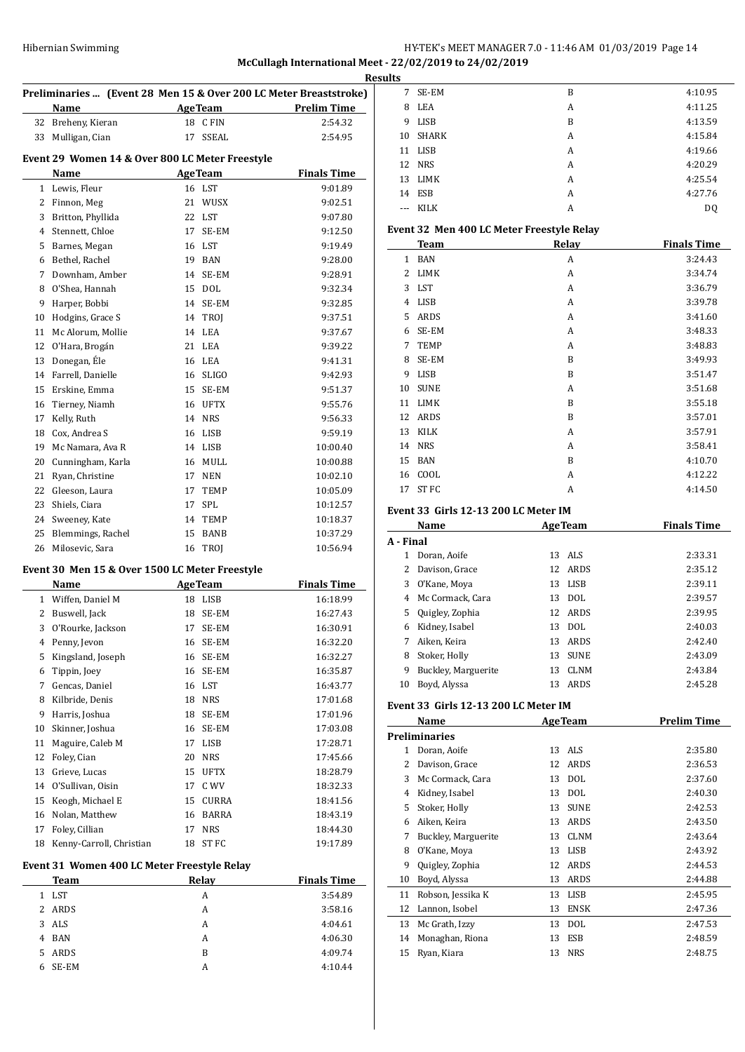# Hibernian Swimming HY-TEK's MEET MANAGER 7.0 - 11:46 AM 01/03/2019 Page 14 **McCullagh International Meet - 22/02/2019 to 24/02/2019**

|              | Preliminaries  (Event 28 Men 15 & Over 200 LC Meter Breaststroke)<br>Name | AgeTeam           | <b>Prelim Time</b> |
|--------------|---------------------------------------------------------------------------|-------------------|--------------------|
|              | 32 Breheny, Kieran                                                        | 18 CFIN           | 2:54.32            |
| 33           | Mulligan, Cian                                                            | 17<br>SSEAL       | 2:54.95            |
|              |                                                                           |                   |                    |
|              | Event 29 Women 14 & Over 800 LC Meter Freestyle<br>Name                   | <b>AgeTeam</b>    | <b>Finals Time</b> |
|              | 1 Lewis, Fleur                                                            | 16 LST            | 9:01.89            |
|              | 2 Finnon, Meg                                                             | 21 WUSX           | 9:02.51            |
|              | 3 Britton, Phyllida                                                       | 22 LST            | 9:07.80            |
|              | 4 Stennett, Chloe                                                         | 17<br>SE-EM       | 9:12.50            |
|              | 5 Barnes, Megan                                                           | 16 LST            | 9:19.49            |
|              | 6 Bethel, Rachel                                                          | 19 BAN            | 9:28.00            |
|              | 7 Downham, Amber                                                          | 14 SE-EM          | 9:28.91            |
| 8            | O'Shea, Hannah                                                            | 15 DOL            | 9:32.34            |
| 9            | Harper, Bobbi                                                             | 14 SE-EM          | 9:32.85            |
| 10           | Hodgins, Grace S                                                          | 14 TROJ           | 9:37.51            |
| 11           | Mc Alorum, Mollie                                                         | 14 LEA            | 9:37.67            |
| 12           | O'Hara, Brogán                                                            | 21 LEA            | 9:39.22            |
|              |                                                                           |                   |                    |
| 13           | Donegan, Éle                                                              | 16 LEA            | 9:41.31            |
|              | 14 Farrell, Danielle                                                      | 16 SLIGO          | 9:42.93            |
| 15           | Erskine, Emma                                                             | 15 SE-EM          | 9:51.37            |
| 16<br>17     | Tierney, Niamh                                                            | 16 UFTX<br>14 NRS | 9:55.76            |
|              | Kelly, Ruth                                                               |                   | 9:56.33            |
| 18           | Cox, Andrea S                                                             | 16 LISB           | 9:59.19            |
| 19           | Mc Namara, Ava R                                                          | 14 LISB           | 10:00.40           |
|              | 20 Cunningham, Karla                                                      | 16 MULL           | 10:00.88           |
|              | 21 Ryan, Christine                                                        | 17 NEN            | 10:02.10           |
|              | 22 Gleeson, Laura                                                         | 17 TEMP           | 10:05.09           |
| 23           | Shiels, Ciara                                                             | 17<br>SPL         | 10:12.57           |
|              | 24 Sweeney, Kate                                                          | 14 TEMP           | 10:18.37           |
| 25           | Blemmings, Rachel                                                         | 15 BANB           | 10:37.29           |
| 26           | Milosevic, Sara                                                           | 16 TROJ           | 10:56.94           |
|              | Event 30 Men 15 & Over 1500 LC Meter Freestyle                            |                   |                    |
|              | Name                                                                      | <b>AgeTeam</b>    | <b>Finals Time</b> |
| $\mathbf{1}$ | Wiffen, Daniel M                                                          | 18 LISB           | 16:18.99           |
|              | 2 Buswell, Jack                                                           | 18 SE-EM          | 16:27.43           |
| 3            | O'Rourke, Jackson                                                         | 17 SE-EM          | 16:30.91           |
| 4            | Penny, Jevon                                                              | 16<br>SE-EM       | 16:32.20           |
| 5            | Kingsland, Joseph                                                         | 16 SE-EM          | 16:32.27           |
| 6            | Tippin, Joey                                                              | 16 SE-EM          | 16:35.87           |
| 7            | Gencas, Daniel                                                            | 16 LST            | 16:43.77           |
| 8            | Kilbride, Denis                                                           | 18 NRS            | 17:01.68           |
| 9            | Harris, Joshua                                                            | 18<br>SE-EM       | 17:01.96           |
| 10           | Skinner, Joshua                                                           | 16 SE-EM          | 17:03.08           |
| 11           | Maguire, Caleb M                                                          | 17 LISB           | 17:28.71           |
| 12           | Foley, Cian                                                               | 20 NRS            | 17:45.66           |
| 13           | Grieve, Lucas                                                             | 15 UFTX           | 18:28.79           |
| 14           | O'Sullivan, Oisin                                                         | C WV<br>17        | 18:32.33           |
| 15           | Keogh, Michael E                                                          | 15<br>CURRA       | 18:41.56           |
| 16           | Nolan, Matthew                                                            | 16 BARRA          | 18:43.19           |
| 17           | Foley, Cillian                                                            | <b>NRS</b><br>17  | 18:44.30           |
| 18           | Kenny-Carroll, Christian                                                  | ST FC<br>18       | 19:17.89           |
|              | Event 31 Women 400 LC Meter Freestyle Relay                               |                   |                    |
|              | <b>Team</b>                                                               | <b>Relay</b>      | <b>Finals Time</b> |
|              | 1 LST                                                                     | A                 | 3:54.89            |
|              | 2 ARDS                                                                    | A                 | 3:58.16            |
| 3            | $\rm{ALS}$                                                                | A                 | 4:04.61            |
|              | 4 BAN                                                                     | A                 | 4:06.30            |
|              |                                                                           |                   |                    |

 ARDS B 4:09.74 6 SE-EM A 4:10.44

| ts    |              |   |         |
|-------|--------------|---|---------|
| 7     | SE-EM        | B | 4:10.95 |
| 8     | LEA          | A | 4:11.25 |
| 9     | LISB         | B | 4:13.59 |
| 10    | <b>SHARK</b> | A | 4:15.84 |
|       | 11 LISB      | A | 4:19.66 |
|       | 12 NRS       | A | 4:20.29 |
|       | 13 LIMK      | A | 4:25.54 |
|       | 14 ESB       | A | 4:27.76 |
| $---$ | KILK         | А | DQ      |
|       |              |   |         |

# **Event 32 Men 400 LC Meter Freestyle Relay**

|              | <b>Team</b> | Relay | <b>Finals Time</b> |
|--------------|-------------|-------|--------------------|
| $\mathbf{1}$ | <b>BAN</b>  | A     | 3:24.43            |
| 2            | <b>LIMK</b> | A     | 3:34.74            |
| 3            | <b>LST</b>  | A     | 3:36.79            |
| 4            | <b>LISB</b> | А     | 3:39.78            |
| 5            | ARDS        | А     | 3:41.60            |
| 6            | SE-EM       | A     | 3:48.33            |
| 7            | <b>TEMP</b> | A     | 3:48.83            |
| 8            | SE-EM       | B     | 3:49.93            |
| 9            | <b>LISB</b> | B     | 3:51.47            |
| 10           | <b>SUNE</b> | A     | 3:51.68            |
| 11           | <b>LIMK</b> | B     | 3:55.18            |
| 12           | ARDS        | B     | 3:57.01            |
| 13           | <b>KILK</b> | A     | 3:57.91            |
| 14           | <b>NRS</b>  | A     | 3:58.41            |
| 15           | <b>BAN</b>  | B     | 4:10.70            |
| 16           | COOL        | A     | 4:12.22            |
| 17           | ST FC       | А     | 4:14.50            |
|              |             |       |                    |

### **Event 33 Girls 12-13 200 LC Meter IM**

|           | Name                |    | <b>AgeTeam</b> | <b>Finals Time</b> |
|-----------|---------------------|----|----------------|--------------------|
| A - Final |                     |    |                |                    |
| 1         | Doran, Aoife        |    | 13 ALS         | 2:33.31            |
| 2         | Davison, Grace      |    | 12 ARDS        | 2:35.12            |
| 3         | O'Kane, Moya        | 13 | LISB           | 2:39.11            |
| 4         | Mc Cormack, Cara    | 13 | DOL            | 2:39.57            |
| 5.        | Quigley, Zophia     | 12 | ARDS           | 2:39.95            |
| 6         | Kidney, Isabel      | 13 | DOL            | 2:40.03            |
| 7         | Aiken, Keira        | 13 | ARDS           | 2:42.40            |
| 8         | Stoker, Holly       | 13 | <b>SUNE</b>    | 2:43.09            |
| 9         | Buckley, Marguerite | 13 | <b>CLNM</b>    | 2:43.84            |
| 10        | Boyd, Alyssa        | 13 | ARDS           | 2:45.28            |

#### **Event 33 Girls 12-13 200 LC Meter IM**

|    | Name                |    | <b>AgeTeam</b> | <b>Prelim Time</b> |
|----|---------------------|----|----------------|--------------------|
|    | Preliminaries       |    |                |                    |
| 1  | Doran, Aoife        | 13 | ALS            | 2:35.80            |
| 2  | Davison, Grace      | 12 | ARDS           | 2:36.53            |
| 3  | Mc Cormack, Cara    | 13 | <b>DOL</b>     | 2:37.60            |
| 4  | Kidney, Isabel      | 13 | <b>DOL</b>     | 2:40.30            |
| 5  | Stoker, Holly       | 13 | <b>SUNE</b>    | 2:42.53            |
| 6  | Aiken, Keira        | 13 | ARDS           | 2:43.50            |
| 7  | Buckley, Marguerite | 13 | <b>CLNM</b>    | 2:43.64            |
| 8  | O'Kane, Moya        | 13 | <b>LISB</b>    | 2:43.92            |
| 9  | Quigley, Zophia     | 12 | ARDS           | 2:44.53            |
| 10 | Boyd, Alyssa        | 13 | ARDS           | 2:44.88            |
| 11 | Robson, Jessika K   | 13 | LISB           | 2:45.95            |
| 12 | Lannon, Isobel      | 13 | <b>ENSK</b>    | 2:47.36            |
| 13 | Mc Grath, Izzy      | 13 | <b>DOL</b>     | 2:47.53            |
| 14 | Monaghan, Riona     | 13 | <b>ESB</b>     | 2:48.59            |
| 15 | Ryan, Kiara         | 13 | <b>NRS</b>     | 2:48.75            |
|    |                     |    |                |                    |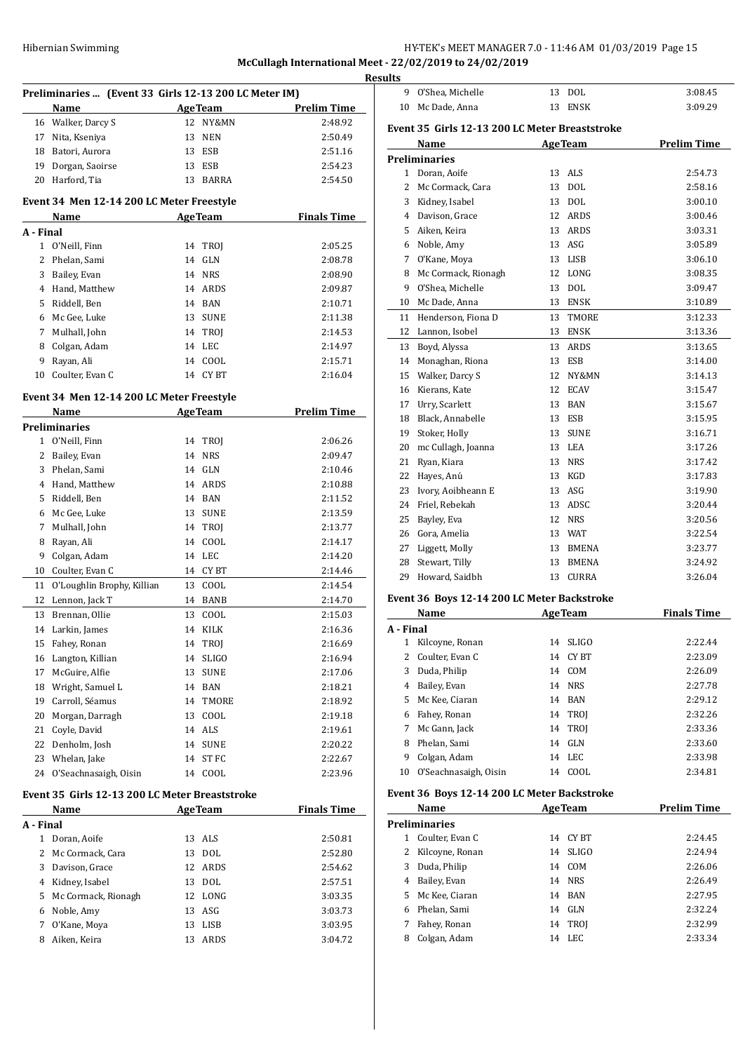# HY-TEK's MEET MANAGER 7.0 - 11:46 AM 01/03/2019 Page 15

**McCullagh International Meet - 22/02/2019 to 24/02/2019**

|              | Preliminaries  (Event 33 Girls 12-13 200 LC Meter IM) |    |                |                    |
|--------------|-------------------------------------------------------|----|----------------|--------------------|
|              | Name                                                  |    | <b>AgeTeam</b> | <b>Prelim Time</b> |
|              | 16 Walker, Darcy S                                    |    | 12 NY&MN       | 2:48.92            |
| 17           | Nita, Kseniya                                         | 13 | NEN            | 2:50.49            |
| 18           | Batori, Aurora                                        |    | 13 ESB         | 2:51.16            |
| 19           | Dorgan, Saoirse                                       | 13 | <b>ESB</b>     | 2:54.23            |
| 20           | Harford, Tia                                          | 13 | BARRA          | 2:54.50            |
|              |                                                       |    |                |                    |
|              | Event 34 Men 12-14 200 LC Meter Freestyle             |    |                |                    |
|              | Name                                                  |    | <b>AgeTeam</b> | <b>Finals Time</b> |
| A - Final    |                                                       |    |                |                    |
| $\mathbf{1}$ | O'Neill, Finn                                         |    | 14 TROJ        | 2:05.25            |
| 2            | Phelan, Sami                                          | 14 | <b>GLN</b>     | 2:08.78            |
| 3            | Bailey, Evan                                          |    | 14 NRS         | 2:08.90            |
|              | 4 Hand, Matthew                                       |    | 14 ARDS        | 2:09.87            |
| 5            | Riddell, Ben                                          |    | 14 BAN         | 2:10.71            |
| 6            | Mc Gee, Luke                                          |    | 13 SUNE        | 2:11.38            |
| 7            | Mulhall, John                                         |    | 14 TROJ        | 2:14.53            |
| 8            | Colgan, Adam                                          |    | 14 LEC         | 2:14.97            |
| 9            | Rayan, Ali                                            | 14 | COOL           | 2:15.71            |
| 10           | Coulter, Evan C                                       | 14 | CY BT          | 2:16.04            |
|              | Event 34 Men 12-14 200 LC Meter Freestyle             |    |                |                    |
|              | Name                                                  |    | <b>AgeTeam</b> | <b>Prelim Time</b> |
|              | Preliminaries                                         |    |                |                    |
| 1            | O'Neill, Finn                                         |    | 14 TROJ        | 2:06.26            |
| 2            | Bailey, Evan                                          | 14 | NRS            | 2:09.47            |
| 3            | Phelan, Sami                                          |    | 14 GLN         | 2:10.46            |
|              | 4 Hand, Matthew                                       |    | 14 ARDS        | 2:10.88            |
| 5            | Riddell, Ben                                          |    | 14 BAN         | 2:11.52            |
| 6            | Mc Gee, Luke                                          |    | 13 SUNE        | 2:13.59            |
| 7            | Mulhall, John                                         |    | 14 TROJ        | 2:13.77            |
| 8            | Rayan, Ali                                            | 14 | COOL           | 2:14.17            |
| 9            | Colgan, Adam                                          |    | 14 LEC         | 2:14.20            |
| 10           | Coulter, Evan C                                       | 14 | CY BT          | 2:14.46            |
| 11           | O'Loughlin Brophy, Killian                            | 13 | COOL           | 2:14.54            |
| 12           | Lennon, Jack T                                        |    | 14 BANB        | 2:14.70            |
| 13           | Brennan, Ollie                                        | 13 | COOL           | 2:15.03            |
| 14           | Larkin, James                                         | 14 | KILK           | 2:16.36            |
| 15           | Fahey, Ronan                                          |    | 14 TROJ        | 2:16.69            |
| 16           | Langton, Killian                                      | 14 | $SLIGO$        | 2:16.94            |
| 17           | McGuire, Alfie                                        | 13 | <b>SUNE</b>    | 2:17.06            |
| 18           | Wright, Samuel L                                      |    | 14 BAN         | 2:18.21            |
| 19           | Carroll, Séamus                                       |    | 14 TMORE       | 2:18.92            |
| 20           | Morgan, Darragh                                       | 13 | COOL           | 2:19.18            |
| 21           | Coyle, David                                          |    | 14 ALS         | 2:19.61            |
| 22           | Denholm, Josh                                         | 14 | <b>SUNE</b>    | 2:20.22            |
| 23           | Whelan, Jake                                          | 14 | ST FC          | 2:22.67            |
| 24           | O'Seachnasaigh, Oisin                                 |    | 14 COOL        | 2:23.96            |
|              |                                                       |    |                |                    |
|              | Event 35 Girls 12-13 200 LC Meter Breaststroke        |    |                |                    |
|              | Name                                                  |    | <b>AgeTeam</b> | <b>Finals Time</b> |
| A - Final    |                                                       |    |                |                    |
| $\mathbf{1}$ | Doran, Aoife                                          | 13 | ALS            | 2:50.81            |
| 2            | Mc Cormack, Cara                                      | 13 | <b>DOL</b>     | 2:52.80            |
| 3            | Davison, Grace                                        |    | 12 ARDS        | 2:54.62            |
|              | 4 Kidney, Isabel                                      |    | 13 DOL         | 2:57.51            |
| 5            | Mc Cormack, Rionagh                                   |    | 12 LONG        | 3:03.35            |
| 6            | Noble, Amy                                            |    | 13 ASG         | 3:03.73            |
| 7            | O'Kane, Moya                                          | 13 | LISB           | 3:03.95            |
| 8            | Aiken, Keira                                          | 13 | ARDS           | 3:04.72            |
|              |                                                       |    |                |                    |

| 9              | O'Shea, Michelle                               |    | 13 DOL         | 3:08.45            |
|----------------|------------------------------------------------|----|----------------|--------------------|
| 10             | Mc Dade, Anna                                  | 13 | <b>ENSK</b>    | 3:09.29            |
|                | Event 35 Girls 12-13 200 LC Meter Breaststroke |    |                |                    |
|                | Name                                           |    | <b>AgeTeam</b> | <b>Prelim Time</b> |
|                | <b>Preliminaries</b>                           |    |                |                    |
|                | 1 Doran, Aoife                                 | 13 | <b>ALS</b>     | 2:54.73            |
| $\overline{c}$ | Mc Cormack, Cara                               | 13 | <b>DOL</b>     | 2:58.16            |
| 3              | Kidney, Isabel                                 | 13 | DOL            | 3:00.10            |
|                | 4 Davison, Grace                               |    | 12 ARDS        | 3:00.46            |
|                | 5 Aiken, Keira                                 |    | 13 ARDS        | 3:03.31            |
|                | 6 Noble, Amy                                   | 13 | ASG            | 3:05.89            |
| 7              | O'Kane, Moya                                   |    | 13 LISB        | 3:06.10            |
| 8              | Mc Cormack, Rionagh                            |    | 12 LONG        | 3:08.35            |
| 9              | O'Shea, Michelle                               | 13 | <b>DOL</b>     | 3:09.47            |
| 10             | Mc Dade, Anna                                  |    | 13 ENSK        | 3:10.89            |
| 11             | Henderson, Fiona D                             | 13 | TMORE          | 3:12.33            |
| 12             | Lannon, Isobel                                 | 13 | <b>ENSK</b>    | 3:13.36            |
| 13             | Boyd, Alyssa                                   | 13 | ARDS           | 3:13.65            |
| 14             | Monaghan, Riona                                | 13 | <b>ESB</b>     | 3:14.00            |
| 15             | Walker, Darcy S                                | 12 | NY&MN          | 3:14.13            |
| 16             | Kierans, Kate                                  | 12 | <b>ECAV</b>    | 3:15.47            |
| 17             | Urry, Scarlett                                 | 13 | BAN            | 3:15.67            |
| 18             | Black, Annabelle                               | 13 | ESB            | 3:15.95            |
| 19             | Stoker, Holly                                  | 13 | <b>SUNE</b>    | 3:16.71            |
| 20             | mc Cullagh, Joanna                             |    | 13 LEA         | 3:17.26            |
| 21             | Ryan, Kiara                                    | 13 | <b>NRS</b>     | 3:17.42            |
| 22             | Hayes, Anú                                     |    | 13 KGD         | 3:17.83            |
| 23             | Ivory, Aoibheann E                             |    | 13 ASG         | 3:19.90            |
| 24             | Friel, Rebekah                                 |    | 13 ADSC        | 3:20.44            |
| 25             | Bayley, Eva                                    |    | 12 NRS         | 3:20.56            |
| 26             | Gora, Amelia                                   |    | 13 WAT         | 3:22.54            |
| 27             | Liggett, Molly                                 |    | 13 BMENA       | 3:23.77            |
| 28             | Stewart, Tilly                                 | 13 | BMENA          | 3:24.92            |
| 29             | Howard, Saidbh                                 | 13 | <b>CURRA</b>   | 3:26.04            |

#### **Event 36 Boys 12-14 200 LC Meter Backstroke**

| Name      |                       |    | <b>AgeTeam</b> | <b>Finals Time</b> |
|-----------|-----------------------|----|----------------|--------------------|
| A - Final |                       |    |                |                    |
| 1         | Kilcoyne, Ronan       | 14 | <b>SLIGO</b>   | 2:22.44            |
|           | 2 Coulter, Evan C     | 14 | CY BT          | 2:23.09            |
| 3         | Duda, Philip          | 14 | COM            | 2:26.09            |
| 4         | Bailey, Evan          | 14 | <b>NRS</b>     | 2:27.78            |
| 5.        | Mc Kee, Ciaran        |    | 14 BAN         | 2:29.12            |
| 6         | Fahey, Ronan          |    | 14 TROJ        | 2:32.26            |
| 7         | Mc Gann, Jack         |    | 14 TROJ        | 2:33.36            |
| 8         | Phelan, Sami          | 14 | GLN            | 2:33.60            |
| 9         | Colgan, Adam          | 14 | LEC            | 2:33.98            |
| 10        | O'Seachnasaigh, Oisin | 14 | COOL           | 2:34.81            |

#### **Event 36 Boys 12-14 200 LC Meter Backstroke**

|    | Name                 | <b>AgeTeam</b> |              | <b>Prelim Time</b> |
|----|----------------------|----------------|--------------|--------------------|
|    | <b>Preliminaries</b> |                |              |                    |
| 1  | Coulter, Evan C      | 14             | CY BT        | 2:24.45            |
|    | Kilcoyne, Ronan      | 14             | <b>SLIGO</b> | 2:24.94            |
| 3  | Duda, Philip         | 14             | COM          | 2:26.06            |
| 4  | Bailey, Evan         | 14             | NRS.         | 2:26.49            |
| 5. | Mc Kee, Ciaran       | 14             | <b>BAN</b>   | 2:27.95            |
| 6  | Phelan, Sami         | 14             | GLN          | 2:32.24            |
| 7  | Fahey, Ronan         | 14             | <b>TROI</b>  | 2:32.99            |
| 8  | Colgan, Adam         | 14             | LEC.         | 2:33.34            |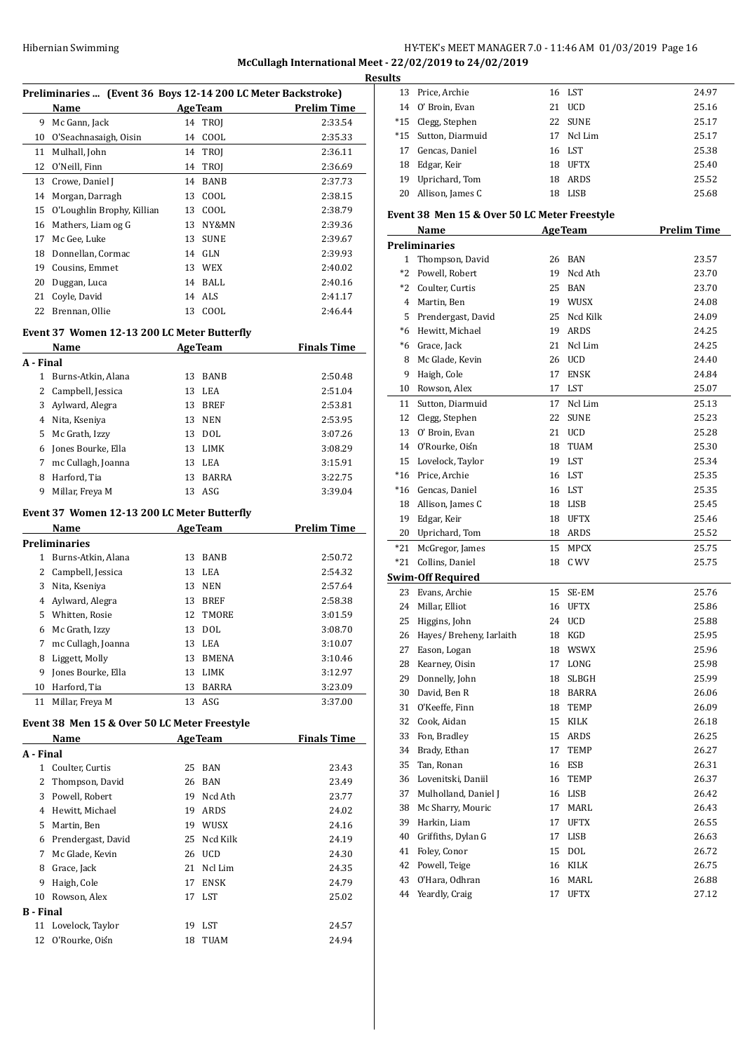# HY-TEK's MEET MANAGER 7.0 - 11:46 AM 01/03/2019 Page 16 **McCullagh International Meet - 22/02/2019 to 24/02/2019**

<u>Its</u>

|           | Preliminaries  (Event 36 Boys 12-14 200 LC Meter Backstroke)                                                                        |                             |                    |
|-----------|-------------------------------------------------------------------------------------------------------------------------------------|-----------------------------|--------------------|
|           | <b>Name</b><br><u> 1980 - Jan James James Jan Jan James James Jan Jan James James James James Jan Jan James James Jan Jan James</u> | <b>AgeTeam</b>              | <b>Prelim Time</b> |
|           | 9 Mc Gann, Jack                                                                                                                     | 14<br>TROJ                  | 2:33.54            |
|           | 10 O'Seachnasaigh, Oisin                                                                                                            | 14 COOL                     | 2:35.33            |
|           | 11 Mulhall, John                                                                                                                    | 14 TROI                     | 2:36.11            |
|           | 12 O'Neill, Finn                                                                                                                    | 14 TROJ                     | 2:36.69            |
|           | 13 Crowe, Daniel J                                                                                                                  | 14 BANB                     | 2:37.73            |
|           | 14 Morgan, Darragh                                                                                                                  | 13 COOL                     | 2:38.15            |
|           | 15 O'Loughlin Brophy, Killian                                                                                                       | 13 COOL                     | 2:38.79            |
|           | 16 Mathers, Liam og G                                                                                                               | 13 NY&MN                    | 2:39.36            |
|           | 17 Mc Gee, Luke                                                                                                                     | 13 SUNE                     | 2:39.67            |
|           | 18 Donnellan, Cormac                                                                                                                | 14 GLN                      | 2:39.93            |
|           | 19 Cousins, Emmet                                                                                                                   | 13 WEX                      | 2:40.02            |
|           | 20 Duggan, Luca                                                                                                                     | 14 BALL                     | 2:40.16            |
|           | 21 Coyle, David                                                                                                                     | 14 ALS                      | 2:41.17            |
|           | 22 Brennan, Ollie                                                                                                                   | 13 COOL                     | 2:46.44            |
|           | Event 37 Women 12-13 200 LC Meter Butterfly                                                                                         |                             |                    |
|           | Name                                                                                                                                | <b>Example 2.1 Age Team</b> | <b>Finals Time</b> |
| A - Final |                                                                                                                                     |                             |                    |
|           | 1 Burns-Atkin, Alana                                                                                                                | 13 BANB                     | 2:50.48            |
|           | 2 Campbell, Jessica                                                                                                                 | 13 LEA                      | 2:51.04            |
|           | 3 Aylward, Alegra                                                                                                                   | 13 BREF                     | 2:53.81            |
|           | 4 Nita, Kseniya                                                                                                                     | 13 NEN                      | 2:53.95            |
|           | 5 Mc Grath, Izzy                                                                                                                    | 13 DOL                      | 3:07.26            |
|           | 6 Jones Bourke, Ella                                                                                                                | 13 LIMK                     | 3:08.29            |
|           | 7 mc Cullagh, Joanna                                                                                                                | 13 LEA                      | 3:15.91            |
|           | 8 Harford, Tia                                                                                                                      | 13 BARRA                    | 3:22.75            |
| 9         | Millar, Freya M                                                                                                                     | 13 ASG                      | 3:39.04            |
|           | Event 37 Women 12-13 200 LC Meter Butterfly                                                                                         |                             |                    |
|           | Name                                                                                                                                | <b>AgeTeam</b>              | <b>Prelim Time</b> |
|           | <b>Preliminaries</b>                                                                                                                |                             |                    |
|           | 1 Burns-Atkin, Alana                                                                                                                | 13 BANB                     | 2:50.72            |
|           | 2 Campbell, Jessica                                                                                                                 | 13 LEA                      | 2:54.32            |
|           | 3 Nita, Kseniya                                                                                                                     | 13 NEN                      | 2:57.64            |
|           | 4 Aylward, Alegra                                                                                                                   | 13 BREF                     | 2:58.38            |
|           | 5 Whitten, Rosie                                                                                                                    | 12 TMORE                    | 3:01.59            |
|           | 6 Mc Grath, Izzy                                                                                                                    | 13 DOL                      | 3:08.70            |
|           | 7 mc Cullagh, Joanna                                                                                                                | 13 LEA                      | 3:10.07            |
| 8         | Liggett, Molly                                                                                                                      | 13<br>BMENA                 | 3:10.46            |
|           | 9 Jones Bourke, Ella                                                                                                                | 13 LIMK                     | 3:12.97            |
|           | 10 Harford, Tia                                                                                                                     | 13 BARRA                    | 3:23.09            |
|           | 11 Millar, Freya M                                                                                                                  | 13 ASG                      | 3:37.00            |
|           | Event 38 Men 15 & Over 50 LC Meter Freestyle                                                                                        |                             |                    |
|           | Name                                                                                                                                | <b>AgeTeam</b>              | <b>Finals Time</b> |
| A - Final |                                                                                                                                     |                             |                    |
|           | 1 Coulter, Curtis                                                                                                                   | 25 BAN                      | 23.43              |
|           | 2 Thompson, David                                                                                                                   | 26 BAN                      | 23.49              |
|           | 3 Powell, Robert                                                                                                                    | 19 Ncd Ath                  | 23.77              |
|           | 4 Hewitt, Michael                                                                                                                   | 19 ARDS                     | 24.02              |
|           | 5 Martin, Ben                                                                                                                       | 19 WUSX                     | 24.16              |
|           | 6 Prendergast, David                                                                                                                | Ncd Kilk<br>25              | 24.19              |
|           | 7 Mc Glade, Kevin                                                                                                                   | 26 UCD                      | 24.30              |
|           |                                                                                                                                     |                             |                    |
|           | 8 Grace, Jack                                                                                                                       | 21 Ncl Lim                  | 24.35              |
|           |                                                                                                                                     | 17                          |                    |
|           | 9 Haigh, Cole<br>10 Rowson, Alex                                                                                                    | <b>ENSK</b>                 | 24.79              |
|           | <b>B</b> - Final                                                                                                                    | 17 LST                      | 25.02              |

O'Rourke, Oisín 18 TUAM 24.94

| lts   |                                              |    |                |                    |
|-------|----------------------------------------------|----|----------------|--------------------|
| 13    | Price, Archie                                |    | 16 LST         | 24.97              |
| 14    | O' Broin, Evan                               | 21 | <b>UCD</b>     | 25.16              |
| $*15$ | Clegg, Stephen                               | 22 | <b>SUNE</b>    | 25.17              |
| $*15$ | Sutton, Diarmuid                             | 17 | Ncl Lim        | 25.17              |
| 17    | Gencas, Daniel                               | 16 | LST            | 25.38              |
| 18    | Edgar, Keir                                  | 18 | UFTX           | 25.40              |
| 19    | Uprichard, Tom                               | 18 | ARDS           | 25.52              |
| 20    | Allison, James C                             | 18 | LISB           | 25.68              |
|       | Event 38 Men 15 & Over 50 LC Meter Freestyle |    |                |                    |
|       | Name                                         |    | <b>AgeTeam</b> | <b>Prelim Time</b> |
|       | <b>Preliminaries</b>                         |    |                |                    |
| 1     | Thompson, David                              | 26 | <b>BAN</b>     | 23.57              |
| $*2$  | Powell, Robert                               | 19 | Ncd Ath        | 23.70              |
| $*2$  | Coulter, Curtis                              | 25 | BAN            | 23.70              |
| 4     | Martin, Ben                                  |    | 19 WUSX        | 24.08              |
| 5     | Prendergast, David                           | 25 | Ncd Kilk       | 24.09              |
| $*6$  | Hewitt, Michael                              | 19 | <b>ARDS</b>    | 24.25              |
| *6    | Grace, Jack                                  | 21 | Ncl Lim        | 24.25              |
| 8     | Mc Glade, Kevin                              | 26 | <b>UCD</b>     | 24.40              |
| 9     | Haigh, Cole                                  | 17 | <b>ENSK</b>    | 24.84              |
| 10    | Rowson, Alex                                 | 17 | <b>LST</b>     | 25.07              |
| 11    | Sutton, Diarmuid                             | 17 | Ncl Lim        | 25.13              |
| 12    | Clegg, Stephen                               | 22 | <b>SUNE</b>    | 25.23              |
| 13    | O' Broin, Evan                               | 21 | <b>UCD</b>     | 25.28              |
| 14    | O'Rourke, Oiśn                               | 18 | TUAM           | 25.30              |
| 15    | Lovelock, Taylor                             | 19 | LST            | 25.34              |
| $*16$ | Price, Archie                                |    | 16 LST         | 25.35              |
| *16   | Gencas, Daniel                               |    | 16 LST         | 25.35              |
| 18    | Allison, James C                             | 18 | LISB           | 25.45              |
| 19    | Edgar, Keir                                  | 18 | <b>UFTX</b>    | 25.46              |
| 20    | Uprichard, Tom                               | 18 | ARDS           | 25.52              |
| $*21$ | McGregor, James                              | 15 | <b>MPCX</b>    | 25.75              |
| $*21$ | Collins, Daniel                              | 18 | C WV           | 25.75              |
|       | <u>Swim-Off Required</u>                     |    |                |                    |
| 23    | Evans, Archie                                | 15 | SE-EM          | 25.76              |
| 24    | Millar, Elliot                               | 16 | <b>UFTX</b>    | 25.86              |
| 25    | Higgins, John                                | 24 | <b>UCD</b>     | 25.88              |
|       | 26 Hayes/ Breheny, Iarlaith                  |    | 18 KGD         | 25.95              |
| 27    | Eason, Logan                                 |    | 18 WSWX        | 25.96              |
| 28    | Kearney, Oisin                               | 17 | LONG           | 25.98              |
| 29    | Donnelly, John                               | 18 | SLBGH          | 25.99              |
| 30    | David, Ben R                                 | 18 | BARRA          | 26.06              |
| 31    | O'Keeffe, Finn                               | 18 | TEMP           | 26.09              |
| 32    | Cook, Aidan                                  | 15 | KILK           | 26.18              |
| 33    | Fon, Bradley                                 | 15 | ARDS           | 26.25              |
| 34    | Brady, Ethan                                 | 17 | TEMP           | 26.27              |
| 35    | Tan, Ronan                                   | 16 | ESB            | 26.31              |
| 36    | Lovenitski, Daniil                           | 16 | TEMP           | 26.37              |
| 37    | Mulholland, Daniel J                         | 16 | LISB           | 26.42              |
| 38    | Mc Sharry, Mouric                            | 17 | MARL           | 26.43              |
| 39    | Harkin, Liam                                 | 17 | UFTX           | 26.55              |
| 40    | Griffiths, Dylan G                           | 17 | LISB           | 26.63              |
| 41    | Foley, Conor                                 | 15 | <b>DOL</b>     | 26.72              |
| 42    | Powell, Teige                                | 16 | KILK           | 26.75              |
| 43    | O'Hara, Odhran                               | 16 | MARL           | 26.88              |

Yeardly, Craig 17 UFTX 27.12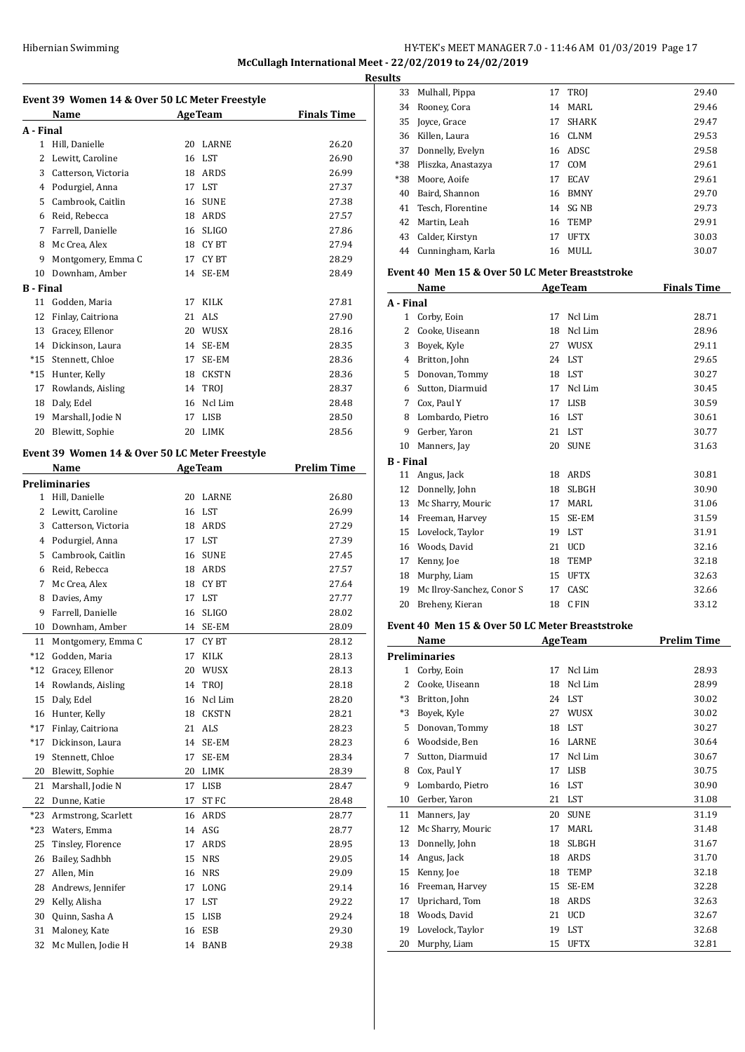# Hibernian Swimming HY-TEK's MEET MANAGER 7.0 - 11:46 AM 01/03/2019 Page 17 **McCullagh International Meet - 22/02/2019 to 24/02/2019**

**Event 39 Women 14 & Over 50 LC Meter Freestyle Name Age Team Finals Time A - Final** Hill, Danielle 20 LARNE 26.20 2 Lewitt. Caroline 16 LST 26.90 Catterson, Victoria 18 ARDS 26.99 Podurgiel, Anna 17 LST 27.37 Cambrook, Caitlin 16 SUNE 27.38 Reid, Rebecca 18 ARDS 27.57 Farrell, Danielle 16 SLIGO 27.86 8 Mc Crea, Alex 18 CY BT 27.94 9 Montgomery, Emma C 17 CY BT 28.29 Downham, Amber 14 SE-EM 28.49 **B - Final** Godden, Maria 17 KILK 27.81 Finlay, Caitriona 21 ALS 27.90 13 Gracey, Ellenor 20 WUSX 28.16 Dickinson, Laura 14 SE-EM 28.35 \*15 Stennett, Chloe 17 SE-EM 28.36 \*15 Hunter, Kelly 18 CKSTN 28.36 17 Rowlands, Aisling 14 TROJ 28.37 Daly, Edel 16 Ncl Lim 28.48 19 Marshall, Jodie N 17 LISB 28.50 Blewitt, Sophie 20 LIMK 28.56 **Event 39 Women 14 & Over 50 LC Meter Freestyle Name Age Team Prelim Time Preliminaries** Hill, Danielle 20 LARNE 26.80 2 Lewitt, Caroline 16 LST 26.99 Catterson, Victoria 18 ARDS 27.29 Podurgiel, Anna 17 LST 27.39 Cambrook, Caitlin 16 SUNE 27.45 Reid, Rebecca 18 ARDS 27.57 Mc Crea, Alex 18 CY BT 27.64 8 Davies, Amy 17 LST 27.77 Farrell, Danielle 16 SLIGO 28.02 Downham, Amber 14 SE-EM 28.09 11 Montgomery, Emma C 17 CY BT 28.12 \*12 Godden, Maria 17 KILK 28.13 \*12 Gracey, Ellenor 20 WUSX 28.13 14 Rowlands, Aisling 14 TROJ 28.18 Daly, Edel 16 Ncl Lim 28.20 Hunter, Kelly 18 CKSTN 28.21 \*17 Finlay, Caitriona 21 ALS 28.23 \*17 Dickinson, Laura 14 SE-EM 28.23 Stennett, Chloe 17 SE-EM 28.34 Blewitt, Sophie 20 LIMK 28.39 21 Marshall, Jodie N 17 LISB 28.47 Dunne, Katie 17 ST FC 28.48 \*23 Armstrong, Scarlett 16 ARDS 28.77 \*23 Waters, Emma 14 ASG 28.77 Tinsley, Florence 17 ARDS 28.95 Bailey, Sadhbh 15 NRS 29.05 27 Allen, Min 16 NRS 29.09 28 Andrews, Jennifer 17 LONG 29.14 Kelly, Alisha 17 LST 29.22 Quinn, Sasha A 15 LISB 29.24 Maloney, Kate 16 ESB 29.30 32 Mc Mullen, Jodie H 14 BANB 29.38

| <b>Results</b> |                        |    |              |       |  |
|----------------|------------------------|----|--------------|-------|--|
| 33             | Mulhall, Pippa         |    | 17 TROJ      | 29.40 |  |
|                | 34 Rooney, Cora        | 14 | MARL         | 29.46 |  |
|                | 35 Joyce, Grace        | 17 | <b>SHARK</b> | 29.47 |  |
|                | 36 Killen, Laura       |    | 16 CLNM      | 29.53 |  |
| 37             | Donnelly, Evelyn       |    | 16 ADSC      | 29.58 |  |
|                | *38 Pliszka, Anastazya | 17 | COM          | 29.61 |  |
| *38            | Moore, Aoife           | 17 | <b>ECAV</b>  | 29.61 |  |
| 40             | Baird, Shannon         |    | 16 BMNY      | 29.70 |  |
|                | 41 Tesch, Florentine   |    | 14 SG NB     | 29.73 |  |
|                | 42 Martin, Leah        | 16 | TEMP         | 29.91 |  |
|                | 43 Calder, Kirstyn     | 17 | <b>UFTX</b>  | 30.03 |  |
|                | 44 Cunningham, Karla   | 16 | MULL         | 30.07 |  |

#### **Event 40 Men 15 & Over 50 LC Meter Breaststroke**

|           | Name                      | <b>AgeTeam</b> |              | <b>Finals Time</b> |
|-----------|---------------------------|----------------|--------------|--------------------|
| A - Final |                           |                |              |                    |
| 1         | Corby, Eoin               | 17             | Ncl Lim      | 28.71              |
| 2         | Cooke, Uiseann            | 18             | Ncl Lim      | 28.96              |
| 3         | Boyek, Kyle               | 27             | WUSX         | 29.11              |
| 4         | Britton, John             | 24             | LST          | 29.65              |
| 5         | Donovan, Tommy            | 18             | LST          | 30.27              |
| 6         | Sutton, Diarmuid          | 17             | Ncl Lim      | 30.45              |
| 7         | Cox, Paul Y               | 17             | <b>LISB</b>  | 30.59              |
| 8         | Lombardo, Pietro          | 16             | <b>LST</b>   | 30.61              |
| 9         | Gerber, Yaron             | 21             | <b>LST</b>   | 30.77              |
| 10        | Manners, Jay              | 20             | <b>SUNE</b>  | 31.63              |
| B - Final |                           |                |              |                    |
| 11        | Angus, Jack               | 18             | ARDS         | 30.81              |
| 12        | Donnelly, John            | 18             | <b>SLBGH</b> | 30.90              |
| 13        | Mc Sharry, Mouric         | 17             | MARL         | 31.06              |
| 14        | Freeman, Harvey           | 15             | SE-EM        | 31.59              |
| 15        | Lovelock, Taylor          | 19             | <b>LST</b>   | 31.91              |
| 16        | Woods, David              | 21             | <b>UCD</b>   | 32.16              |
| 17        | Kenny, Joe                | 18             | <b>TEMP</b>  | 32.18              |
| 18        | Murphy, Liam              | 15             | <b>UFTX</b>  | 32.63              |
| 19        | Mc Ilroy-Sanchez, Conor S | 17             | CASC         | 32.66              |
| 20        | Breheny, Kieran           | 18             | C FIN        | 33.12              |

#### **Event 40 Men 15 & Over 50 LC Meter Breaststroke**

|      | Name              |    | <b>AgeTeam</b> | <b>Prelim Time</b> |
|------|-------------------|----|----------------|--------------------|
|      | Preliminaries     |    |                |                    |
| 1    | Corby, Eoin       | 17 | Ncl Lim        | 28.93              |
| 2    | Cooke, Uiseann    | 18 | Ncl Lim        | 28.99              |
| $*3$ | Britton, John     | 24 | LST            | 30.02              |
| *3   | Boyek, Kyle       | 27 | WUSX           | 30.02              |
| 5    | Donovan, Tommy    | 18 | <b>LST</b>     | 30.27              |
| 6    | Woodside, Ben     | 16 | LARNE          | 30.64              |
| 7    | Sutton, Diarmuid  | 17 | Ncl Lim        | 30.67              |
| 8    | Cox, Paul Y       | 17 | <b>LISB</b>    | 30.75              |
| 9    | Lombardo, Pietro  | 16 | LST            | 30.90              |
| 10   | Gerber, Yaron     | 21 | <b>LST</b>     | 31.08              |
| 11   | Manners, Jay      | 20 | <b>SUNE</b>    | 31.19              |
| 12   | Mc Sharry, Mouric | 17 | MARL           | 31.48              |
| 13   | Donnelly, John    | 18 | <b>SLBGH</b>   | 31.67              |
| 14   | Angus, Jack       | 18 | <b>ARDS</b>    | 31.70              |
| 15   | Kenny, Joe        | 18 | TEMP           | 32.18              |
| 16   | Freeman, Harvey   | 15 | SE-EM          | 32.28              |
| 17   | Uprichard, Tom    | 18 | ARDS           | 32.63              |
| 18   | Woods, David      | 21 | <b>UCD</b>     | 32.67              |
| 19   | Lovelock, Taylor  | 19 | <b>LST</b>     | 32.68              |
| 20   | Murphy, Liam      | 15 | <b>UFTX</b>    | 32.81              |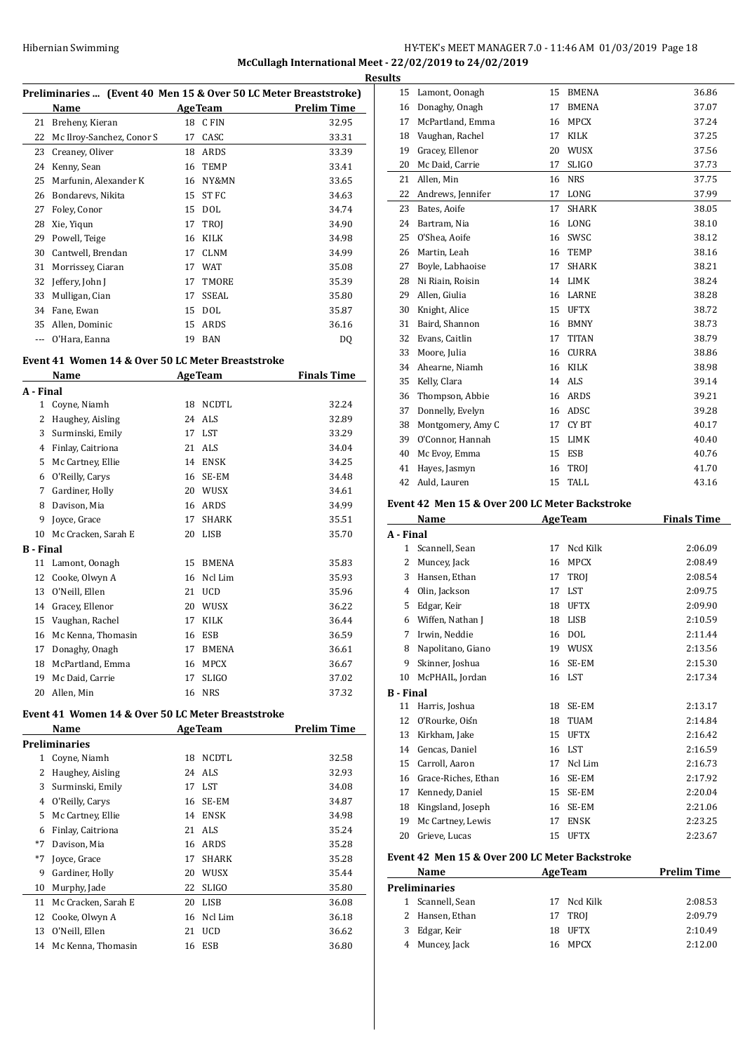# HY-TEK's MEET MANAGER 7.0 - 11:46 AM 01/03/2019 Page 18 **McCullagh International Meet - 22/02/2019 to 24/02/2019**

**Results**

| Preliminaries  (Event 40 Men 15 & Over 50 LC Meter Breaststroke) |  |  |  |  |  |
|------------------------------------------------------------------|--|--|--|--|--|
|------------------------------------------------------------------|--|--|--|--|--|

|    | Name                      | <b>AgeTeam</b> |              | <b>Prelim Time</b> |
|----|---------------------------|----------------|--------------|--------------------|
| 21 | Breheny, Kieran           | 18             | C FIN        | 32.95              |
| 22 | Mc Ilroy-Sanchez, Conor S | 17             | CASC         | 33.31              |
| 23 | Creaney, Oliver           | 18             | ARDS         | 33.39              |
| 24 | Kenny, Sean               | 16             | <b>TEMP</b>  | 33.41              |
| 25 | Marfunin, Alexander K     | 16             | NY&MN        | 33.65              |
| 26 | Bondarevs, Nikita         | 15             | ST FC        | 34.63              |
| 27 | Foley, Conor              | 15             | <b>DOL</b>   | 34.74              |
| 28 | Xie, Yigun                | 17             | <b>TROI</b>  | 34.90              |
| 29 | Powell, Teige             | 16             | KILK         | 34.98              |
| 30 | Cantwell, Brendan         | 17             | <b>CLNM</b>  | 34.99              |
| 31 | Morrissey, Ciaran         | 17             | <b>WAT</b>   | 35.08              |
| 32 | Jeffery, John J           | 17             | TMORE        | 35.39              |
| 33 | Mulligan, Cian            | 17             | <b>SSEAL</b> | 35.80              |
| 34 | Fane, Ewan                | 15             | <b>DOL</b>   | 35.87              |
| 35 | Allen, Dominic            | 15             | ARDS         | 36.16              |
|    | O'Hara, Eanna             | 19             | <b>BAN</b>   | DQ                 |

# **Event 41 Women 14 & Over 50 LC Meter Breaststroke**

|                  | Name                |    | <b>AgeTeam</b>  | <b>Finals Time</b> |
|------------------|---------------------|----|-----------------|--------------------|
| A - Final        |                     |    |                 |                    |
| 1                | Coyne, Niamh        | 18 | <b>NCDTL</b>    | 32.24              |
| 2                | Haughey, Aisling    | 24 | ALS <sub></sub> | 32.89              |
| 3                | Surminski, Emily    | 17 | <b>LST</b>      | 33.29              |
| 4                | Finlay, Caitriona   | 21 | ALS             | 34.04              |
| 5                | Mc Cartney, Ellie   | 14 | <b>ENSK</b>     | 34.25              |
| 6                | O'Reilly, Carys     | 16 | SE-EM           | 34.48              |
| 7                | Gardiner, Holly     | 20 | WUSX            | 34.61              |
| 8                | Davison, Mia        | 16 | <b>ARDS</b>     | 34.99              |
| 9                | Joyce, Grace        | 17 | <b>SHARK</b>    | 35.51              |
| 10               | Mc Cracken, Sarah E | 20 | <b>LISB</b>     | 35.70              |
| <b>B</b> - Final |                     |    |                 |                    |
| 11               | Lamont, Oonagh      | 15 | <b>BMENA</b>    | 35.83              |
| 12               | Cooke, Olwyn A      | 16 | Ncl Lim         | 35.93              |
| 13               | O'Neill, Ellen      | 21 | <b>UCD</b>      | 35.96              |
| 14               | Gracey, Ellenor     | 20 | WUSX            | 36.22              |
| 15               | Vaughan, Rachel     | 17 | KILK            | 36.44              |
| 16               | Mc Kenna, Thomasin  | 16 | <b>ESB</b>      | 36.59              |
| 17               | Donaghy, Onagh      | 17 | <b>BMENA</b>    | 36.61              |
| 18               | McPartland, Emma    | 16 | <b>MPCX</b>     | 36.67              |
| 19               | Mc Daid, Carrie     | 17 | <b>SLIGO</b>    | 37.02              |
| 20               | Allen, Min          | 16 | <b>NRS</b>      | 37.32              |

# **Event 41 Women 14 & Over 50 LC Meter Breaststroke**

|      | Name                |    | <b>AgeTeam</b> | Prelim Time |
|------|---------------------|----|----------------|-------------|
|      | Preliminaries       |    |                |             |
| 1    | Coyne, Niamh        | 18 | NCDTL          | 32.58       |
| 2    | Haughey, Aisling    | 24 | ALS            | 32.93       |
| 3    | Surminski, Emily    | 17 | LST.           | 34.08       |
| 4    | O'Reilly, Carys     | 16 | SE-EM          | 34.87       |
| 5    | Mc Cartney, Ellie   | 14 | ENSK           | 34.98       |
| 6    | Finlay, Caitriona   | 21 | ALS.           | 35.24       |
| $*7$ | Davison, Mia        | 16 | ARDS           | 35.28       |
| $*7$ | Joyce, Grace        | 17 | <b>SHARK</b>   | 35.28       |
| 9    | Gardiner, Holly     | 20 | WUSX           | 35.44       |
| 10   | Murphy, Jade        | 22 | <b>SLIGO</b>   | 35.80       |
| 11   | Mc Cracken, Sarah E | 20 | LISB           | 36.08       |
| 12   | Cooke, Olwyn A      | 16 | Ncl Lim        | 36.18       |
| 13   | O'Neill, Ellen      | 21 | <b>UCD</b>     | 36.62       |
| 14   | Mc Kenna, Thomasin  | 16 | ESB            | 36.80       |
|      |                     |    |                |             |

| <u>iits</u>      |                                                |          |                      |                    |
|------------------|------------------------------------------------|----------|----------------------|--------------------|
| 15               | Lamont, Oonagh                                 | 15       | BMENA                | 36.86              |
| 16               | Donaghy, Onagh                                 | 17       | <b>BMENA</b>         | 37.07              |
| 17               | McPartland, Emma                               |          | 16 MPCX              | 37.24              |
| 18               | Vaughan, Rachel                                | 17       | KILK                 | 37.25              |
| 19               | Gracey, Ellenor                                | 20       | <b>WUSX</b>          | 37.56              |
| 20               | Mc Daid, Carrie                                | 17       | <b>SLIGO</b>         | 37.73              |
| 21               | Allen, Min                                     | 16       | <b>NRS</b>           | 37.75              |
| 22               | Andrews, Jennifer                              | 17       | LONG                 | 37.99              |
| 23               | Bates, Aoife                                   | 17       | <b>SHARK</b>         | 38.05              |
| 24               | Bartram, Nia                                   |          | 16 LONG              | 38.10              |
| 25               | O'Shea, Aoife                                  | 16       | SWSC                 | 38.12              |
| 26               | Martin, Leah                                   |          | 16 TEMP              | 38.16              |
| 27               | Boyle, Labhaoise                               | 17       | <b>SHARK</b>         | 38.21              |
| 28               | Ni Riain, Roisin                               |          | 14 LIMK              | 38.24              |
| 29               | Allen, Giulia                                  |          | 16 LARNE             | 38.28              |
| 30               | Knight, Alice                                  |          | 15 UFTX              | 38.72              |
| 31               | Baird, Shannon                                 |          | 16 BMNY              | 38.73              |
| 32               | Evans, Caitlin                                 | 17       | TITAN                | 38.79              |
| 33               | Moore, Julia                                   | 16       | <b>CURRA</b>         | 38.86              |
| 34               | Ahearne, Niamh                                 |          | 16 KILK              | 38.98              |
| 35               | Kelly, Clara                                   |          | 14 ALS               | 39.14              |
| 36               | Thompson, Abbie                                |          | 16 ARDS              | 39.21              |
| 37               | Donnelly, Evelyn                               |          | 16 ADSC              | 39.28              |
| 38               | Montgomery, Amy C                              | 17       | CY BT                | 40.17              |
| 39               | O'Connor, Hannah                               | 15       | LIMK                 | 40.40              |
| 40               | Mc Evoy, Emma                                  | 15       | ESB                  | 40.76              |
| 41<br>42         | Hayes, Jasmyn                                  | 16<br>15 | TROJ<br>TALL         | 41.70<br>43.16     |
|                  | Auld, Lauren                                   |          |                      |                    |
|                  | Event 42 Men 15 & Over 200 LC Meter Backstroke |          |                      |                    |
|                  | Name                                           |          | <b>AgeTeam</b>       | <b>Finals Time</b> |
| A - Final        |                                                |          |                      |                    |
| 1                | Scannell, Sean                                 | 17       | Ncd Kilk             | 2:06.09            |
| 2                | Muncey, Jack                                   | 16       | MPCX                 | 2:08.49            |
| 3                | Hansen, Ethan                                  | 17       | TROJ                 | 2:08.54            |
|                  | 4 Olin, Jackson                                | 17       | LST                  | 2:09.75            |
| 5                | Edgar, Keir                                    | 18       | <b>UFTX</b>          | 2:09.90            |
| 6                | Wiffen, Nathan J                               | 18       | LISB                 | 2:10.59            |
| 7                | Irwin. Neddie                                  | 16       | <b>DOL</b>           | 2:11.44            |
| 8                | Napolitano, Giano                              |          | 19 WUSX              | 2:13.56            |
| 9                | Skinner, Joshua<br>McPHAIL, Jordan             | 16<br>16 | SE-EM<br>LST         | 2:15.30<br>2:17.34 |
| 10               |                                                |          |                      |                    |
|                  |                                                |          |                      |                    |
| <b>B</b> - Final |                                                |          |                      |                    |
| 11               | Harris, Joshua                                 | 18       | SE-EM                | 2:13.17            |
| 12               | O'Rourke, Oiśn                                 | 18       | <b>TUAM</b>          | 2:14.84            |
| 13               | Kirkham, Jake                                  | 15       | <b>UFTX</b>          | 2:16.42            |
|                  | 14 Gencas, Daniel                              |          | 16 LST               | 2:16.59            |
|                  | 15 Carroll, Aaron                              | 17       | Ncl Lim              | 2:16.73            |
|                  | 16 Grace-Riches, Ethan                         |          | 16 SE-EM             | 2:17.92            |
| 17<br>18         | Kennedy, Daniel                                |          | 15 SE-EM<br>16 SE-EM | 2:20.04<br>2:21.06 |
| 19               | Kingsland, Joseph<br>Mc Cartney, Lewis         | 17       | ENSK                 | 2:23.25            |
| 20               | Grieve, Lucas                                  | 15       | <b>UFTX</b>          | 2:23.67            |
|                  |                                                |          |                      |                    |
|                  | Event 42 Men 15 & Over 200 LC Meter Backstroke |          |                      |                    |
|                  | Name                                           |          | <b>AgeTeam</b>       | <b>Prelim Time</b> |
|                  | <b>Preliminaries</b>                           |          |                      |                    |
|                  | 1 Scannell, Sean                               | 17       | Ncd Kilk             | 2:08.53            |
| 2                | Hansen, Ethan                                  | 17       | TROJ                 | 2:09.79            |
| 3<br>4           | Edgar, Keir<br>Muncey, Jack                    | 18<br>16 | <b>UFTX</b><br>MPCX  | 2:10.49<br>2:12.00 |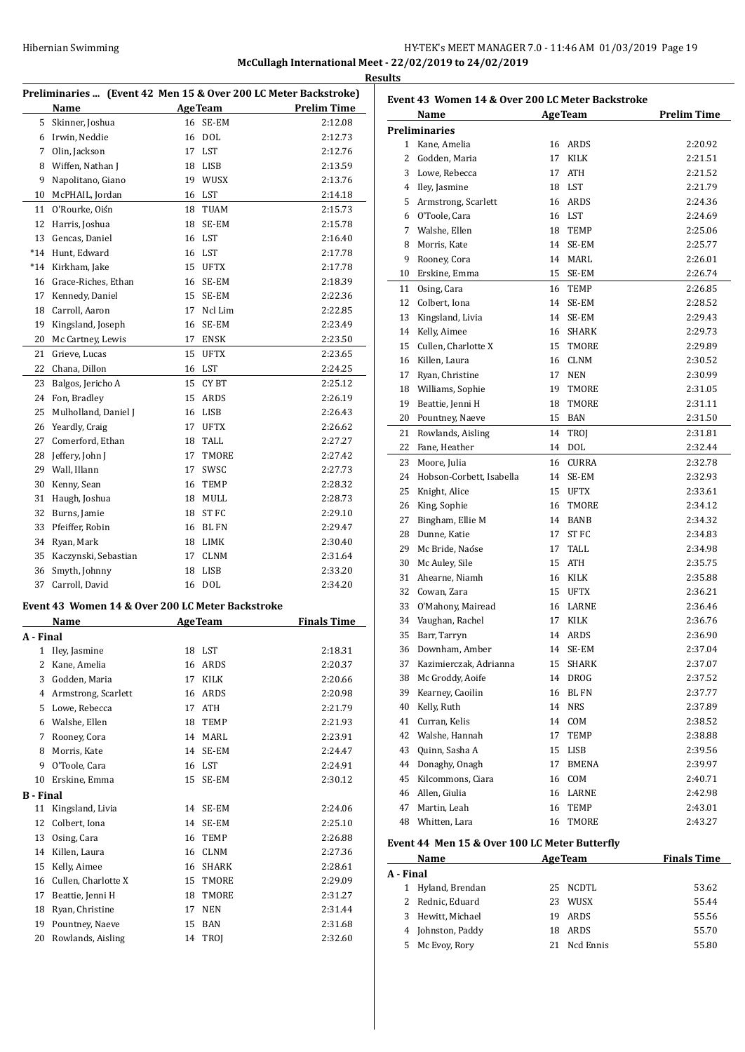# HY-TEK's MEET MANAGER 7.0 - 11:46 AM 01/03/2019 Page 19 **McCullagh International Meet - 22/02/2019 to 24/02/2019 Results**

| Preliminaries  (Event 42 Men 15 & Over 200 LC Meter Backstroke) |                                                  |    |                |                    |
|-----------------------------------------------------------------|--------------------------------------------------|----|----------------|--------------------|
|                                                                 | Name                                             |    | <b>AgeTeam</b> | <b>Prelim Time</b> |
| 5                                                               | Skinner, Joshua                                  | 16 | SE-EM          | 2:12.08            |
| 6                                                               | Irwin, Neddie                                    | 16 | <b>DOL</b>     | 2:12.73            |
| 7                                                               | Olin, Jackson                                    | 17 | <b>LST</b>     | 2:12.76            |
| 8                                                               | Wiffen, Nathan J                                 | 18 | <b>LISB</b>    | 2:13.59            |
| 9                                                               | Napolitano, Giano                                | 19 | WUSX           | 2:13.76            |
| 10                                                              | McPHAIL, Jordan                                  | 16 | LST            | 2:14.18            |
| 11                                                              | O'Rourke, Oiśn                                   | 18 | TUAM           | 2:15.73            |
| 12                                                              | Harris, Joshua                                   | 18 | SE-EM          | 2:15.78            |
| 13                                                              | Gencas, Daniel                                   | 16 | LST            | 2:16.40            |
| $*14$                                                           | Hunt, Edward                                     | 16 | LST            | 2:17.78            |
| $*14$                                                           | Kirkham, Jake                                    | 15 | <b>UFTX</b>    | 2:17.78            |
| 16                                                              | Grace-Riches, Ethan                              | 16 | SE-EM          | 2:18.39            |
| 17                                                              | Kennedy, Daniel                                  | 15 | SE-EM          | 2:22.36            |
| 18                                                              | Carroll, Aaron                                   | 17 | Ncl Lim        | 2:22.85            |
| 19                                                              | Kingsland, Joseph                                | 16 | SE-EM          | 2:23.49            |
| 20                                                              | Mc Cartney, Lewis                                | 17 | ENSK           | 2:23.50            |
| 21                                                              | Grieve, Lucas                                    | 15 | <b>UFTX</b>    | 2:23.65            |
| 22                                                              | Chana, Dillon                                    | 16 | LST            | 2:24.25            |
| 23                                                              | Balgos, Jericho A                                | 15 | CY BT          | 2:25.12            |
| 24                                                              | Fon, Bradley                                     | 15 | ARDS           | 2:26.19            |
| 25                                                              | Mulholland, Daniel J                             | 16 | <b>LISB</b>    | 2:26.43            |
| 26                                                              | Yeardly, Craig                                   | 17 | <b>UFTX</b>    | 2:26.62            |
| 27                                                              | Comerford, Ethan                                 | 18 | TALL           | 2:27.27            |
| 28                                                              | Jeffery, John J                                  | 17 | <b>TMORE</b>   | 2:27.42            |
| 29                                                              | Wall, Illann                                     | 17 | SWSC           | 2:27.73            |
| 30                                                              | Kenny, Sean                                      | 16 | TEMP           | 2:28.32            |
| 31                                                              | Haugh, Joshua                                    | 18 | MULL           | 2:28.73            |
| 32                                                              | Burns, Jamie                                     | 18 | ST FC          | 2:29.10            |
| 33                                                              | Pfeiffer, Robin                                  | 16 | <b>BL FN</b>   | 2:29.47            |
| 34                                                              | Ryan, Mark                                       | 18 | LIMK           | 2:30.40            |
| 35                                                              | Kaczynski, Sebastian                             | 17 | <b>CLNM</b>    | 2:31.64            |
| 36                                                              | Smyth, Johnny                                    | 18 | <b>LISB</b>    | 2:33.20            |
| 37                                                              | Carroll, David                                   | 16 | <b>DOL</b>     | 2:34.20            |
|                                                                 | Event 43 Women 14 & Over 200 LC Meter Backstroke |    |                |                    |
|                                                                 | Name                                             |    | <b>AgeTeam</b> | <b>Finals Time</b> |
| A - Final                                                       |                                                  |    |                |                    |

|           | машс                |    | лде геаш     | гшагэ гипс |
|-----------|---------------------|----|--------------|------------|
| A - Final |                     |    |              |            |
| 1         | Iley, Jasmine       | 18 | <b>LST</b>   | 2:18.31    |
| 2         | Kane, Amelia        | 16 | <b>ARDS</b>  | 2:20.37    |
| 3         | Godden, Maria       | 17 | <b>KILK</b>  | 2:20.66    |
| 4         | Armstrong, Scarlett | 16 | <b>ARDS</b>  | 2:20.98    |
| 5         | Lowe, Rebecca       | 17 | <b>ATH</b>   | 2:21.79    |
| 6         | Walshe, Ellen       | 18 | <b>TEMP</b>  | 2:21.93    |
| 7         | Rooney, Cora        | 14 | MARL         | 2:23.91    |
| 8         | Morris, Kate        | 14 | SE-EM        | 2:24.47    |
| 9         | O'Toole, Cara       | 16 | LST          | 2:24.91    |
| 10        | Erskine, Emma       | 15 | SE-EM        | 2:30.12    |
| B - Final |                     |    |              |            |
| 11        | Kingsland, Livia    | 14 | SE-EM        | 2:24.06    |
| 12        | Colbert, Iona       | 14 | SE-EM        | 2:25.10    |
| 13        | Osing, Cara         | 16 | <b>TEMP</b>  | 2:26.88    |
| 14        | Killen, Laura       | 16 | <b>CLNM</b>  | 2:27.36    |
| 15        | Kelly, Aimee        | 16 | <b>SHARK</b> | 2:28.61    |
| 16        | Cullen, Charlotte X | 15 | TMORE        | 2:29.09    |
| 17        | Beattie, Jenni H    | 18 | TMORE        | 2:31.27    |
| 18        | Ryan, Christine     | 17 | <b>NEN</b>   | 2:31.44    |
| 19        | Pountney, Naeve     | 15 | <b>BAN</b>   | 2:31.68    |
| 20        | Rowlands, Aisling   | 14 | TROJ         | 2:32.60    |
|           |                     |    |              |            |

| Event 43 Women 14 & Over 200 LC Meter Backstroke |                          |    |                      |                    |
|--------------------------------------------------|--------------------------|----|----------------------|--------------------|
|                                                  | Name                     |    | <b>AgeTeam</b>       | <b>Prelim Time</b> |
|                                                  | <b>Preliminaries</b>     |    |                      |                    |
|                                                  | 1 Kane, Amelia           |    | 16 ARDS              | 2:20.92            |
| $\mathbf{2}$                                     | Godden, Maria            | 17 | KILK                 | 2:21.51            |
| 3                                                | Lowe, Rebecca            | 17 | <b>ATH</b>           | 2:21.52            |
|                                                  | 4 Iley, Jasmine          |    | 18 LST               | 2:21.79            |
| 5.                                               | Armstrong, Scarlett      | 16 | ARDS                 | 2:24.36            |
|                                                  | 6 O'Toole, Cara          | 16 | <b>LST</b>           | 2:24.69            |
|                                                  | 7 Walshe, Ellen          | 18 | <b>TEMP</b>          | 2:25.06            |
| 8                                                | Morris, Kate             | 14 | SE-EM                | 2:25.77            |
| 9                                                | Rooney, Cora             | 14 | MARL                 | 2:26.01            |
| 10                                               | Erskine, Emma            | 15 | SE-EM                | 2:26.74            |
| 11                                               | Osing, Cara              | 16 | <b>TEMP</b>          | 2:26.85            |
| 12                                               | Colbert, Iona            | 14 | SE-EM                | 2:28.52            |
| 13                                               | Kingsland, Livia         | 14 | SE-EM                | 2:29.43            |
| 14                                               | Kelly, Aimee             | 16 | SHARK                | 2:29.73            |
| 15                                               | Cullen, Charlotte X      | 15 | TMORE                | 2:29.89            |
| 16                                               | Killen, Laura            | 16 | <b>CLNM</b>          | 2:30.52            |
| 17                                               | Ryan, Christine          | 17 | <b>NEN</b>           | 2:30.99            |
| 18                                               | Williams, Sophie         | 19 | TMORE                | 2:31.05            |
| 19                                               | Beattie, Jenni H         | 18 | TMORE                | 2:31.11            |
| 20                                               | Pountney, Naeve          | 15 | BAN                  | 2:31.50            |
| 21                                               | Rowlands, Aisling        | 14 | <b>TROJ</b>          | 2:31.81            |
| 22                                               | Fane, Heather            | 14 | <b>DOL</b>           | 2:32.44            |
| 23                                               |                          | 16 | <b>CURRA</b>         |                    |
| 24                                               | Moore, Julia             | 14 | SE-EM                | 2:32.78            |
| 25                                               | Hobson-Corbett, Isabella | 15 |                      | 2:32.93            |
|                                                  | Knight, Alice            | 16 | <b>UFTX</b><br>TMORE | 2:33.61            |
| 26<br>27                                         | King, Sophie             |    | <b>BANB</b>          | 2:34.12            |
|                                                  | Bingham, Ellie M         | 14 | ST FC                | 2:34.32            |
| 28                                               | Dunne, Katie             | 17 |                      | 2:34.83            |
| 29                                               | Mc Bride, Naóse          | 17 | TALL                 | 2:34.98            |
| 30                                               | Mc Auley, Sile           | 15 | ATH                  | 2:35.75            |
| 31                                               | Ahearne, Niamh           | 16 | KILK                 | 2:35.88            |
| 32                                               | Cowan, Zara              | 15 | <b>UFTX</b>          | 2:36.21            |
| 33                                               | O'Mahony, Mairead        | 16 | LARNE                | 2:36.46            |
| 34                                               | Vaughan, Rachel          | 17 | KILK                 | 2:36.76            |
| 35                                               | Barr, Tarryn             |    | 14 ARDS              | 2:36.90            |
| 36                                               | Downham, Amber           | 14 | SE-EM                | 2:37.04            |
| 37                                               | Kazimierczak, Adrianna   | 15 | SHARK                | 2:37.07            |
| 38                                               | Mc Groddy, Aoife         | 14 | DROG                 | 2:37.52            |
| 39                                               | Kearney, Caoilin         | 16 | <b>BLFN</b>          | 2:37.77            |
| 40                                               | Kelly, Ruth              | 14 | <b>NRS</b>           | 2:37.89            |
| 41                                               | Curran, Kelis            | 14 | COM                  | 2:38.52            |
| 42                                               | Walshe, Hannah           | 17 | TEMP                 | 2:38.88            |
| 43                                               | Quinn, Sasha A           | 15 | LISB                 | 2:39.56            |
| 44                                               | Donaghy, Onagh           | 17 | <b>BMENA</b>         | 2:39.97            |
| 45                                               | Kilcommons, Ciara        | 16 | COM                  | 2:40.71            |
| 46                                               | Allen, Giulia            | 16 | LARNE                | 2:42.98            |
| 47                                               | Martin, Leah             | 16 | TEMP                 | 2:43.01            |
| 48                                               | Whitten, Lara            | 16 | TMORE                | 2:43.27            |

# **Event 44 Men 15 & Over 100 LC Meter Butterfly**

| <b>AgeTeam</b><br>Name |    |           | <b>Finals Time</b> |  |
|------------------------|----|-----------|--------------------|--|
| A - Final              |    |           |                    |  |
| Hyland, Brendan        |    |           | 53.62              |  |
| Rednic, Eduard<br>2    |    | WUSX      | 55.44              |  |
| Hewitt, Michael        | 19 | ARDS      | 55.56              |  |
| 4 Johnston, Paddy      | 18 | ARDS      | 55.70              |  |
| Mc Evoy, Rory          | 21 | Ncd Ennis | 55.80              |  |
|                        |    |           | 25 NCDTL<br>23     |  |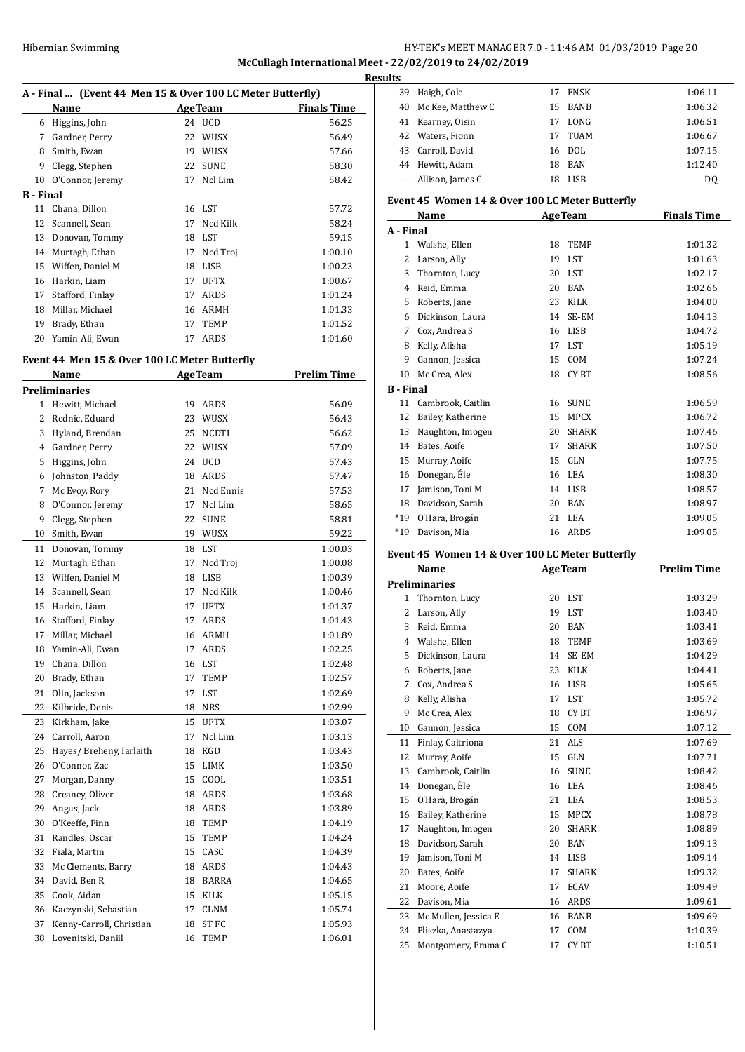# Hibernian Swimming HY-TEK's MEET MANAGER 7.0 - 11:46 AM 01/03/2019 Page 20 **McCullagh International Meet - 22/02/2019 to 24/02/2019**

| A - Final  (Event 44 Men 15 & Over 100 LC Meter Butterfly) |                  |    |                |                    |
|------------------------------------------------------------|------------------|----|----------------|--------------------|
|                                                            | Name             |    | <b>AgeTeam</b> | <b>Finals Time</b> |
| 6                                                          | Higgins, John    | 24 | <b>UCD</b>     | 56.25              |
| 7                                                          | Gardner, Perry   | 22 | <b>WUSX</b>    | 56.49              |
| 8                                                          | Smith, Ewan      | 19 | <b>WUSX</b>    | 57.66              |
| 9                                                          | Clegg, Stephen   | 22 | <b>SUNE</b>    | 58.30              |
| 10                                                         | O'Connor, Jeremy | 17 | Ncl Lim        | 58.42              |
| B - Final                                                  |                  |    |                |                    |
| 11                                                         | Chana, Dillon    |    | 16 LST         | 57.72              |
| 12                                                         | Scannell, Sean   | 17 | Ncd Kilk       | 58.24              |
| 13                                                         | Donovan, Tommy   | 18 | LST            | 59.15              |
| 14                                                         | Murtagh, Ethan   | 17 | Ncd Troi       | 1:00.10            |
| 15                                                         | Wiffen, Daniel M | 18 | <b>LISB</b>    | 1:00.23            |
| 16                                                         | Harkin, Liam     | 17 | <b>UFTX</b>    | 1:00.67            |
| 17                                                         | Stafford, Finlay | 17 | ARDS           | 1:01.24            |
| 18                                                         | Millar, Michael  | 16 | ARMH           | 1:01.33            |
| 19                                                         | Brady, Ethan     | 17 | TEMP           | 1:01.52            |
| 20                                                         | Yamin-Ali, Ewan  | 17 | <b>ARDS</b>    | 1:01.60            |

# **Event 44 Men 15 & Over 100 LC Meter Butterfly**

|              | Name                     |    | <b>AgeTeam</b> | <u>Prelim Time</u> |
|--------------|--------------------------|----|----------------|--------------------|
|              | <b>Preliminaries</b>     |    |                |                    |
| $\mathbf{1}$ | Hewitt, Michael          | 19 | ARDS           | 56.09              |
| 2            | Rednic, Eduard           | 23 | WUSX           | 56.43              |
| 3            | Hyland, Brendan          | 25 | <b>NCDTL</b>   | 56.62              |
| 4            | Gardner, Perry           |    | 22 WUSX        | 57.09              |
| 5            | Higgins, John            | 24 | <b>UCD</b>     | 57.43              |
| 6            | Johnston, Paddy          | 18 | <b>ARDS</b>    | 57.47              |
| 7            | Mc Evoy, Rory            | 21 | Ncd Ennis      | 57.53              |
| 8            | O'Connor, Jeremy         | 17 | Ncl Lim        | 58.65              |
| 9            | Clegg, Stephen           | 22 | <b>SUNE</b>    | 58.81              |
| 10           | Smith, Ewan              | 19 | WUSX           | 59.22              |
| 11           | Donovan, Tommy           | 18 | LST            | 1:00.03            |
| 12           | Murtagh, Ethan           | 17 | Ncd Troj       | 1:00.08            |
| 13           | Wiffen, Daniel M         | 18 | <b>LISB</b>    | 1:00.39            |
| 14           | Scannell, Sean           | 17 | Ncd Kilk       | 1:00.46            |
| 15           | Harkin, Liam             | 17 | <b>UFTX</b>    | 1:01.37            |
| 16           | Stafford, Finlay         | 17 | ARDS           | 1:01.43            |
| 17           | Millar, Michael          |    | 16 ARMH        | 1:01.89            |
| 18           | Yamin-Ali, Ewan          | 17 | ARDS           | 1:02.25            |
| 19           | Chana, Dillon            | 16 | LST            | 1:02.48            |
| 20           | Brady, Ethan             | 17 | TEMP           | 1:02.57            |
| 21           | Olin, Jackson            | 17 | LST            | 1:02.69            |
| 22           | Kilbride, Denis          | 18 | <b>NRS</b>     | 1:02.99            |
| 23           | Kirkham, Jake            | 15 | <b>UFTX</b>    | 1:03.07            |
| 24           | Carroll, Aaron           | 17 | Ncl Lim        | 1:03.13            |
| 25           | Hayes/ Breheny, Iarlaith | 18 | <b>KGD</b>     | 1:03.43            |
| 26           | O'Connor, Zac            | 15 | LIMK           | 1:03.50            |
| 27           | Morgan, Danny            | 15 | COOL           | 1:03.51            |
| 28           | Creaney, Oliver          |    | 18 ARDS        | 1:03.68            |
| 29           | Angus, Jack              |    | 18 ARDS        | 1:03.89            |
| 30           | O'Keeffe, Finn           | 18 | TEMP           | 1:04.19            |
| 31           | Randles, Oscar           | 15 | <b>TEMP</b>    | 1:04.24            |
| 32           | Fiala, Martin            | 15 | CASC           | 1:04.39            |
| 33           | Mc Clements, Barry       |    | 18 ARDS        | 1:04.43            |
| 34           | David, Ben R             |    | 18 BARRA       | 1:04.65            |
| 35           | Cook, Aidan              |    | 15 KILK        | 1:05.15            |
| 36           | Kaczynski, Sebastian     |    | 17 CLNM        | 1:05.74            |
| 37           | Kenny-Carroll, Christian | 18 | ST FC          | 1:05.93            |
| 38           | Lovenitski, Daniil       | 16 | <b>TEMP</b>    | 1:06.01            |

| <b>Results</b> |                      |    |         |         |
|----------------|----------------------|----|---------|---------|
| 39             | Haigh, Cole          | 17 | ENSK    | 1:06.11 |
| 40             | Mc Kee, Matthew C    |    | 15 BANB | 1:06.32 |
|                | 41 Kearney, Oisin    | 17 | LONG    | 1:06.51 |
|                | 42 Waters, Fionn     | 17 | TUAM    | 1:06.67 |
|                | 43 Carroll, David    |    | 16 DOL  | 1:07.15 |
|                | 44 Hewitt, Adam      | 18 | BAN     | 1:12.40 |
|                | --- Allison, James C | 18 | LISB    | DO.     |

#### **Event 45 Women 14 & Over 100 LC Meter Butterfly**

|                  | Name              |    | <b>AgeTeam</b> | <b>Finals Time</b> |
|------------------|-------------------|----|----------------|--------------------|
| A - Final        |                   |    |                |                    |
| 1                | Walshe, Ellen     | 18 | <b>TEMP</b>    | 1:01.32            |
| 2                | Larson, Ally      | 19 | <b>LST</b>     | 1:01.63            |
| 3                | Thornton, Lucy    | 20 | <b>LST</b>     | 1:02.17            |
| 4                | Reid, Emma        | 20 | <b>BAN</b>     | 1:02.66            |
| 5                | Roberts, Jane     | 23 | <b>KILK</b>    | 1:04.00            |
| 6                | Dickinson, Laura  | 14 | SE-EM          | 1:04.13            |
| 7                | Cox, Andrea S     | 16 | <b>LISB</b>    | 1:04.72            |
| 8                | Kelly, Alisha     | 17 | <b>LST</b>     | 1:05.19            |
| 9                | Gannon, Jessica   | 15 | <b>COM</b>     | 1:07.24            |
| 10               | Mc Crea, Alex     | 18 | <b>CYBT</b>    | 1:08.56            |
| <b>B</b> - Final |                   |    |                |                    |
| 11               | Cambrook, Caitlin | 16 | <b>SUNE</b>    | 1:06.59            |
| 12               | Bailey, Katherine | 15 | <b>MPCX</b>    | 1:06.72            |
| 13               | Naughton, Imogen  | 20 | <b>SHARK</b>   | 1:07.46            |
| 14               | Bates, Aoife      | 17 | <b>SHARK</b>   | 1:07.50            |
| 15               | Murray, Aoife     | 15 | GLN            | 1:07.75            |
| 16               | Donegan, Éle      | 16 | <b>LEA</b>     | 1:08.30            |
| 17               | Jamison, Toni M   | 14 | <b>LISB</b>    | 1:08.57            |
| 18               | Davidson, Sarah   | 20 | <b>BAN</b>     | 1:08.97            |
| $*19$            | O'Hara, Brogán    | 21 | <b>LEA</b>     | 1:09.05            |
| $*19$            | Davison, Mia      | 16 | ARDS           | 1:09.05            |

#### **Event 45 Women 14 & Over 100 LC Meter Butterfly**

|                | Name                 | <b>AgeTeam</b> |              | <b>Prelim Time</b> |
|----------------|----------------------|----------------|--------------|--------------------|
|                | <b>Preliminaries</b> |                |              |                    |
| 1              | Thornton, Lucy       | 20             | <b>LST</b>   | 1:03.29            |
| $\overline{2}$ | Larson, Ally         | 19             | <b>LST</b>   | 1:03.40            |
| 3              | Reid, Emma           | 20             | <b>BAN</b>   | 1:03.41            |
| $\overline{4}$ | Walshe, Ellen        | 18             | <b>TEMP</b>  | 1:03.69            |
| 5              | Dickinson, Laura     | 14             | SE-EM        | 1:04.29            |
| 6              | Roberts, Jane        | 23             | <b>KILK</b>  | 1:04.41            |
| 7              | Cox, Andrea S        | 16             | <b>LISB</b>  | 1:05.65            |
| 8              | Kelly, Alisha        | 17             | <b>LST</b>   | 1:05.72            |
| 9              | Mc Crea, Alex        | 18             | CY BT        | 1:06.97            |
| 10             | Gannon, Jessica      | 15             | COM          | 1:07.12            |
| 11             | Finlay, Caitriona    | 21             | <b>ALS</b>   | 1:07.69            |
| 12             | Murray, Aoife        | 15             | GLN          | 1:07.71            |
| 13             | Cambrook, Caitlin    | 16             | <b>SUNE</b>  | 1:08.42            |
| 14             | Donegan, Éle         | 16             | <b>LEA</b>   | 1:08.46            |
| 15             | O'Hara, Brogán       | 21             | <b>LEA</b>   | 1:08.53            |
| 16             | Bailey, Katherine    | 15             | <b>MPCX</b>  | 1:08.78            |
| 17             | Naughton, Imogen     | 20             | <b>SHARK</b> | 1:08.89            |
| 18             | Davidson, Sarah      | 20             | <b>BAN</b>   | 1:09.13            |
| 19             | Jamison, Toni M      | 14             | <b>LISB</b>  | 1:09.14            |
| 20             | Bates, Aoife         | 17             | <b>SHARK</b> | 1:09.32            |
| 21             | Moore, Aoife         | 17             | <b>ECAV</b>  | 1:09.49            |
| 22             | Davison, Mia         | 16             | ARDS         | 1:09.61            |
| 23             | Mc Mullen, Jessica E | 16             | <b>BANB</b>  | 1:09.69            |
| 24             | Pliszka, Anastazya   | 17             | COM          | 1:10.39            |
| 25             | Montgomery, Emma C   | 17             | <b>CYBT</b>  | 1:10.51            |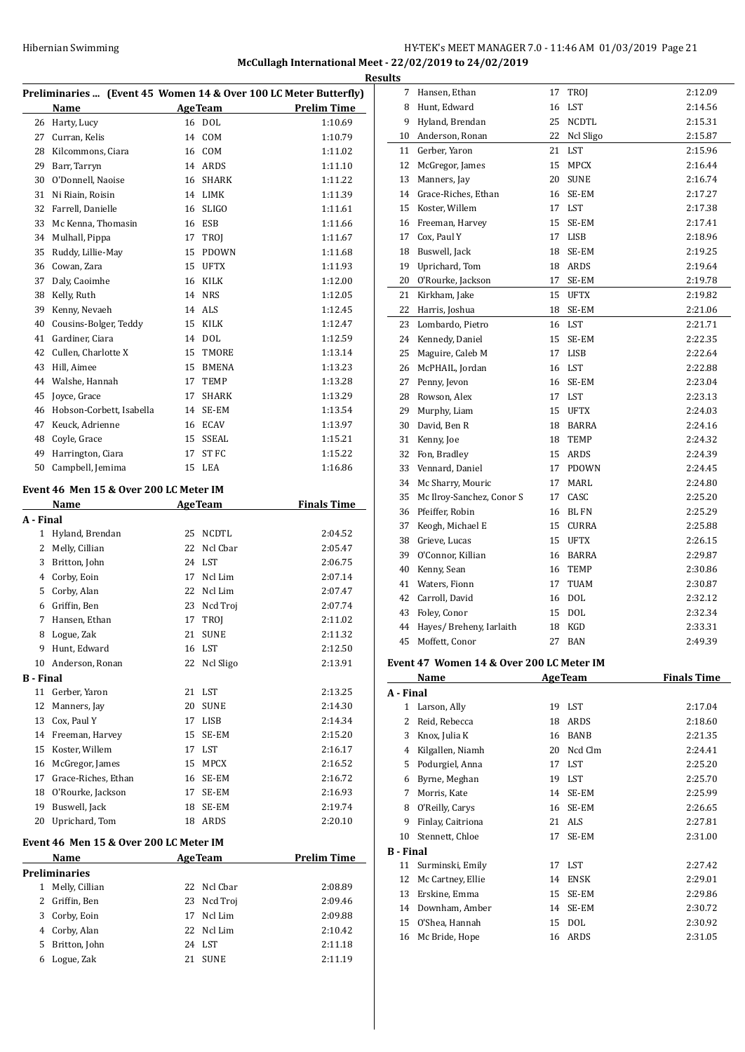# HY-TEK's MEET MANAGER 7.0 - 11:46 AM 01/03/2019 Page 21 **McCullagh International Meet - 22/02/2019 to 24/02/2019 Results**

| Preliminaries  (Event 45 Women 14 & Over 100 LC Meter Butterfly) |                          |    |                  |                    |
|------------------------------------------------------------------|--------------------------|----|------------------|--------------------|
|                                                                  | Name                     |    | <b>AgeTeam</b>   | <b>Prelim Time</b> |
| 26                                                               | Harty, Lucy              |    | 16 DOL           | 1:10.69            |
| 27                                                               | Curran, Kelis            | 14 | COM              | 1:10.79            |
| 28                                                               | Kilcommons, Ciara        | 16 | COM              | 1:11.02            |
| 29                                                               | Barr, Tarryn             | 14 | <b>ARDS</b>      | 1:11.10            |
| 30                                                               | O'Donnell, Naoise        | 16 | <b>SHARK</b>     | 1:11.22            |
| 31                                                               | Ni Riain, Roisin         | 14 | <b>LIMK</b>      | 1:11.39            |
| 32                                                               | Farrell, Danielle        | 16 | <b>SLIGO</b>     | 1:11.61            |
| 33                                                               | Mc Kenna, Thomasin       | 16 | <b>ESB</b>       | 1:11.66            |
| 34                                                               | Mulhall, Pippa           | 17 | <b>TROI</b>      | 1:11.67            |
| 35                                                               | Ruddy, Lillie-May        | 15 | <b>PDOWN</b>     | 1:11.68            |
| 36                                                               | Cowan, Zara              | 15 | <b>UFTX</b>      | 1:11.93            |
| 37                                                               | Daly, Caoimhe            | 16 | <b>KILK</b>      | 1:12.00            |
| 38                                                               | Kelly, Ruth              | 14 | <b>NRS</b>       | 1:12.05            |
| 39                                                               | Kenny, Nevaeh            | 14 | ALS              | 1:12.45            |
| 40                                                               | Cousins-Bolger, Teddy    | 15 | <b>KILK</b>      | 1:12.47            |
| 41                                                               | Gardiner, Ciara          | 14 | <b>DOL</b>       | 1:12.59            |
| 42                                                               | Cullen, Charlotte X      | 15 | <b>TMORE</b>     | 1:13.14            |
| 43                                                               | Hill, Aimee              | 15 | <b>BMENA</b>     | 1:13.23            |
| 44                                                               | Walshe, Hannah           | 17 | TEMP             | 1:13.28            |
| 45                                                               | Joyce, Grace             | 17 | <b>SHARK</b>     | 1:13.29            |
| 46                                                               | Hobson-Corbett, Isabella | 14 | SE-EM            | 1:13.54            |
| 47                                                               | Keuck, Adrienne          | 16 | <b>ECAV</b>      | 1:13.97            |
| 48                                                               | Coyle, Grace             | 15 | <b>SSEAL</b>     | 1:15.21            |
| 49                                                               | Harrington, Ciara        | 17 | ST <sub>FC</sub> | 1:15.22            |
| 50                                                               | Campbell, Jemima         | 15 | <b>LEA</b>       | 1:16.86            |

#### **Event 46 Men 15 & Over 200 LC Meter IM**

|                  | Name                |    | <b>AgeTeam</b> | <b>Finals Time</b> |
|------------------|---------------------|----|----------------|--------------------|
| A - Final        |                     |    |                |                    |
| $\mathbf{1}$     | Hyland, Brendan     | 25 | <b>NCDTL</b>   | 2:04.52            |
| 2                | Melly, Cillian      | 22 | Ncl Char       | 2:05.47            |
| 3                | Britton, John       | 24 | <b>LST</b>     | 2:06.75            |
| 4                | Corby, Eoin         | 17 | Ncl Lim        | 2:07.14            |
| 5                | Corby, Alan         | 22 | Ncl Lim        | 2:07.47            |
| 6                | Griffin, Ben        | 23 | Ncd Troj       | 2:07.74            |
| 7                | Hansen, Ethan       | 17 | TROJ           | 2:11.02            |
| 8                | Logue, Zak          | 21 | <b>SUNE</b>    | 2:11.32            |
| 9                | Hunt, Edward        | 16 | <b>LST</b>     | 2:12.50            |
| 10               | Anderson, Ronan     | 22 | Ncl Sligo      | 2:13.91            |
| <b>B</b> - Final |                     |    |                |                    |
| 11               | Gerber, Yaron       | 21 | <b>LST</b>     | 2:13.25            |
| 12               | Manners, Jay        | 20 | <b>SUNE</b>    | 2:14.30            |
| 13               | Cox, Paul Y         | 17 | <b>LISB</b>    | 2:14.34            |
| 14               | Freeman, Harvey     | 15 | SE-EM          | 2:15.20            |
| 15               | Koster, Willem      | 17 | <b>LST</b>     | 2:16.17            |
| 16               | McGregor, James     | 15 | <b>MPCX</b>    | 2:16.52            |
| 17               | Grace-Riches, Ethan | 16 | SE-EM          | 2:16.72            |
| 18               | O'Rourke, Jackson   | 17 | SE-EM          | 2:16.93            |
| 19               | Buswell, Jack       | 18 | SE-EM          | 2:19.74            |
| 20               | Uprichard, Tom      | 18 | ARDS           | 2:20.10            |
|                  |                     |    |                |                    |

# **Event 46 Men 15 & Over 200 LC Meter IM**

|    | Name           | <b>AgeTeam</b> |             | <b>Prelim Time</b> |
|----|----------------|----------------|-------------|--------------------|
|    | Preliminaries  |                |             |                    |
|    | Melly, Cillian |                | 22 Ncl Cbar | 2:08.89            |
| 2  | Griffin, Ben   |                | 23 Ncd Troj | 2:09.46            |
| 3  | Corby, Eoin    | 17             | Ncl Lim     | 2:09.88            |
| 4  | Corby, Alan    |                | 22 Ncl Lim  | 2:10.42            |
| 5. | Britton, John  |                | 24 LST      | 2:11.18            |
| 6  | Logue, Zak     | 21             | <b>SUNE</b> | 2:11.19            |
|    |                |                |             |                    |

| <u>uits</u> |                           |    |              |         |
|-------------|---------------------------|----|--------------|---------|
| 7           | Hansen, Ethan             | 17 | TROJ         | 2:12.09 |
| 8           | Hunt, Edward              | 16 | <b>LST</b>   | 2:14.56 |
| 9           | Hyland, Brendan           | 25 | <b>NCDTL</b> | 2:15.31 |
| 10          | Anderson, Ronan           | 22 | Ncl Sligo    | 2:15.87 |
| 11          | Gerber, Yaron             | 21 | <b>LST</b>   | 2:15.96 |
| 12          | McGregor, James           | 15 | <b>MPCX</b>  | 2:16.44 |
| 13          | Manners, Jay              | 20 | <b>SUNE</b>  | 2:16.74 |
| 14          | Grace-Riches, Ethan       | 16 | SE-EM        | 2:17.27 |
| 15          | Koster, Willem            | 17 | <b>LST</b>   | 2:17.38 |
| 16          | Freeman, Harvey           | 15 | SE-EM        | 2:17.41 |
| 17          | Cox, Paul Y               | 17 | <b>LISB</b>  | 2:18.96 |
| 18          | Buswell, Jack             | 18 | SE-EM        | 2:19.25 |
| 19          | Uprichard, Tom            | 18 | ARDS         | 2:19.64 |
| 20          | O'Rourke, Jackson         | 17 | SE-EM        | 2:19.78 |
| 21          | Kirkham, Jake             | 15 | <b>UFTX</b>  | 2:19.82 |
| 22          | Harris, Joshua            | 18 | SE-EM        | 2:21.06 |
| 23          | Lombardo, Pietro          | 16 | LST          | 2:21.71 |
| 24          | Kennedy, Daniel           | 15 | SE-EM        | 2:22.35 |
| 25          | Maguire, Caleb M          | 17 | <b>LISB</b>  | 2:22.64 |
| 26          | McPHAIL, Jordan           | 16 | LST          | 2:22.88 |
| 27          | Penny, Jevon              | 16 | SE-EM        | 2:23.04 |
| 28          | Rowson, Alex              | 17 | LST          | 2:23.13 |
| 29          | Murphy, Liam              | 15 | <b>UFTX</b>  | 2:24.03 |
| 30          | David, Ben R              | 18 | BARRA        | 2:24.16 |
| 31          | Kenny, Joe                | 18 | <b>TEMP</b>  | 2:24.32 |
| 32          | Fon, Bradley              | 15 | <b>ARDS</b>  | 2:24.39 |
| 33          | Vennard, Daniel           | 17 | <b>PDOWN</b> | 2:24.45 |
| 34          | Mc Sharry, Mouric         | 17 | MARL         | 2:24.80 |
| 35          | Mc Ilroy-Sanchez, Conor S | 17 | CASC         | 2:25.20 |
| 36          | Pfeiffer, Robin           | 16 | <b>BL FN</b> | 2:25.29 |
| 37          | Keogh, Michael E          | 15 | CURRA        | 2:25.88 |
| 38          | Grieve, Lucas             | 15 | <b>UFTX</b>  | 2:26.15 |
| 39          | O'Connor, Killian         | 16 | BARRA        | 2:29.87 |
| 40          | Kenny, Sean               | 16 | <b>TEMP</b>  | 2:30.86 |
| 41          | Waters, Fionn             | 17 | TUAM         | 2:30.87 |
| 42          | Carroll, David            | 16 | <b>DOL</b>   | 2:32.12 |
| 43          | Foley, Conor              | 15 | <b>DOL</b>   | 2:32.34 |
| 44          | Hayes/ Breheny, Iarlaith  | 18 | <b>KGD</b>   | 2:33.31 |
| 45          | Moffett, Conor            | 27 | <b>BAN</b>   | 2:49.39 |

#### **Event 47 Women 14 & Over 200 LC Meter IM**

|                  | Name              |    | <b>AgeTeam</b> | <b>Finals Time</b> |
|------------------|-------------------|----|----------------|--------------------|
| A - Final        |                   |    |                |                    |
| 1                | Larson, Ally      | 19 | LST            | 2:17.04            |
| 2                | Reid, Rebecca     | 18 | ARDS           | 2:18.60            |
| 3                | Knox, Julia K     | 16 | <b>BANB</b>    | 2:21.35            |
| 4                | Kilgallen, Niamh  | 20 | Ncd Clm        | 2:24.41            |
| 5                | Podurgiel, Anna   | 17 | <b>LST</b>     | 2:25.20            |
| 6                | Byrne, Meghan     | 19 | LST            | 2:25.70            |
| 7                | Morris, Kate      | 14 | SE-EM          | 2:25.99            |
| 8                | O'Reilly, Carys   | 16 | SE-EM          | 2:26.65            |
| 9                | Finlay, Caitriona | 21 | ALS            | 2:27.81            |
| 10               | Stennett, Chloe   | 17 | SE-EM          | 2:31.00            |
| <b>B</b> - Final |                   |    |                |                    |
| 11               | Surminski, Emily  | 17 | LST            | 2:27.42            |
| 12               | Mc Cartney, Ellie | 14 | <b>ENSK</b>    | 2:29.01            |
| 13               | Erskine, Emma     | 15 | SE-EM          | 2:29.86            |
| 14               | Downham, Amber    | 14 | SE-EM          | 2:30.72            |
| 15               | O'Shea, Hannah    | 15 | <b>DOL</b>     | 2:30.92            |
| 16               | Mc Bride, Hope    | 16 | ARDS           | 2:31.05            |
|                  |                   |    |                |                    |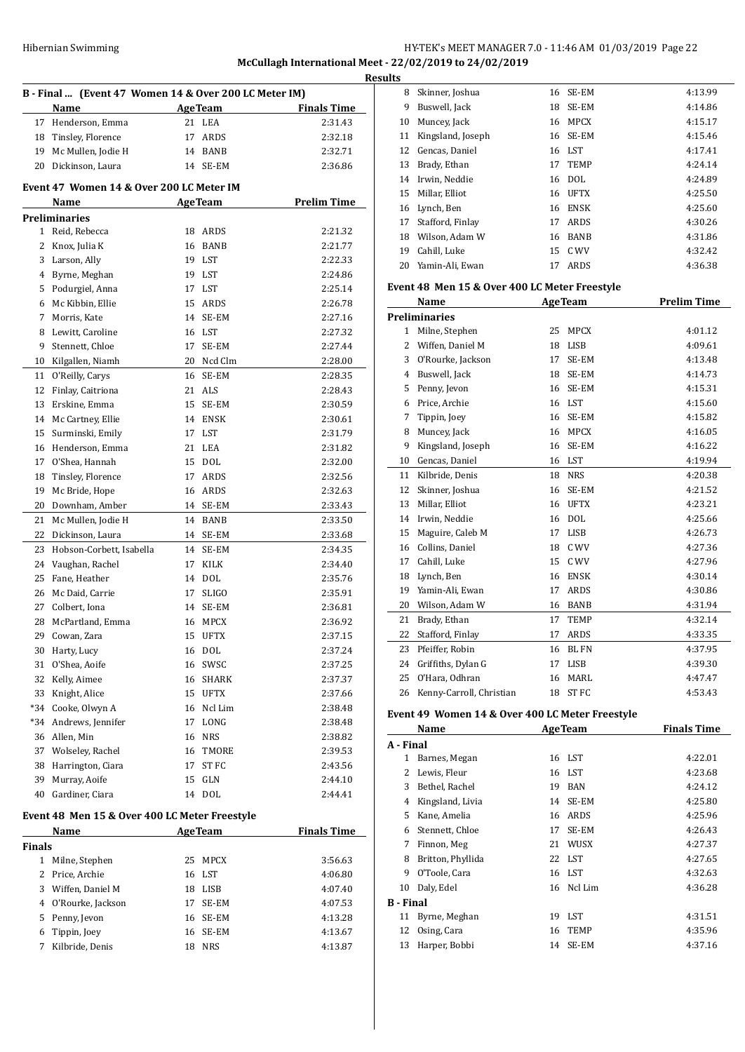# HY-TEK's MEET MANAGER 7.0 - 11:46 AM 01/03/2019 Page 22 **McCullagh International Meet - 22/02/2019 to 24/02/2019 Results**

|                                               | B - Final  (Event 47 Women 14 & Over 200 LC Meter IM) |          |                    |                    |  |
|-----------------------------------------------|-------------------------------------------------------|----------|--------------------|--------------------|--|
|                                               | Name                                                  |          | <b>AgeTeam</b>     | <b>Finals Time</b> |  |
| 17                                            | Henderson, Emma                                       |          | 21 LEA             | 2:31.43            |  |
| 18                                            | Tinsley, Florence                                     | 17       | ARDS               | 2:32.18            |  |
|                                               |                                                       |          | 14 BANB            |                    |  |
| 19                                            | Mc Mullen, Jodie H                                    |          | 14 SE-EM           | 2:32.71            |  |
| 20                                            | Dickinson, Laura                                      |          |                    | 2:36.86            |  |
|                                               | Event 47 Women 14 & Over 200 LC Meter IM              |          |                    |                    |  |
|                                               | Name                                                  |          | <b>AgeTeam</b>     | <b>Prelim Time</b> |  |
|                                               | <b>Preliminaries</b>                                  |          |                    |                    |  |
| $\mathbf{1}$                                  | Reid, Rebecca                                         | 18       | ARDS               | 2:21.32            |  |
| 2                                             | Knox, Julia K                                         | 16       | <b>BANB</b>        | 2:21.77            |  |
| 3                                             | Larson, Ally                                          | 19       | LST                | 2:22.33            |  |
| 4                                             | Byrne, Meghan                                         | 19       | LST                | 2:24.86            |  |
| 5                                             | Podurgiel, Anna                                       | 17       | LST                | 2:25.14            |  |
| 6                                             | Mc Kibbin, Ellie                                      | 15       | ARDS               | 2:26.78            |  |
| 7                                             | Morris, Kate                                          | 14       | SE-EM              | 2:27.16            |  |
| 8                                             | Lewitt, Caroline                                      |          | 16 LST             | 2:27.32            |  |
| 9                                             | Stennett, Chloe                                       | 17       | SE-EM              | 2:27.44            |  |
| 10                                            | Kilgallen, Niamh                                      | 20       | Ncd Clm            | 2:28.00            |  |
| 11                                            | O'Reilly, Carys                                       | 16       | SE-EM              | 2:28.35            |  |
| 12                                            | Finlay, Caitriona                                     | 21       | ALS                | 2:28.43            |  |
| 13                                            | Erskine, Emma                                         | 15       | SE-EM              | 2:30.59            |  |
| 14                                            | Mc Cartney, Ellie                                     | 14       | <b>ENSK</b>        | 2:30.61            |  |
| 15                                            | Surminski, Emily                                      | 17       | LST                | 2:31.79            |  |
| 16                                            | Henderson, Emma                                       | 21       | LEA                | 2:31.82            |  |
| 17                                            |                                                       |          |                    |                    |  |
| 18                                            | O'Shea, Hannah                                        | 15<br>17 | <b>DOL</b><br>ARDS | 2:32.00<br>2:32.56 |  |
|                                               | Tinsley, Florence                                     |          |                    |                    |  |
| 19                                            | Mc Bride, Hope                                        | 16       | ARDS               | 2:32.63            |  |
| 20                                            | Downham, Amber                                        | 14       | SE-EM              | 2:33.43            |  |
| 21                                            | Mc Mullen, Jodie H                                    |          | 14 BANB            | 2:33.50            |  |
| 22                                            | Dickinson, Laura                                      | 14       | SE-EM              | 2:33.68            |  |
| 23                                            | Hobson-Corbett, Isabella                              | 14       | SE-EM              | 2:34.35            |  |
| 24                                            | Vaughan, Rachel                                       | 17       | <b>KILK</b>        | 2:34.40            |  |
| 25                                            | Fane, Heather                                         |          | 14 DOL             | 2:35.76            |  |
| 26                                            | Mc Daid, Carrie                                       | 17       | <b>SLIGO</b>       | 2:35.91            |  |
| 27                                            | Colbert, Iona                                         | 14       | SE-EM              | 2:36.81            |  |
| 28                                            | McPartland, Emma                                      | 16       | <b>MPCX</b>        | 2:36.92            |  |
| 29                                            | Cowan, Zara                                           |          | 15 UFTX            | 2:37.15            |  |
| 30                                            | Harty, Lucy                                           | 16       | <b>DOL</b>         | 2:37.24            |  |
| 31                                            | O'Shea, Aoife                                         | 16       | SWSC               | 2:37.25            |  |
| 32                                            | Kelly, Aimee                                          | 16       | SHARK              | 2:37.37            |  |
| 33                                            | Knight, Alice                                         | 15       | UFTX               | 2:37.66            |  |
| $*34$                                         | Cooke, Olwyn A                                        | 16       | Ncl Lim            | 2:38.48            |  |
| *34                                           | Andrews, Jennifer                                     | 17       | LONG               | 2:38.48            |  |
| 36                                            | Allen, Min                                            | 16       | <b>NRS</b>         | 2:38.82            |  |
| 37                                            | Wolseley, Rachel                                      | 16       | TMORE              | 2:39.53            |  |
| 38                                            | Harrington, Ciara                                     | 17       | ST FC              | 2:43.56            |  |
| 39                                            | Murray, Aoife                                         | 15       | GLN                | 2:44.10            |  |
| 40                                            | Gardiner, Ciara                                       | 14       | DOL                | 2:44.41            |  |
| Event 48 Men 15 & Over 400 LC Meter Freestyle |                                                       |          |                    |                    |  |
|                                               | Name                                                  |          | <b>AgeTeam</b>     | <b>Finals Time</b> |  |
| Finals                                        |                                                       |          |                    |                    |  |

|       | машс                |    | лес геаш   | гшав пше |
|-------|---------------------|----|------------|----------|
| inals |                     |    |            |          |
| 1     | Milne, Stephen      | 25 | MPCX       | 3:56.63  |
|       | 2 Price, Archie     |    | 16 LST     | 4:06.80  |
| 3     | Wiffen, Daniel M    | 18 | LISB       | 4:07.40  |
|       | 4 O'Rourke, Jackson | 17 | SE-EM      | 4:07.53  |
|       | 5 Penny, Jevon      |    | 16 SE-EM   | 4:13.28  |
| 6     | Tippin, Joey        |    | 16 SE-EM   | 4:13.67  |
|       | Kilbride, Denis     | 18 | <b>NRS</b> | 4:13.87  |
|       |                     |    |            |          |

| 8            | Skinner, Joshua                               | 16 | SE-EM          | 4:13.99            |
|--------------|-----------------------------------------------|----|----------------|--------------------|
| 9            | Buswell, Jack                                 | 18 | SE-EM          | 4:14.86            |
| 10           | Muncey, Jack                                  | 16 | MPCX           | 4:15.17            |
| 11           | Kingsland, Joseph                             |    | 16 SE-EM       | 4:15.46            |
| 12           | Gencas, Daniel                                |    | 16 LST         | 4:17.41            |
| 13           | Brady, Ethan                                  |    | 17 TEMP        | 4:24.14            |
| 14           | Irwin, Neddie                                 | 16 | DOL            | 4:24.89            |
| 15           | Millar, Elliot                                |    | 16 UFTX        | 4:25.50            |
| 16           | Lynch, Ben                                    |    | 16 ENSK        | 4:25.60            |
| 17           | Stafford, Finlay                              |    | 17 ARDS        | 4:30.26            |
|              | 18 Wilson, Adam W                             |    | 16 BANB        | 4:31.86            |
| 19           | Cahill, Luke                                  | 15 | C WV           | 4:32.42            |
| 20           | Yamin-Ali, Ewan                               | 17 | ARDS           | 4:36.38            |
|              | Event 48 Men 15 & Over 400 LC Meter Freestyle |    |                |                    |
|              | Name                                          |    | <b>AgeTeam</b> | <b>Prelim Time</b> |
|              | Preliminaries                                 |    |                |                    |
| $\mathbf{1}$ | Milne, Stephen                                | 25 | MPCX           | 4:01.12            |
| 2            | Wiffen, Daniel M                              | 18 | LISB           | 4:09.61            |
| 3            | O'Rourke, Jackson                             |    | 17 SE-EM       | 4:13.48            |
|              | 4 Buswell, Jack                               |    | 18 SE-EM       | 4:14.73            |
| 5            | Penny, Jevon                                  |    | 16 SE-EM       | 4:15.31            |
|              | 6 Price, Archie                               |    | 16 LST         | 4:15.60            |
| 7            | Tippin, Joey                                  |    | 16 SE-EM       | 4:15.82            |
| 8            | Muncey, Jack                                  |    | 16 MPCX        | 4:16.05            |
| 9            | Kingsland, Joseph                             |    | 16 SE-EM       | 4:16.22            |
| 10           | Gencas, Daniel                                |    | 16 LST         | 4:19.94            |
| 11           | Kilbride, Denis                               |    | 18 NRS         | 4:20.38            |
| 12           | Skinner, Joshua                               |    | 16 SE-EM       | 4:21.52            |
| 13           | Millar, Elliot                                |    | 16 UFTX        | 4:23.21            |
| 14           | Irwin, Neddie                                 |    | 16 DOL         | 4:25.66            |
| 15           | Maguire, Caleb M                              | 17 | LISB           | 4:26.73            |
| 16           | Collins, Daniel                               |    | 18 C WV        | 4:27.36            |
| 17           | Cahill, Luke                                  |    | 15 C WV        | 4:27.96            |
| 18           | Lynch, Ben                                    |    | 16 ENSK        | 4:30.14            |
| 19           | Yamin-Ali, Ewan                               | 17 | ARDS           | 4:30.86            |
| 20           | Wilson, Adam W                                |    | 16 BANB        | 4:31.94            |
| 21           | Brady, Ethan                                  | 17 | <b>TEMP</b>    | 4:32.14            |
| 22           | Stafford, Finlay                              | 17 | ARDS           | 4:33.35            |
| 23           | Pfeiffer, Robin                               |    | 16 BL FN       | 4:37.95            |
| 24           | Griffiths, Dylan G                            | 17 | LISB           | 4:39.30            |
| 25           | O'Hara, Odhran                                | 16 | MARL           | 4:47.47            |
| 26           | Kenny-Carroll, Christian                      | 18 | ST FC          | 4:53.43            |
|              |                                               |    |                |                    |

# **Event 49 Women 14 & Over 400 LC Meter Freestyle**

|                  | Name              |    | <b>AgeTeam</b> | <b>Finals Time</b> |
|------------------|-------------------|----|----------------|--------------------|
| A - Final        |                   |    |                |                    |
| 1                | Barnes, Megan     | 16 | LST.           | 4:22.01            |
| 2                | Lewis, Fleur      |    | 16 LST         | 4:23.68            |
| 3                | Bethel, Rachel    | 19 | BAN            | 4:24.12            |
| 4                | Kingsland, Livia  | 14 | SE-EM          | 4:25.80            |
| 5.               | Kane, Amelia      | 16 | ARDS           | 4:25.96            |
| 6                | Stennett, Chloe   | 17 | SE-EM          | 4:26.43            |
| 7                | Finnon, Meg       | 21 | WUSX           | 4:27.37            |
| 8                | Britton, Phyllida |    | 22 LST         | 4:27.65            |
| 9                | O'Toole, Cara     |    | 16 LST         | 4:32.63            |
| 10               | Daly, Edel        | 16 | Ncl Lim        | 4:36.28            |
| <b>B</b> - Final |                   |    |                |                    |
| 11               | Byrne, Meghan     | 19 | LST            | 4:31.51            |
| 12               | Osing, Cara       | 16 | <b>TEMP</b>    | 4:35.96            |
| 13               | Harper, Bobbi     | 14 | SE-EM          | 4:37.16            |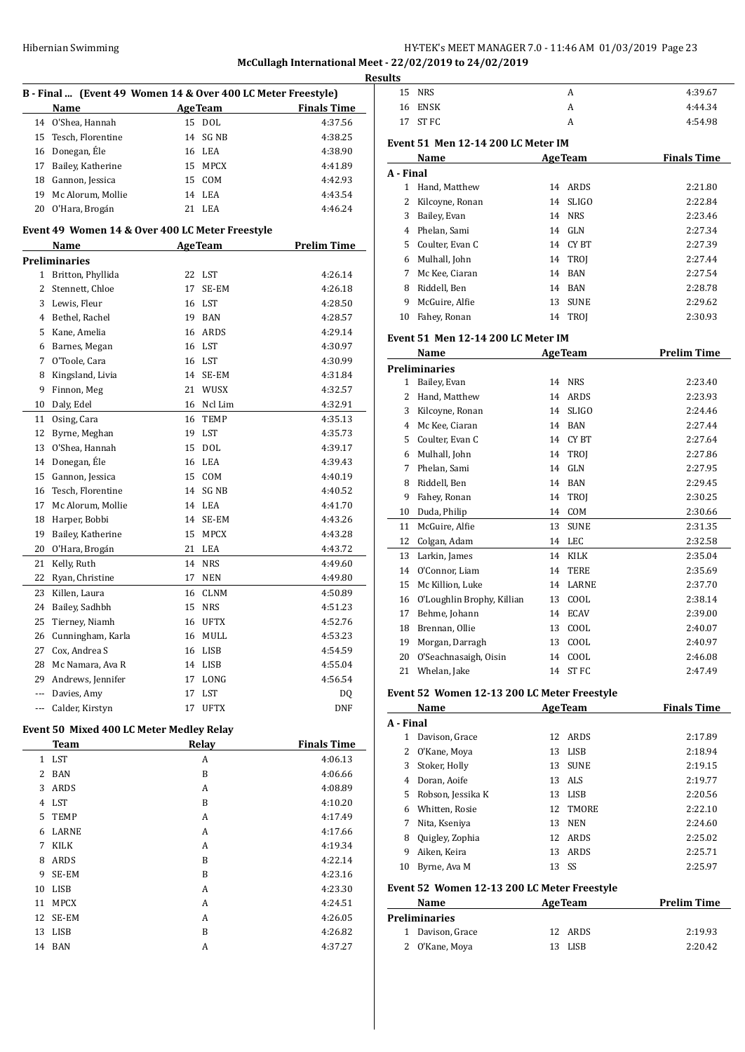## HY-TEK's MEET MANAGER 7.0 - 11:46 AM 01/03/2019 Page 23 **McCullagh International Meet - 22/02/2019 to 24/02/2019**

| efnational meet - 22/02/2019 to 24 |
|------------------------------------|
| <b>Results</b>                     |
|                                    |

|     | K)                                              |    |                |                                                              |  |  |
|-----|-------------------------------------------------|----|----------------|--------------------------------------------------------------|--|--|
|     |                                                 |    |                | B - Final  (Event 49 Women 14 & Over 400 LC Meter Freestyle) |  |  |
|     | Name                                            |    | <b>AgeTeam</b> | <b>Finals Time</b>                                           |  |  |
|     | 14 O'Shea, Hannah                               |    | 15 DOL         | 4:37.56                                                      |  |  |
| 15  | Tesch, Florentine                               |    | 14 SG NB       | 4:38.25                                                      |  |  |
|     | 16 Donegan, Éle                                 |    | 16 LEA         | 4:38.90                                                      |  |  |
| 17  | Bailey, Katherine                               |    | 15 MPCX        | 4:41.89                                                      |  |  |
| 18  | Gannon, Jessica                                 |    | 15 COM         | 4:42.93                                                      |  |  |
| 19  | Mc Alorum, Mollie                               |    | 14 LEA         | 4:43.54                                                      |  |  |
| 20  | O'Hara, Brogán                                  |    | 21 LEA         | 4:46.24                                                      |  |  |
|     |                                                 |    |                |                                                              |  |  |
|     | Event 49 Women 14 & Over 400 LC Meter Freestyle |    |                |                                                              |  |  |
|     | Name                                            |    | <b>AgeTeam</b> | <b>Prelim Time</b>                                           |  |  |
|     | <b>Preliminaries</b>                            |    |                |                                                              |  |  |
| 1   | Britton, Phyllida                               | 22 | LST            | 4:26.14                                                      |  |  |
|     | 2 Stennett, Chloe                               | 17 | SE-EM          | 4:26.18                                                      |  |  |
|     | 3 Lewis, Fleur                                  | 16 | LST            | 4:28.50                                                      |  |  |
|     | 4 Bethel, Rachel                                | 19 | BAN            | 4:28.57                                                      |  |  |
|     | 5 Kane, Amelia                                  |    | 16 ARDS        | 4:29.14                                                      |  |  |
|     | 6 Barnes, Megan                                 |    | 16 LST         | 4:30.97                                                      |  |  |
| 7   | O'Toole, Cara                                   |    | 16 LST         | 4:30.99                                                      |  |  |
| 8   | Kingsland, Livia                                |    | 14 SE-EM       | 4:31.84                                                      |  |  |
| 9   | Finnon, Meg                                     | 21 | WUSX           | 4:32.57                                                      |  |  |
| 10  | Daly, Edel                                      | 16 | Ncl Lim        | 4:32.91                                                      |  |  |
| 11  | Osing, Cara                                     | 16 | TEMP           | 4:35.13                                                      |  |  |
| 12  | Byrne, Meghan                                   | 19 | LST            | 4:35.73                                                      |  |  |
| 13  | O'Shea, Hannah                                  | 15 | DOL            | 4:39.17                                                      |  |  |
| 14  | Donegan, Éle                                    | 16 | LEA            | 4:39.43                                                      |  |  |
| 15  | Gannon, Jessica                                 | 15 | COM            | 4:40.19                                                      |  |  |
| 16  | Tesch, Florentine                               |    | 14 SG NB       | 4:40.52                                                      |  |  |
| 17  | Mc Alorum, Mollie                               |    | 14 LEA         | 4:41.70                                                      |  |  |
| 18  | Harper, Bobbi                                   |    | 14 SE-EM       | 4:43.26                                                      |  |  |
| 19  | Bailey, Katherine                               | 15 | MPCX           | 4:43.28                                                      |  |  |
| 20  | O'Hara, Brogán                                  | 21 | LEA            | 4:43.72                                                      |  |  |
| 21  | Kelly, Ruth                                     | 14 | <b>NRS</b>     | 4:49.60                                                      |  |  |
| 22  | Ryan, Christine                                 | 17 | NEN            | 4:49.80                                                      |  |  |
| 23  | Killen, Laura                                   | 16 | CLNM           | 4:50.89                                                      |  |  |
| 24  | Bailey, Sadhbh                                  | 15 | NRS            | 4:51.23                                                      |  |  |
| 25  | Tierney, Niamh                                  | 16 | UFTX           | 4:52.76                                                      |  |  |
| 26  | Cunningham, Karla                               |    | 16 MULL        | 4:53.23                                                      |  |  |
| 27  | Cox, Andrea S                                   | 16 | LISB           | 4:54.59                                                      |  |  |
| 28  | Mc Namara, Ava R                                | 14 | LISB           | 4:55.04                                                      |  |  |
|     | 29 Andrews, Jennifer                            | 17 | LONG           | 4:56.54                                                      |  |  |
|     | --- Davies, Amy                                 | 17 | LST            | DQ                                                           |  |  |
| --- | Calder, Kirstyn                                 | 17 | UFTX           | DNF                                                          |  |  |
|     | Event 50 Mixed 400 LC Meter Medley Relay        |    |                |                                                              |  |  |
|     | <b>Team</b>                                     |    | Relay          | <b>Finals Time</b>                                           |  |  |
|     | 1 LST                                           |    | A              | 4:06.13                                                      |  |  |
|     | 2 BAN                                           |    | B              | 4:06.66                                                      |  |  |
| 3   | ARDS                                            |    | A              | 4:08.89                                                      |  |  |
| 4   | LST                                             |    | B              | 4:10.20                                                      |  |  |
| 5   |                                                 |    |                |                                                              |  |  |
| 6   | TEMP<br>LARNE                                   |    | A              | 4:17.49                                                      |  |  |
| 7   | KILK                                            |    | A              | 4:17.66                                                      |  |  |
|     |                                                 |    | A              | 4:19.34                                                      |  |  |
| 8   | ARDS                                            |    | B              | 4:22.14                                                      |  |  |
| 9   | SE-EM                                           |    | B              | 4:23.16                                                      |  |  |
| 10  | LISB                                            |    | A              | 4:23.30                                                      |  |  |
| 11  | <b>MPCX</b>                                     |    | A              | 4:24.51                                                      |  |  |
| 12  | SE-EM                                           |    | A              | 4:26.05                                                      |  |  |
| 13  | LISB                                            |    | B              | 4:26.82                                                      |  |  |
| 14  | BAN                                             |    | A              | 4:37.27                                                      |  |  |
|     |                                                 |    |                |                                                              |  |  |

| 15             | <b>NRS</b>                                | A                  | 4:39.67            |  |  |  |  |
|----------------|-------------------------------------------|--------------------|--------------------|--|--|--|--|
|                | 16 ENSK                                   | A                  | 4:44.34            |  |  |  |  |
| 17             | ST FC                                     | A                  | 4:54.98            |  |  |  |  |
|                | <b>Event 51 Men 12-14 200 LC Meter IM</b> |                    |                    |  |  |  |  |
|                | Name                                      | <b>AgeTeam</b>     | <b>Finals Time</b> |  |  |  |  |
| A - Final      |                                           |                    |                    |  |  |  |  |
| $\mathbf{1}$   | Hand, Matthew                             | ARDS<br>14         | 2:21.80            |  |  |  |  |
| $\overline{2}$ | Kilcoyne, Ronan                           | <b>SLIGO</b><br>14 | 2:22.84            |  |  |  |  |
| 3              | Bailey, Evan                              | <b>NRS</b><br>14   | 2:23.46            |  |  |  |  |
|                | 4 Phelan, Sami                            | 14<br>GLN          | 2:27.34            |  |  |  |  |
|                | 5 Coulter, Evan C                         | 14<br>CY BT        | 2:27.39            |  |  |  |  |
|                | 6 Mulhall, John                           | TROI<br>14         | 2:27.44            |  |  |  |  |
| 7              | Mc Kee, Ciaran                            | <b>BAN</b><br>14   | 2:27.54            |  |  |  |  |
| 8              | Riddell, Ben                              | 14<br><b>BAN</b>   | 2:28.78            |  |  |  |  |
| 9              | McGuire, Alfie                            | 13<br><b>SUNE</b>  | 2:29.62            |  |  |  |  |
| 10             | Fahey, Ronan                              | 14<br><b>TROJ</b>  | 2:30.93            |  |  |  |  |
|                | <b>Event 51 Men 12-14 200 LC Meter IM</b> |                    |                    |  |  |  |  |
|                | Name                                      | <b>AgeTeam</b>     | <b>Prelim Time</b> |  |  |  |  |
|                | <b>Preliminaries</b>                      |                    |                    |  |  |  |  |
| $\mathbf{1}$   | Bailey, Evan                              | 14<br><b>NRS</b>   | 2:23.40            |  |  |  |  |
| $\mathbf{2}$   | Hand, Matthew                             | 14<br><b>ARDS</b>  | 2:23.93            |  |  |  |  |
|                | 3 Kilcoyne, Ronan                         | 14<br><b>SLIGO</b> | 2:24.46            |  |  |  |  |
| 4              | Mc Kee, Ciaran                            | 14<br><b>BAN</b>   | 2:27.44            |  |  |  |  |
| 5              | Coulter, Evan C                           | 14<br><b>CYBT</b>  | 2:27.64            |  |  |  |  |
| 6              | Mulhall, John                             | 14<br>TROI         | 2:27.86            |  |  |  |  |
| 7              | Phelan, Sami                              | 14<br>GLN          | 2:27.95            |  |  |  |  |
|                | 8 Riddell, Ben                            | 14<br><b>BAN</b>   | 2:29.45            |  |  |  |  |
| 9              | Fahey, Ronan                              | 14<br><b>TROI</b>  | 2:30.25            |  |  |  |  |
| 10             | Duda, Philip                              | 14<br>COM          | 2:30.66            |  |  |  |  |
| 11             | McGuire, Alfie                            | 13<br><b>SUNE</b>  | 2:31.35            |  |  |  |  |
| 12             | Colgan, Adam                              | 14<br>LEC          | 2:32.58            |  |  |  |  |
| 13             | Larkin, James                             | <b>KILK</b><br>14  | 2:35.04            |  |  |  |  |
| 14             | O'Connor, Liam                            | 14<br><b>TERE</b>  | 2:35.69            |  |  |  |  |
| 15             | Mc Killion, Luke                          | 14<br>LARNE        | 2:37.70            |  |  |  |  |
| 16             | O'Loughlin Brophy, Killian                | COOL<br>13         | 2:38.14            |  |  |  |  |
| 17             | Behme, Johann                             | <b>ECAV</b><br>14  | 2:39.00            |  |  |  |  |
| 18             | Brennan, Ollie                            | 13<br>COOL         | 2:40.07            |  |  |  |  |
| 19             | Morgan, Darragh                           | 13<br>COOL         | 2:40.97            |  |  |  |  |
| 20             | O'Seachnasaigh, Oisin                     | 14<br>COOL         | 2:46.08            |  |  |  |  |
| 21             | Whelan, Jake                              | 14<br>ST FC        | 2:47.49            |  |  |  |  |
|                |                                           |                    |                    |  |  |  |  |

#### **Event 52 Women 12-13 200 LC Meter Freestyle**

|                                             | Name              |       | <b>AgeTeam</b> | <b>Finals Time</b> |  |
|---------------------------------------------|-------------------|-------|----------------|--------------------|--|
| A - Final                                   |                   |       |                |                    |  |
| 1                                           | Davison, Grace    | 12    | ARDS           | 2:17.89            |  |
| 2                                           | 0'Kane, Moya      |       | 13 LISB        | 2:18.94            |  |
| 3                                           | Stoker, Holly     | 13    | <b>SUNE</b>    | 2:19.15            |  |
| 4                                           | Doran, Aoife      |       | 13 ALS         | 2:19.77            |  |
| 5.                                          | Robson, Jessika K | 13    | LISB           | 2:20.56            |  |
| 6                                           | Whitten, Rosie    |       | 12 TMORE       | 2:22.10            |  |
| 7                                           | Nita, Kseniya     | 13    | <b>NEN</b>     | 2:24.60            |  |
| 8                                           | Quigley, Zophia   | 12    | ARDS           | 2:25.02            |  |
| 9                                           | Aiken, Keira      | 13    | ARDS           | 2:25.71            |  |
| 10                                          | Byrne, Ava M      | 13 SS |                | 2:25.97            |  |
| Event 52 Women 12-13 200 LC Meter Freestyle |                   |       |                |                    |  |

| Name                 | <b>AgeTeam</b> | <b>Prelim Time</b> |
|----------------------|----------------|--------------------|
| <b>Preliminaries</b> |                |                    |
| 1 Davison, Grace     | 12 ARDS        | 2:19.93            |
| 2 O'Kane, Moya       | 13 LISB        | 2:20.42            |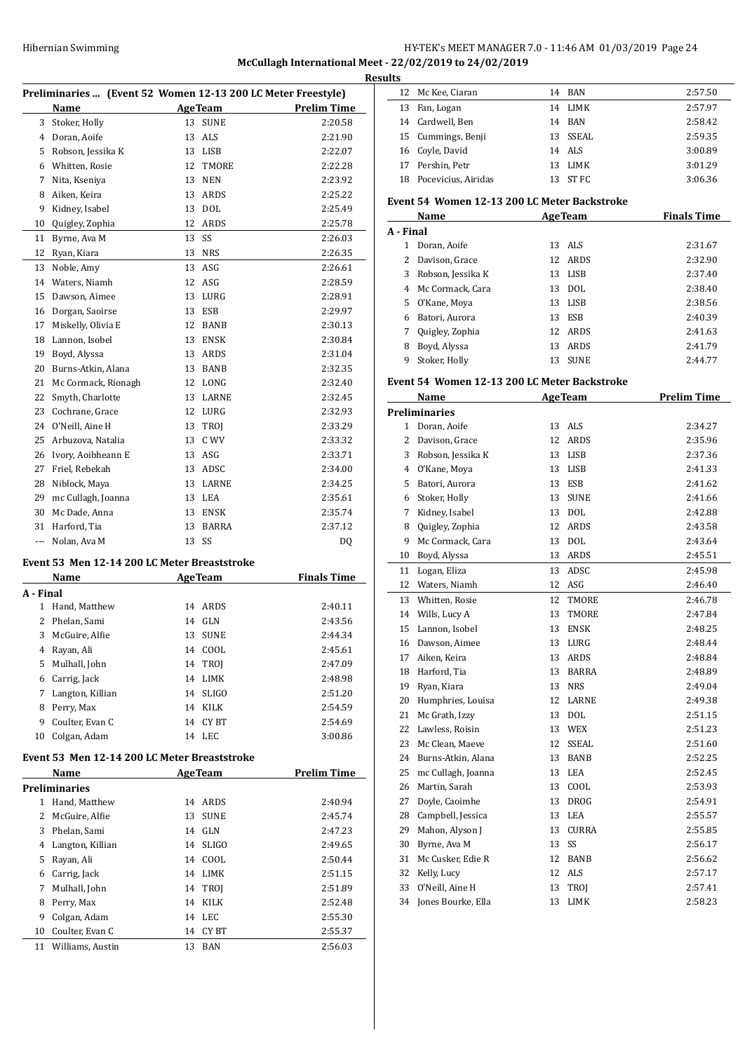# Hibernian Swimming HY-TEK's MEET MANAGER 7.0 - 11:46 AM 01/03/2019 Page 24

#### **McCullagh International Meet - 22/02/2019 to 24/02/2019**

|    | Preliminaries  (Event 52 Women 12-13 200 LC Meter Freestyle) |                |                    |                                       |
|----|--------------------------------------------------------------|----------------|--------------------|---------------------------------------|
|    | Name                                                         |                |                    | <b>Example 2 Age Team</b> Prelim Time |
|    | 3 Stoker, Holly                                              |                | 13 SUNE            | 2:20.58                               |
|    | 4 Doran, Aoife                                               | 13 ALS         |                    | 2:21.90                               |
|    | 5 Robson, Jessika K                                          |                | 13 LISB            | 2:22.07                               |
|    | 6 Whitten, Rosie                                             |                | 12 TMORE           | 2:22.28                               |
|    | 7 Nita, Kseniya                                              |                | 13 NEN             | 2:23.92                               |
|    | 8 Aiken, Keira                                               |                | 13 ARDS            | 2:25.22                               |
| 9  | Kidney, Isabel                                               | 13 DOL         |                    | 2:25.49                               |
|    | 10 Quigley, Zophia                                           |                | 12 ARDS            | 2:25.78                               |
| 11 | Byrne, Ava M                                                 | 13 SS          |                    | 2:26.03                               |
|    | 12 Ryan, Kiara                                               | 13 NRS         |                    | 2:26.35                               |
|    | 13 Noble, Amy                                                | 13 ASG         |                    | 2:26.61                               |
|    | 14 Waters, Niamh                                             | 12 ASG         |                    | 2:28.59                               |
|    | 15 Dawson, Aimee                                             |                | 13 LURG            | 2:28.91                               |
|    | 16 Dorgan, Saoirse                                           | 13 ESB         |                    | 2:29.97                               |
|    | 17 Miskelly, Olivia E                                        |                | 12 BANB            | 2:30.13                               |
|    | 18 Lannon, Isobel                                            |                | 13 ENSK            | 2:30.84                               |
|    | 19 Boyd, Alyssa                                              |                | 13 ARDS            | 2:31.04                               |
|    | 20 Burns-Atkin, Alana                                        |                | 13 BANB            | 2:32.35                               |
|    | 21 Mc Cormack, Rionagh                                       |                | 12 LONG            | 2:32.40                               |
|    | 22 Smyth, Charlotte                                          |                | 13 LARNE           | 2:32.45                               |
|    | 23 Cochrane, Grace                                           |                | 12 LURG            | 2:32.93                               |
|    | 24 O'Neill, Aine H                                           |                | 13 TROJ            | 2:33.29                               |
|    | 25 Arbuzova, Natalia                                         |                | 13 C WV            | 2:33.32                               |
|    | 26 Ivory, Aoibheann E                                        | 13 ASG         |                    | 2:33.71                               |
|    | 27 Friel, Rebekah                                            |                | 13 ADSC            | 2:34.00                               |
|    | 28 Niblock, Maya                                             |                | 13 LARNE           | 2:34.25                               |
|    | 29 mc Cullagh, Joanna                                        | 13 LEA         |                    | 2:35.61                               |
|    | 30 Mc Dade, Anna                                             |                | 13 ENSK            | 2:35.74                               |
|    | 31 Harford, Tia                                              |                | 13 BARRA           | 2:37.12                               |
|    | --- Nolan, Ava M                                             | 13 SS          |                    | DQ                                    |
|    |                                                              |                |                    |                                       |
|    | Event 53 Men 12-14 200 LC Meter Breaststroke                 |                |                    |                                       |
|    | Name                                                         | AgeTeam        |                    | <b>Finals Time</b>                    |
|    | A - Final                                                    |                |                    |                                       |
|    | 1 Hand, Matthew                                              |                | 14 ARDS            | 2:40.11                               |
|    | 2 Phelan, Sami                                               | 14 GLN         |                    | 2:43.56                               |
| 3  | McGuire, Alfie                                               | 13             | <b>SUNE</b>        | 2:44.34                               |
| 4  | Rayan, Ali                                                   | 14             | COOL               | 2:45.61                               |
|    | 5 Mulhall, John                                              | 14             | TROJ               | 2:47.09                               |
|    | 6 Carrig, Jack                                               |                | 14 LIMK            | 2:48.98                               |
|    | 7 Langton, Killian                                           |                | 14 SLIGO           | 2:51.20                               |
|    | 8 Perry, Max                                                 |                | 14 KILK            | 2:54.59                               |
|    | 9 Coulter, Evan C                                            |                | 14 CYBT            | 2:54.69                               |
|    | 10 Colgan, Adam                                              | 14 LEC         |                    | 3:00.86                               |
|    | Event 53 Men 12-14 200 LC Meter Breaststroke                 |                |                    |                                       |
|    | Name                                                         | <b>AgeTeam</b> |                    | <b>Prelim Time</b>                    |
|    | <b>Preliminaries</b>                                         |                |                    |                                       |
|    | 1 Hand, Matthew                                              | 14             | ARDS               | 2:40.94                               |
|    | 2 McGuire, Alfie                                             | 13             | <b>SUNE</b>        | 2:45.74                               |
|    | 3 Phelan, Sami                                               |                | 14 GLN             | 2:47.23                               |
|    | 4 Langton, Killian                                           |                | 14 SLIGO           | 2:49.65                               |
|    |                                                              |                |                    |                                       |
|    |                                                              |                |                    |                                       |
|    | 5 Rayan, Ali<br>6 Carrig, Jack                               |                | 14 COOL<br>14 LIMK | 2:50.44<br>2:51.15                    |

 Perry, Max 14 KILK 2:52.48 Colgan, Adam 14 LEC 2:55.30 10 Coulter, Evan C 14 CY BT 2:55.37 Williams, Austin 13 BAN 2:56.03

| ts |                        |     |          |         |
|----|------------------------|-----|----------|---------|
| 12 | Mc Kee, Ciaran         |     | 14 BAN   | 2:57.50 |
|    | 13 Fan, Logan          | 14  | LIMK     | 2:57.97 |
|    | 14 Cardwell, Ben       | 14  | BAN      | 2:58.42 |
|    | 15 Cummings, Benji     |     | 13 SSEAL | 2:59.35 |
|    | 16 Coyle, David        |     | 14 ALS   | 3:00.89 |
|    | 17 Pershin, Petr       | 13. | LIMK     | 3:01.29 |
|    | 18 Pocevicius, Airidas | 13  | ST FC    | 3:06.36 |

#### **Event 54 Women 12-13 200 LC Meter Backstroke**

|           | Name              |    | <b>AgeTeam</b> | <b>Finals Time</b> |
|-----------|-------------------|----|----------------|--------------------|
| A - Final |                   |    |                |                    |
| 1         | Doran. Aoife      |    | 13 ALS         | 2:31.67            |
|           | Davison, Grace    |    | 12 ARDS        | 2:32.90            |
| 3         | Robson, Jessika K |    | 13 LISB        | 2:37.40            |
| 4         | Mc Cormack, Cara  | 13 | DOL.           | 2:38.40            |
| 5.        | O'Kane, Moya      | 13 | LISB           | 2:38.56            |
| 6         | Batori, Aurora    | 13 | ESB            | 2:40.39            |
|           | Quigley, Zophia   | 12 | ARDS           | 2:41.63            |
| 8         | Boyd, Alyssa      | 13 | ARDS           | 2:41.79            |
| 9         | Stoker. Holly     | 13 | <b>SUNE</b>    | 2:44.77            |

#### **Event 54 Women 12-13 200 LC Meter Backstroke**

|    | Name                 |    | <b>AgeTeam</b> | <b>Prelim Time</b> |
|----|----------------------|----|----------------|--------------------|
|    | <b>Preliminaries</b> |    |                |                    |
| 1  | Doran, Aoife         | 13 | <b>ALS</b>     | 2:34.27            |
| 2  | Davison, Grace       | 12 | <b>ARDS</b>    | 2:35.96            |
| 3  | Robson, Jessika K    | 13 | <b>LISB</b>    | 2:37.36            |
| 4  | O'Kane, Moya         | 13 | <b>LISB</b>    | 2:41.33            |
| 5  | Batori, Aurora       | 13 | ESB            | 2:41.62            |
| 6  | Stoker, Holly        | 13 | <b>SUNE</b>    | 2:41.66            |
| 7  | Kidney, Isabel       | 13 | <b>DOL</b>     | 2:42.88            |
| 8  | Quigley, Zophia      | 12 | ARDS           | 2:43.58            |
| 9  | Mc Cormack, Cara     | 13 | <b>DOL</b>     | 2:43.64            |
| 10 | Boyd, Alyssa         | 13 | ARDS           | 2:45.51            |
| 11 | Logan, Eliza         | 13 | ADSC           | 2:45.98            |
| 12 | Waters, Niamh        | 12 | ASG            | 2:46.40            |
| 13 | Whitten, Rosie       | 12 | TMORE          | 2:46.78            |
| 14 | Wills, Lucy A        | 13 | TMORE          | 2:47.84            |
| 15 | Lannon, Isobel       | 13 | <b>ENSK</b>    | 2:48.25            |
| 16 | Dawson, Aimee        | 13 | LURG           | 2:48.44            |
| 17 | Aiken, Keira         | 13 | <b>ARDS</b>    | 2:48.84            |
| 18 | Harford, Tia         | 13 | BARRA          | 2:48.89            |
| 19 | Ryan, Kiara          | 13 | <b>NRS</b>     | 2:49.04            |
| 20 | Humphries, Louisa    | 12 | <b>LARNE</b>   | 2:49.38            |
| 21 | Mc Grath, Izzy       | 13 | <b>DOL</b>     | 2:51.15            |
| 22 | Lawless, Roisin      | 13 | <b>WEX</b>     | 2:51.23            |
| 23 | Mc Clean, Maeve      | 12 | SSEAL          | 2:51.60            |
| 24 | Burns-Atkin, Alana   | 13 | <b>BANB</b>    | 2:52.25            |
| 25 | mc Cullagh, Joanna   | 13 | LEA            | 2:52.45            |
| 26 | Martin, Sarah        | 13 | COOL           | 2:53.93            |
| 27 | Doyle, Caoimhe       | 13 | <b>DROG</b>    | 2:54.91            |
| 28 | Campbell, Jessica    | 13 | LEA            | 2:55.57            |
| 29 | Mahon, Alyson J      | 13 | CURRA          | 2:55.85            |
| 30 | Byrne, Ava M         | 13 | SS             | 2:56.17            |
| 31 | Mc Cusker, Edie R    | 12 | <b>BANB</b>    | 2:56.62            |
| 32 | Kelly, Lucy          | 12 | ALS            | 2:57.17            |
| 33 | O'Neill, Aine H      | 13 | TROJ           | 2:57.41            |
| 34 | Jones Bourke, Ella   | 13 | LIMK           | 2:58.23            |
|    |                      |    |                |                    |